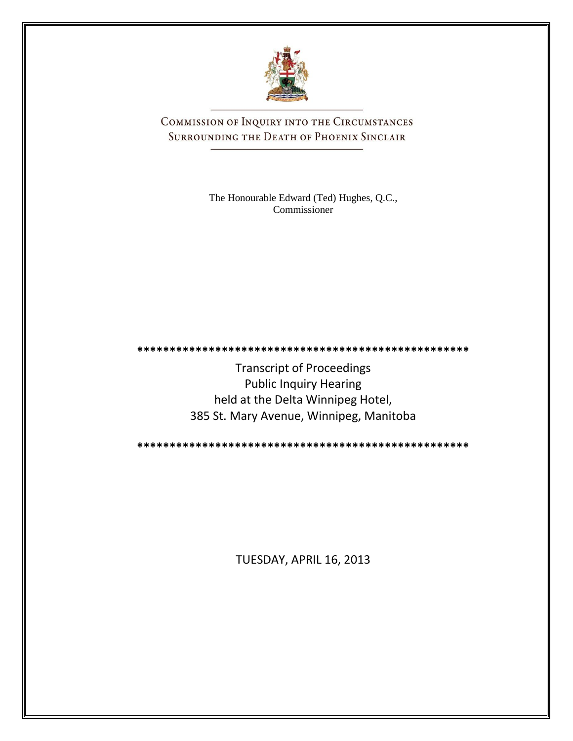

COMMISSION OF INQUIRY INTO THE CIRCUMSTANCES SURROUNDING THE DEATH OF PHOENIX SINCLAIR

> The Honourable Edward (Ted) Hughes, Q.C., Commissioner

**\*\*\*\*\*\*\*\*\*\*\*\*\*\*\*\*\*\*\*\*\*\*\*\*\*\*\*\*\*\*\*\*\*\*\*\*\*\*\*\*\*\*\*\*\*\*\*\*\*\*\***

Transcript of Proceedings Public Inquiry Hearing held at the Delta Winnipeg Hotel, 385 St. Mary Avenue, Winnipeg, Manitoba

**\*\*\*\*\*\*\*\*\*\*\*\*\*\*\*\*\*\*\*\*\*\*\*\*\*\*\*\*\*\*\*\*\*\*\*\*\*\*\*\*\*\*\*\*\*\*\*\*\*\*\***

TUESDAY, APRIL 16, 2013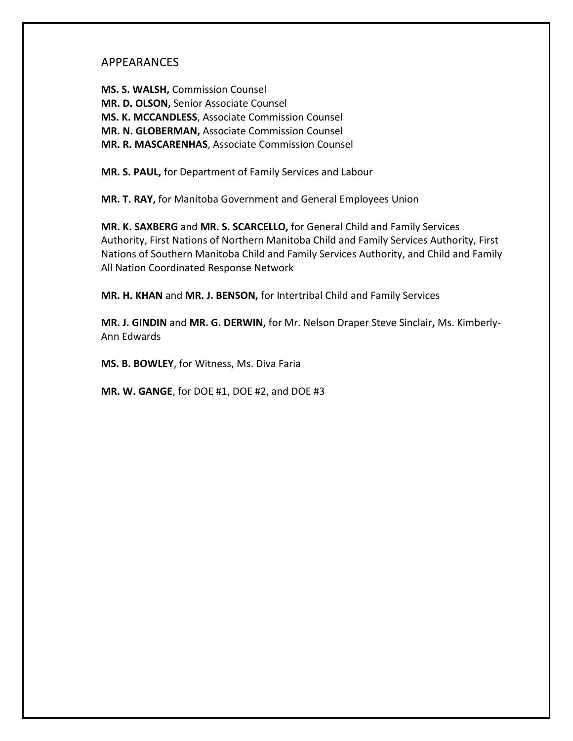### APPEARANCES

**MS. S. WALSH,** Commission Counsel **MR. D. OLSON,** Senior Associate Counsel **MS. K. MCCANDLESS**, Associate Commission Counsel **MR. N. GLOBERMAN,** Associate Commission Counsel **MR. R. MASCARENHAS**, Associate Commission Counsel

**MR. S. PAUL,** for Department of Family Services and Labour

**MR. T. RAY,** for Manitoba Government and General Employees Union

**MR. K. SAXBERG** and **MR. S. SCARCELLO,** for General Child and Family Services Authority, First Nations of Northern Manitoba Child and Family Services Authority, First Nations of Southern Manitoba Child and Family Services Authority, and Child and Family All Nation Coordinated Response Network

**MR. H. KHAN** and **MR. J. BENSON,** for Intertribal Child and Family Services

**MR. J. GINDIN** and **MR. G. DERWIN,** for Mr. Nelson Draper Steve Sinclair**,** Ms. Kimberly-Ann Edwards

**MS. B. BOWLEY**, for Witness, Ms. Diva Faria

**MR. W. GANGE**, for DOE #1, DOE #2, and DOE #3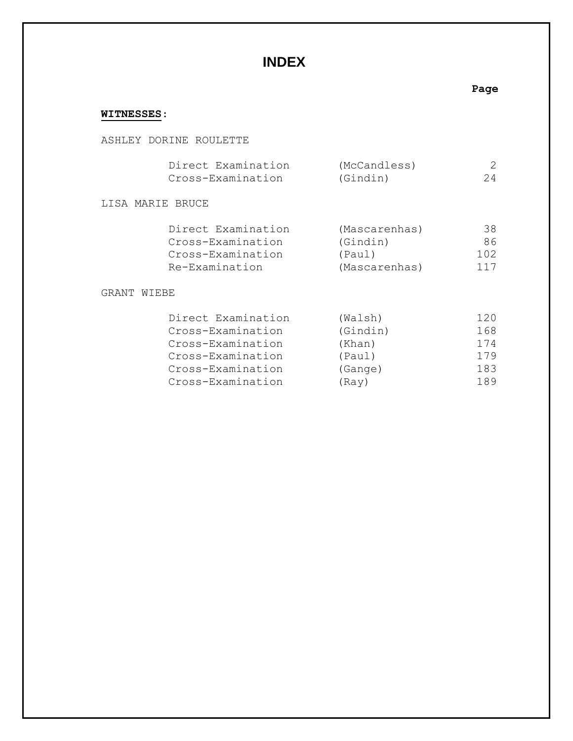# **INDEX**

# **Page**

# **WITNESSES**:

### ASHLEY DORINE ROULETTE

|                  | Direct Examination<br>Cross-Examination                                        | (McCandless)<br>(Gindin)                             | 24                     |
|------------------|--------------------------------------------------------------------------------|------------------------------------------------------|------------------------|
| LISA MARIE BRUCE |                                                                                |                                                      |                        |
|                  | Direct Examination<br>Cross-Examination<br>Cross-Examination<br>Re-Examination | (Mascarenhas)<br>(Gindin)<br>(Paul)<br>(Mascarenhas) | 38<br>86<br>102<br>117 |
| GRANT<br>WIEBE   |                                                                                |                                                      |                        |
|                  | Direct Examination<br>Cross-Examination<br>Cross-Examination                   | (Walsh)<br>(Gindin)<br>(Khan)                        | 120<br>168<br>174      |

|                   | ,       | __ _ _ |
|-------------------|---------|--------|
| Cross-Examination | (Paul)  | 179    |
| Cross-Examination | (Gange) | 183    |
| Cross-Examination | (Ray)   | 189    |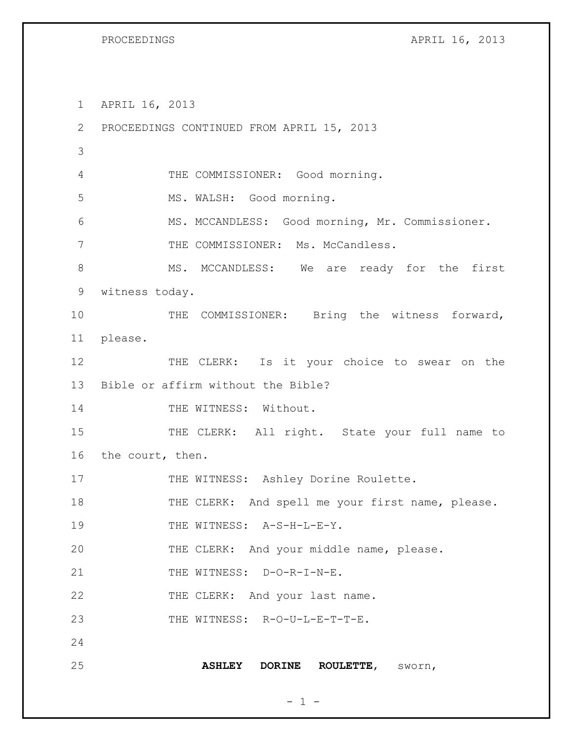PROCEEDINGS APRIL 16, 2013

 $- 1 -$ 1 APRIL 16, 2013 2 PROCEEDINGS CONTINUED FROM APRIL 15, 2013 3 4 THE COMMISSIONER: Good morning. 5 MS. WALSH: Good morning. 6 MS. MCCANDLESS: Good morning, Mr. Commissioner. 7 THE COMMISSIONER: Ms. McCandless. 8 MS. MCCANDLESS: We are ready for the first 9 witness today. 10 THE COMMISSIONER: Bring the witness forward, 11 please. 12 THE CLERK: Is it your choice to swear on the 13 Bible or affirm without the Bible? 14 THE WITNESS: Without. 15 THE CLERK: All right. State your full name to 16 the court, then. 17 THE WITNESS: Ashley Dorine Roulette. 18 THE CLERK: And spell me your first name, please. 19 THE WITNESS: A-S-H-L-E-Y. 20 THE CLERK: And your middle name, please. 21 THE WITNESS: D-O-R-I-N-E. 22 THE CLERK: And your last name. 23 THE WITNESS: R-O-U-L-E-T-T-E. 24 25 **ASHLEY DORINE ROULETTE**, sworn,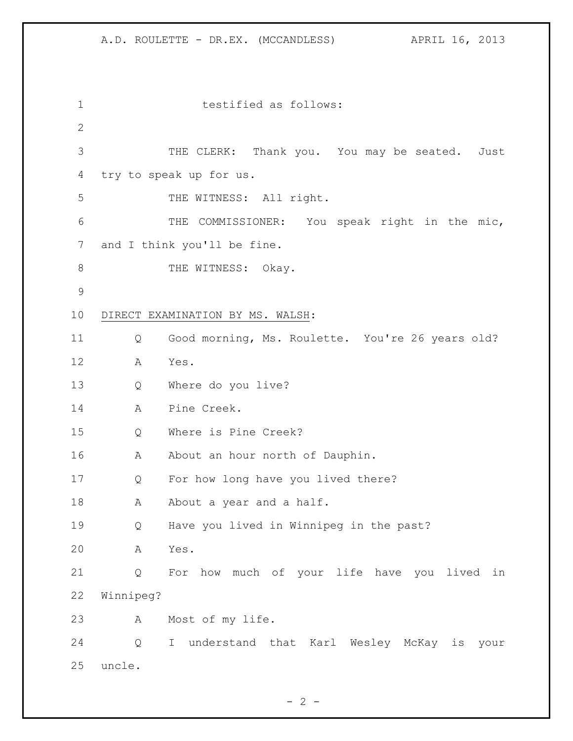testified as follows: THE CLERK: Thank you. You may be seated. Just try to speak up for us. 5 THE WITNESS: All right. THE COMMISSIONER: You speak right in the mic, 7 and I think you'll be fine. 8 THE WITNESS: Okay. DIRECT EXAMINATION BY MS. WALSH: Q Good morning, Ms. Roulette. You're 26 years old? A Yes. Q Where do you live? A Pine Creek. Q Where is Pine Creek? 16 A About an hour north of Dauphin. Q For how long have you lived there? 18 A About a year and a half. Q Have you lived in Winnipeg in the past? A Yes. Q For how much of your life have you lived in Winnipeg? A Most of my life. Q I understand that Karl Wesley McKay is your uncle.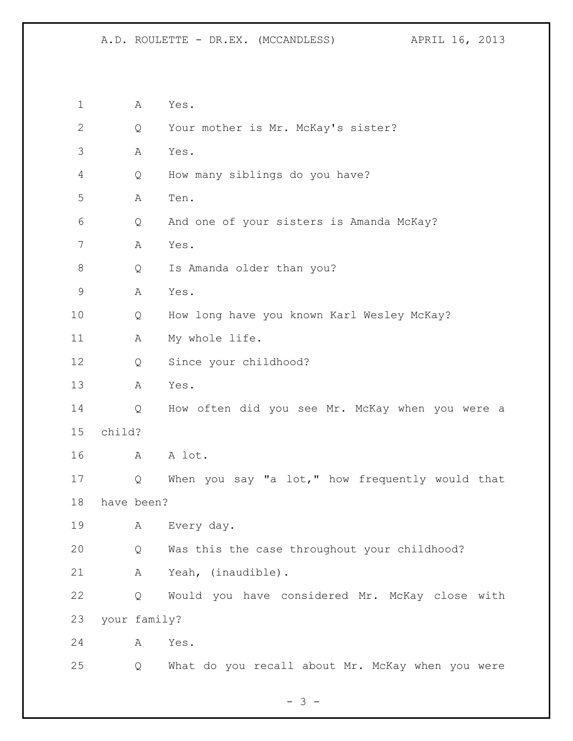| $\mathbf 1$   |        | Α            | Yes.                                             |
|---------------|--------|--------------|--------------------------------------------------|
| $\mathbf{2}$  |        | Q            | Your mother is Mr. McKay's sister?               |
| 3             |        | Α            | Yes.                                             |
| 4             |        | Q            | How many siblings do you have?                   |
| 5             |        | Α            | Ten.                                             |
| 6             |        | Q            | And one of your sisters is Amanda McKay?         |
| 7             |        | Α            | Yes.                                             |
| 8             |        | Q            | Is Amanda older than you?                        |
| $\mathcal{G}$ |        | Α            | Yes.                                             |
| 10            |        | Q            | How long have you known Karl Wesley McKay?       |
| 11            |        | Α            | My whole life.                                   |
| 12            |        | Q            | Since your childhood?                            |
| 13            |        | A            | Yes.                                             |
| 14            |        | Q            | How often did you see Mr. McKay when you were a  |
| 15            | child? |              |                                                  |
| 16            |        | А            | A lot.                                           |
| 17            |        | Q            | When you say "a lot," how frequently would that  |
| 18            |        | have been?   |                                                  |
| 19            |        | Α            | Every day.                                       |
| 20            |        | Q            | Was this the case throughout your childhood?     |
| 21            |        | Α            | Yeah, (inaudible).                               |
| 22            |        | Q            | Would you have considered Mr. McKay close with   |
| 23            |        | your family? |                                                  |
| 24            |        | Α            | Yes.                                             |
| 25            |        | Q            | What do you recall about Mr. McKay when you were |

- 3 -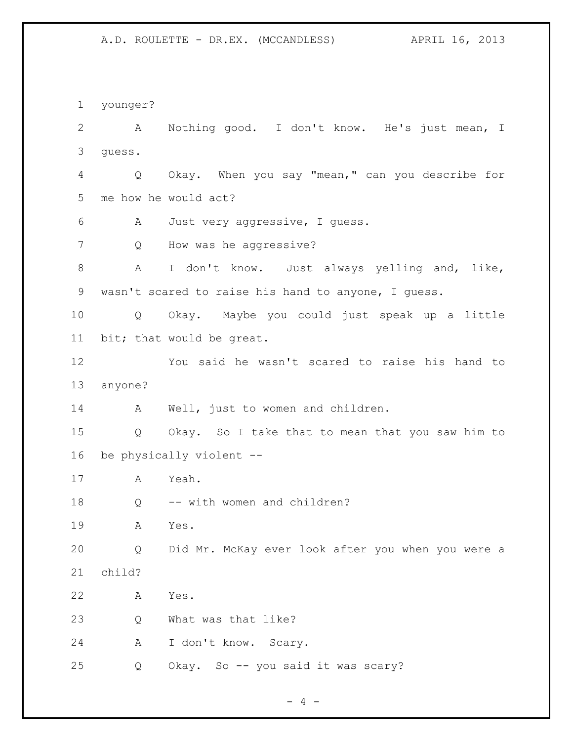younger? A Nothing good. I don't know. He's just mean, I guess. Q Okay. When you say "mean," can you describe for me how he would act? A Just very aggressive, I guess. Q How was he aggressive? A I don't know. Just always yelling and, like, wasn't scared to raise his hand to anyone, I guess. Q Okay. Maybe you could just speak up a little bit; that would be great. You said he wasn't scared to raise his hand to anyone? 14 A Well, just to women and children. Q Okay. So I take that to mean that you saw him to be physically violent -- A Yeah. 18 Q -- with women and children? A Yes. Q Did Mr. McKay ever look after you when you were a child? A Yes. Q What was that like? A I don't know. Scary. Q Okay. So -- you said it was scary?

 $- 4 -$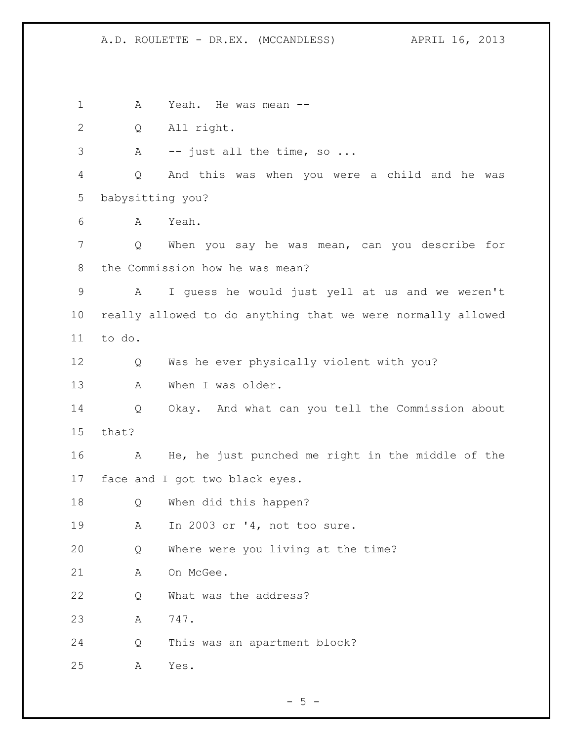1 A Yeah. He was mean -- Q All right. 3 A -- just all the time, so ... Q And this was when you were a child and he was babysitting you? A Yeah. Q When you say he was mean, can you describe for the Commission how he was mean? A I guess he would just yell at us and we weren't really allowed to do anything that we were normally allowed to do. Q Was he ever physically violent with you? A When I was older. Q Okay. And what can you tell the Commission about that? A He, he just punched me right in the middle of the face and I got two black eyes. Q When did this happen? A In 2003 or '4, not too sure. Q Where were you living at the time? 21 A On McGee. Q What was the address? A 747. Q This was an apartment block? A Yes.

 $-5 -$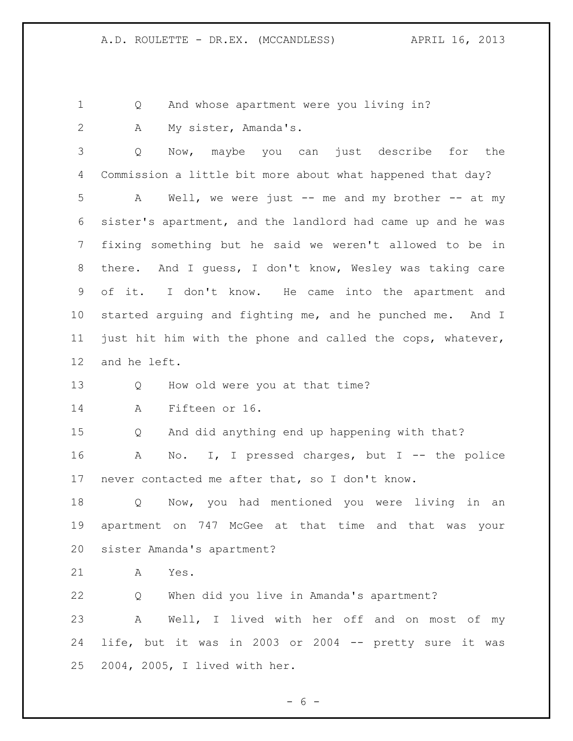Q And whose apartment were you living in?

2 A My sister, Amanda's.

 Q Now, maybe you can just describe for the Commission a little bit more about what happened that day? A Well, we were just -- me and my brother -- at my sister's apartment, and the landlord had came up and he was fixing something but he said we weren't allowed to be in there. And I guess, I don't know, Wesley was taking care of it. I don't know. He came into the apartment and started arguing and fighting me, and he punched me. And I just hit him with the phone and called the cops, whatever, and he left.

Q How old were you at that time?

A Fifteen or 16.

Q And did anything end up happening with that?

 A No. I, I pressed charges, but I -- the police never contacted me after that, so I don't know.

 Q Now, you had mentioned you were living in an apartment on 747 McGee at that time and that was your sister Amanda's apartment?

A Yes.

 Q When did you live in Amanda's apartment? A Well, I lived with her off and on most of my life, but it was in 2003 or 2004 -- pretty sure it was 2004, 2005, I lived with her.

- 6 -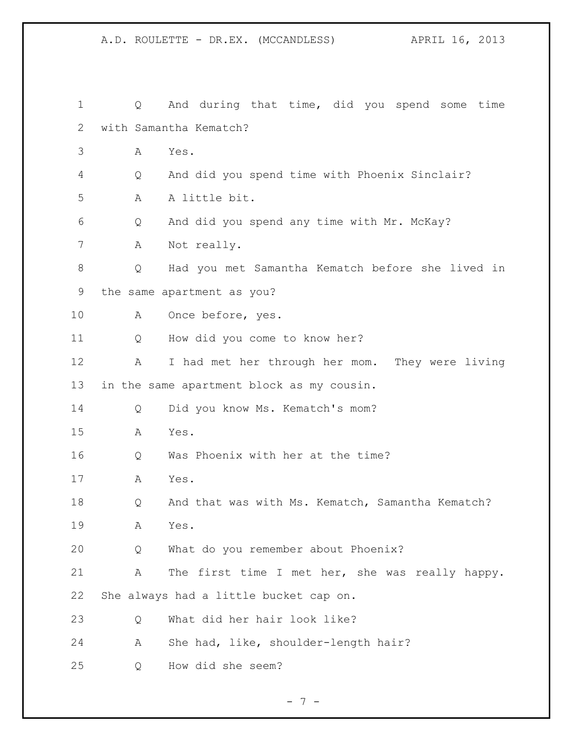| $\mathbf 1$ | Q | And during that time, did you spend some time    |
|-------------|---|--------------------------------------------------|
| 2           |   | with Samantha Kematch?                           |
| 3           | А | Yes.                                             |
| 4           | Q | And did you spend time with Phoenix Sinclair?    |
| 5           | А | A little bit.                                    |
| 6           | Q | And did you spend any time with Mr. McKay?       |
| 7           | А | Not really.                                      |
| 8           | Q | Had you met Samantha Kematch before she lived in |
| 9           |   | the same apartment as you?                       |
| 10          | A | Once before, yes.                                |
| 11          | Q | How did you come to know her?                    |
| 12          | А | I had met her through her mom. They were living  |
| 13          |   | in the same apartment block as my cousin.        |
| 14          | Q | Did you know Ms. Kematch's mom?                  |
| 15          | А | Yes.                                             |
| 16          | Q | Was Phoenix with her at the time?                |
| 17          | A | Yes.                                             |
| 18          | Q | And that was with Ms. Kematch, Samantha Kematch? |
| 19          | А | Yes.                                             |
| 20          | Q | What do you remember about Phoenix?              |
| 21          | Α | The first time I met her, she was really happy.  |
| 22          |   | She always had a little bucket cap on.           |
| 23          | Q | What did her hair look like?                     |
| 24          | Α | She had, like, shoulder-length hair?             |
| 25          | Q | How did she seem?                                |

- 7 -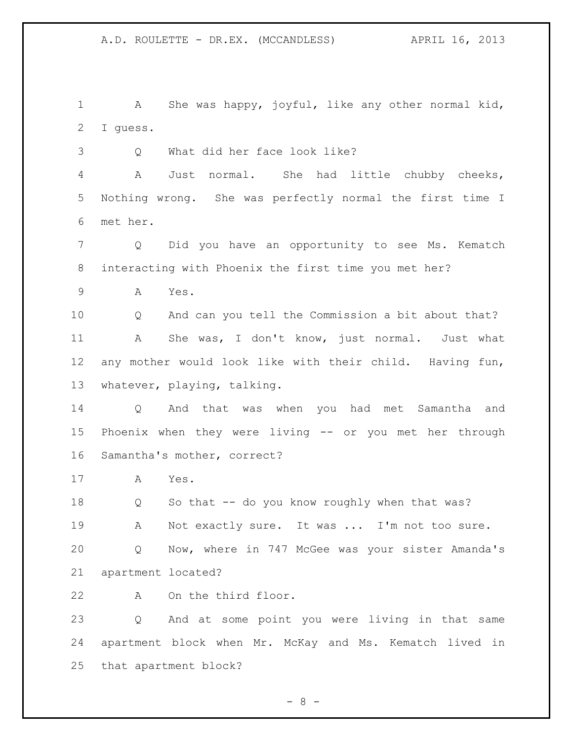A She was happy, joyful, like any other normal kid, I guess.

Q What did her face look like?

 A Just normal. She had little chubby cheeks, Nothing wrong. She was perfectly normal the first time I met her.

 Q Did you have an opportunity to see Ms. Kematch interacting with Phoenix the first time you met her?

A Yes.

 Q And can you tell the Commission a bit about that? A She was, I don't know, just normal. Just what any mother would look like with their child. Having fun, whatever, playing, talking.

 Q And that was when you had met Samantha and Phoenix when they were living -- or you met her through Samantha's mother, correct?

A Yes.

18 Q So that -- do you know roughly when that was? 19 A Not exactly sure. It was ... I'm not too sure. Q Now, where in 747 McGee was your sister Amanda's apartment located?

A On the third floor.

 Q And at some point you were living in that same apartment block when Mr. McKay and Ms. Kematch lived in that apartment block?

 $- 8 -$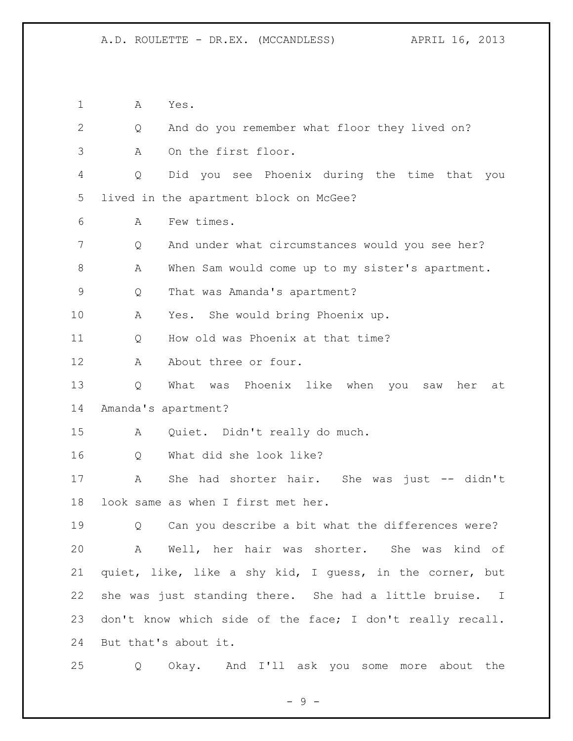A Yes. Q And do you remember what floor they lived on? A On the first floor. Q Did you see Phoenix during the time that you lived in the apartment block on McGee? A Few times. Q And under what circumstances would you see her? 8 A When Sam would come up to my sister's apartment. Q That was Amanda's apartment? A Yes. She would bring Phoenix up. Q How old was Phoenix at that time? 12 A About three or four. Q What was Phoenix like when you saw her at Amanda's apartment? A Quiet. Didn't really do much. Q What did she look like? A She had shorter hair. She was just -- didn't look same as when I first met her. Q Can you describe a bit what the differences were? A Well, her hair was shorter. She was kind of quiet, like, like a shy kid, I guess, in the corner, but she was just standing there. She had a little bruise. I don't know which side of the face; I don't really recall. But that's about it. Q Okay. And I'll ask you some more about the

- 9 -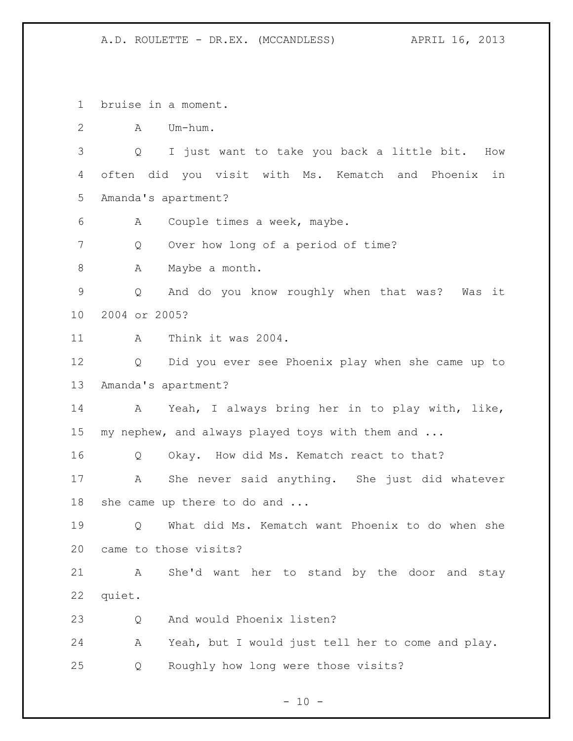bruise in a moment. A Um-hum. Q I just want to take you back a little bit. How often did you visit with Ms. Kematch and Phoenix in Amanda's apartment? A Couple times a week, maybe. Q Over how long of a period of time? 8 A Maybe a month. Q And do you know roughly when that was? Was it 2004 or 2005? A Think it was 2004. Q Did you ever see Phoenix play when she came up to Amanda's apartment? A Yeah, I always bring her in to play with, like, my nephew, and always played toys with them and ... Q Okay. How did Ms. Kematch react to that? A She never said anything. She just did whatever she came up there to do and ... Q What did Ms. Kematch want Phoenix to do when she came to those visits? A She'd want her to stand by the door and stay quiet. 23 O And would Phoenix listen? A Yeah, but I would just tell her to come and play. Q Roughly how long were those visits?

 $- 10 -$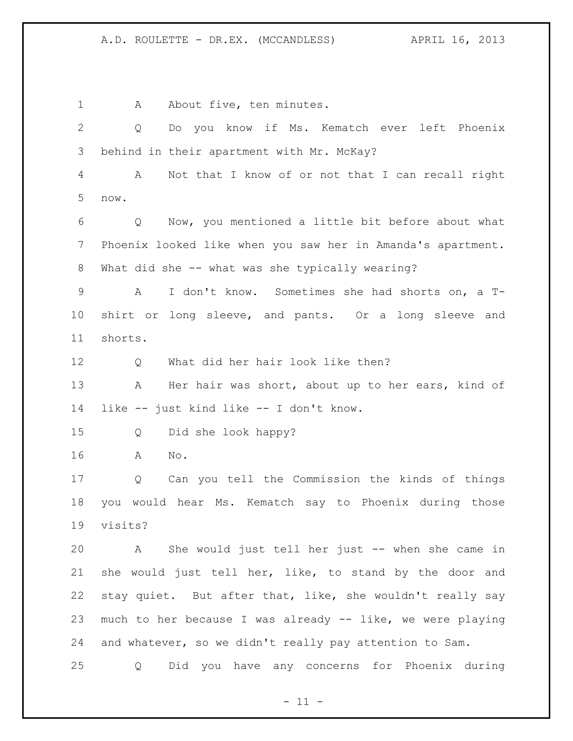1 A About five, ten minutes. Q Do you know if Ms. Kematch ever left Phoenix behind in their apartment with Mr. McKay? A Not that I know of or not that I can recall right now. Q Now, you mentioned a little bit before about what Phoenix looked like when you saw her in Amanda's apartment. What did she -- what was she typically wearing? A I don't know. Sometimes she had shorts on, a T- shirt or long sleeve, and pants. Or a long sleeve and shorts. 12 O What did her hair look like then? 13 A Her hair was short, about up to her ears, kind of like -- just kind like -- I don't know. Q Did she look happy? A No. Q Can you tell the Commission the kinds of things you would hear Ms. Kematch say to Phoenix during those visits? A She would just tell her just -- when she came in she would just tell her, like, to stand by the door and stay quiet. But after that, like, she wouldn't really say much to her because I was already -- like, we were playing and whatever, so we didn't really pay attention to Sam. Q Did you have any concerns for Phoenix during

 $- 11 -$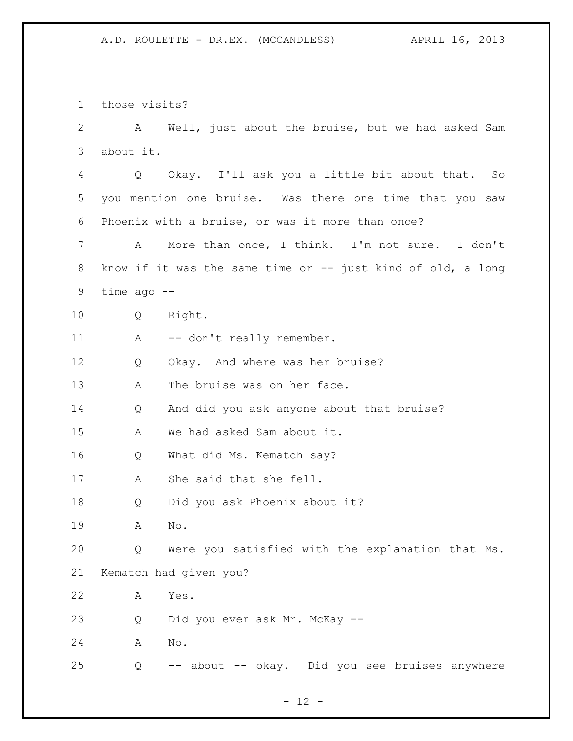those visits?

| $\overline{2}$ | A             | Well, just about the bruise, but we had asked Sam             |
|----------------|---------------|---------------------------------------------------------------|
| 3              | about it.     |                                                               |
| 4              | Q             | Okay. I'll ask you a little bit about that. So                |
| 5              |               | you mention one bruise. Was there one time that you saw       |
| 6              |               | Phoenix with a bruise, or was it more than once?              |
| 7              | A             | More than once, I think. I'm not sure. I don't                |
| 8              |               | know if it was the same time or $--$ just kind of old, a long |
| 9              | time $ago$ -- |                                                               |
| 10             | Q             | Right.                                                        |
| 11             | А             | -- don't really remember.                                     |
| 12             | Q             | Okay. And where was her bruise?                               |
| 13             | Α             | The bruise was on her face.                                   |
| 14             | Q             | And did you ask anyone about that bruise?                     |
| 15             | А             | We had asked Sam about it.                                    |
| 16             | Q             | What did Ms. Kematch say?                                     |
| 17             | А             | She said that she fell.                                       |
| 18             | Q             | Did you ask Phoenix about it?                                 |
| 19             | Α             | No.                                                           |
| 20             | Q             | Were you satisfied with the explanation that Ms.              |
| 21             |               | Kematch had given you?                                        |
| 22             | Α             | Yes.                                                          |
| 23             | Q             | Did you ever ask Mr. McKay --                                 |
| 24             | Α             | $\mathop{\rm No}\nolimits$ .                                  |
| 25             | Q             | about -- okay. Did you see bruises anywhere<br>$--$           |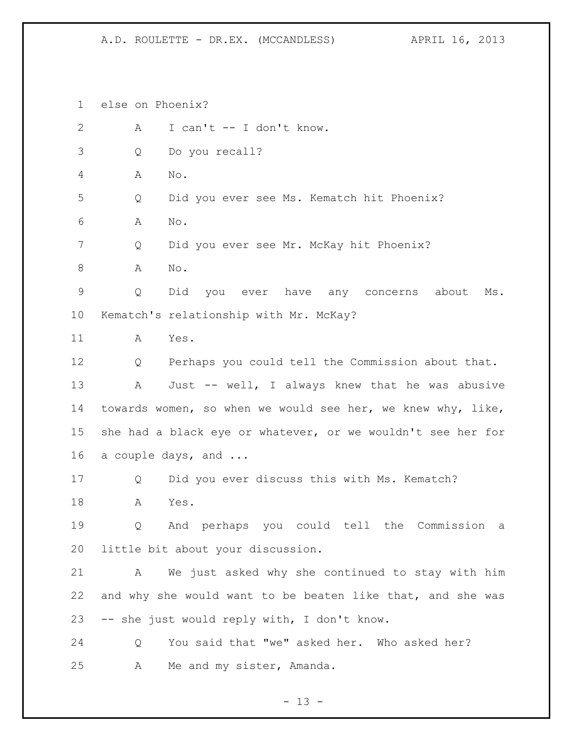else on Phoenix?

| $\mathbf{2}$    | Α | I can't -- I don't know.                                    |
|-----------------|---|-------------------------------------------------------------|
| 3               | Q | Do you recall?                                              |
| 4               | Α | No.                                                         |
| 5               | Q | Did you ever see Ms. Kematch hit Phoenix?                   |
| 6               | Α | No.                                                         |
| 7               | Q | Did you ever see Mr. McKay hit Phoenix?                     |
| 8               | Α | No.                                                         |
| $\mathsf 9$     | Q | Did you ever have any concerns<br>about<br>Ms.              |
| 10 <sub>o</sub> |   | Kematch's relationship with Mr. McKay?                      |
| 11              | А | Yes.                                                        |
| 12              | Q | Perhaps you could tell the Commission about that.           |
| 13              | A | Just -- well, I always knew that he was abusive             |
| 14              |   | towards women, so when we would see her, we knew why, like, |
| 15              |   | she had a black eye or whatever, or we wouldn't see her for |
| 16              |   | a couple days, and                                          |
| 17              | Q | Did you ever discuss this with Ms. Kematch?                 |
| 18              | A | Yes.                                                        |
| 19              | Q | And perhaps you could tell the Commission<br>а              |
| 20              |   | little bit about your discussion.                           |
| 21              | A | We just asked why she continued to stay with him            |
| 22              |   | and why she would want to be beaten like that, and she was  |
| 23              |   | -- she just would reply with, I don't know.                 |
| 24              | Q | You said that "we" asked her. Who asked her?                |
| 25              | Α | Me and my sister, Amanda.                                   |
|                 |   |                                                             |

- 13 -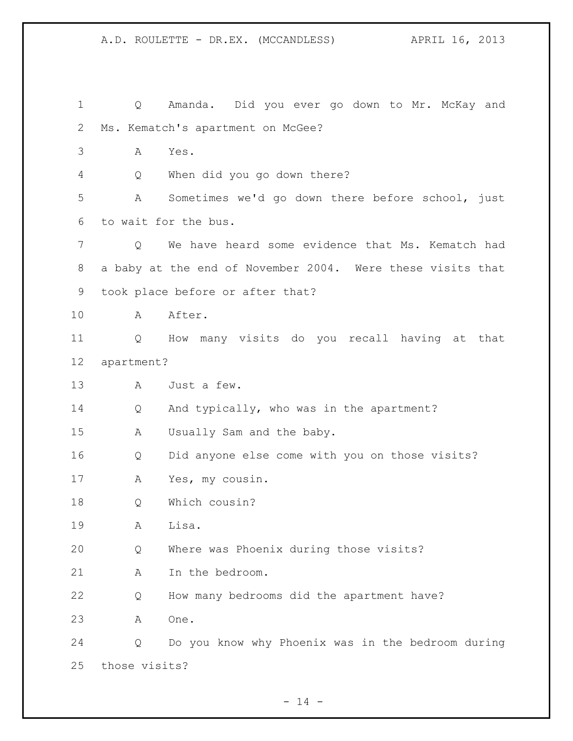Q Amanda. Did you ever go down to Mr. McKay and Ms. Kematch's apartment on McGee? A Yes. Q When did you go down there? A Sometimes we'd go down there before school, just to wait for the bus. Q We have heard some evidence that Ms. Kematch had a baby at the end of November 2004. Were these visits that took place before or after that? A After. Q How many visits do you recall having at that apartment? A Just a few. Q And typically, who was in the apartment? A Usually Sam and the baby. Q Did anyone else come with you on those visits? A Yes, my cousin. Q Which cousin? A Lisa. Q Where was Phoenix during those visits? 21 A In the bedroom. Q How many bedrooms did the apartment have? A One. Q Do you know why Phoenix was in the bedroom during those visits?

 $- 14 -$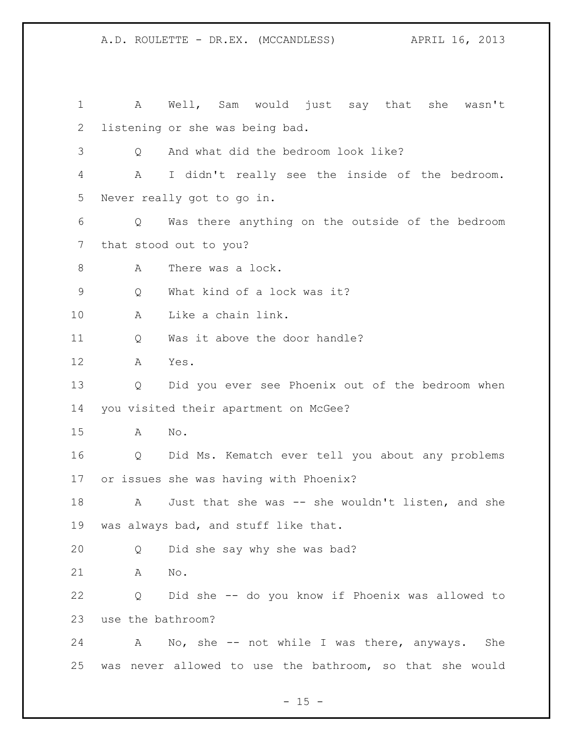A Well, Sam would just say that she wasn't listening or she was being bad. Q And what did the bedroom look like? A I didn't really see the inside of the bedroom. Never really got to go in. Q Was there anything on the outside of the bedroom that stood out to you? 8 A There was a lock. Q What kind of a lock was it? A Like a chain link. Q Was it above the door handle? A Yes. Q Did you ever see Phoenix out of the bedroom when you visited their apartment on McGee? A No. Q Did Ms. Kematch ever tell you about any problems or issues she was having with Phoenix? 18 A Just that she was -- she wouldn't listen, and she was always bad, and stuff like that. Q Did she say why she was bad? A No. Q Did she -- do you know if Phoenix was allowed to use the bathroom? A No, she -- not while I was there, anyways. She was never allowed to use the bathroom, so that she would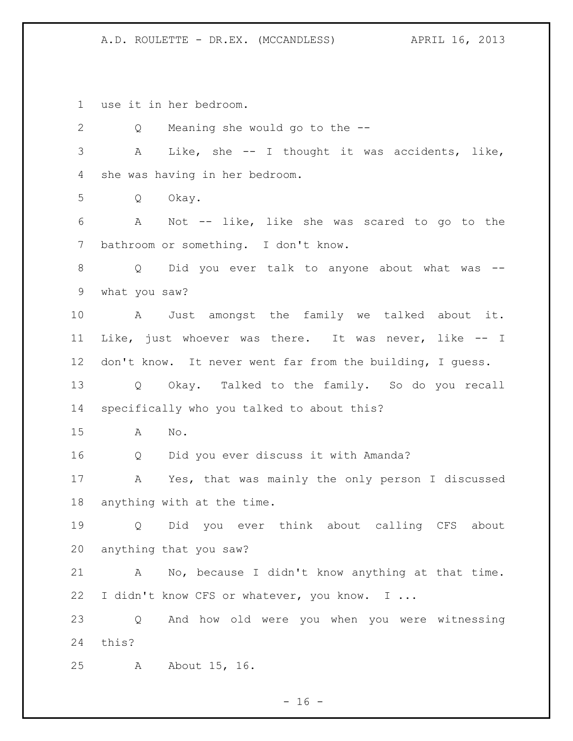use it in her bedroom.

 Q Meaning she would go to the -- A Like, she -- I thought it was accidents, like, she was having in her bedroom. Q Okay. A Not -- like, like she was scared to go to the bathroom or something. I don't know. 8 Q Did you ever talk to anyone about what was -- what you saw? A Just amongst the family we talked about it. Like, just whoever was there. It was never, like -- I don't know. It never went far from the building, I guess. Q Okay. Talked to the family. So do you recall specifically who you talked to about this? A No. Q Did you ever discuss it with Amanda? A Yes, that was mainly the only person I discussed anything with at the time. Q Did you ever think about calling CFS about anything that you saw? A No, because I didn't know anything at that time. 22 I didn't know CFS or whatever, you know. I ... Q And how old were you when you were witnessing this? A About 15, 16.

 $- 16 -$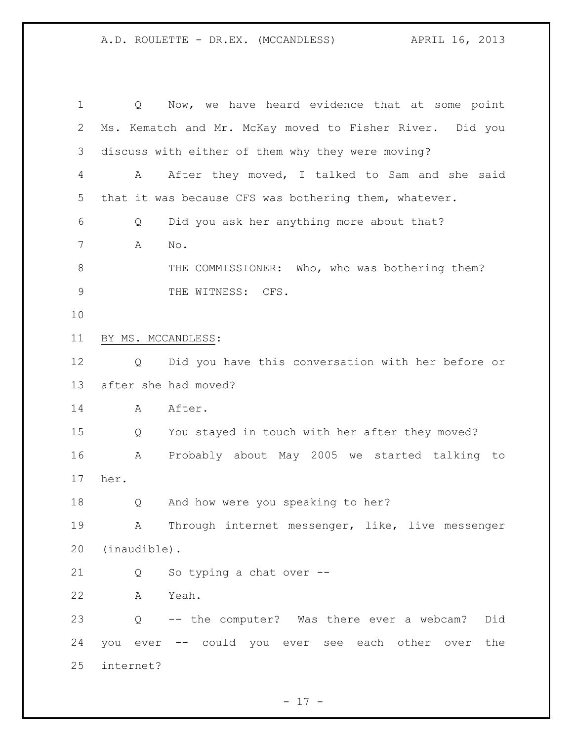Q Now, we have heard evidence that at some point Ms. Kematch and Mr. McKay moved to Fisher River. Did you discuss with either of them why they were moving? A After they moved, I talked to Sam and she said that it was because CFS was bothering them, whatever. Q Did you ask her anything more about that? A No. THE COMMISSIONER: Who, who was bothering them? 9 THE WITNESS: CFS. BY MS. MCCANDLESS: Q Did you have this conversation with her before or after she had moved? 14 A After. Q You stayed in touch with her after they moved? A Probably about May 2005 we started talking to her. Q And how were you speaking to her? A Through internet messenger, like, live messenger (inaudible). Q So typing a chat over -- A Yeah. Q -- the computer? Was there ever a webcam? Did you ever -- could you ever see each other over the internet?

 $- 17 -$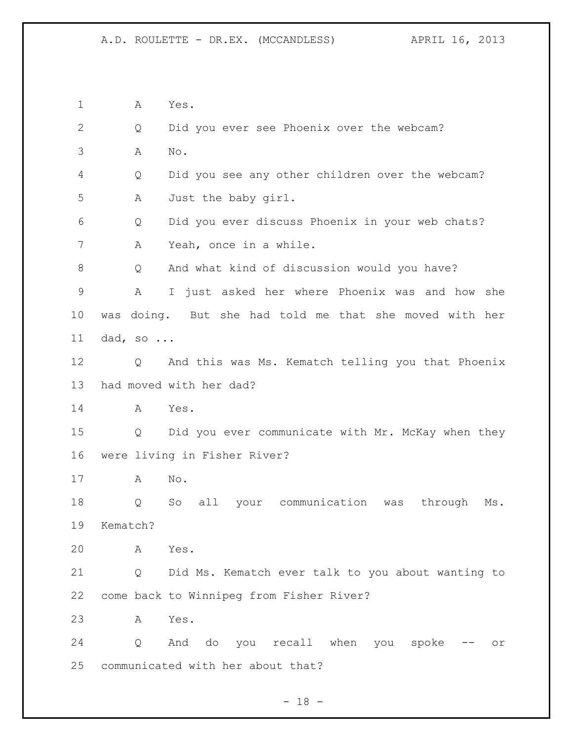A Yes. Q Did you ever see Phoenix over the webcam? A No. Q Did you see any other children over the webcam? A Just the baby girl. Q Did you ever discuss Phoenix in your web chats? A Yeah, once in a while. Q And what kind of discussion would you have? A I just asked her where Phoenix was and how she was doing. But she had told me that she moved with her dad, so ... Q And this was Ms. Kematch telling you that Phoenix had moved with her dad? A Yes. Q Did you ever communicate with Mr. McKay when they were living in Fisher River? A No. Q So all your communication was through Ms. Kematch? A Yes. Q Did Ms. Kematch ever talk to you about wanting to come back to Winnipeg from Fisher River? A Yes. 24 Q And do you recall when you spoke -- or communicated with her about that?

 $- 18 -$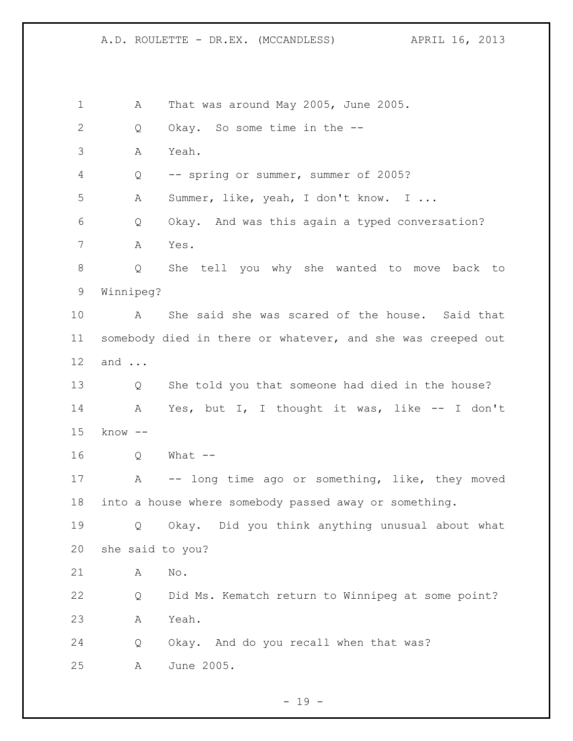A That was around May 2005, June 2005. 2 Q Okay. So some time in the -- A Yeah. Q -- spring or summer, summer of 2005? A Summer, like, yeah, I don't know. I ... Q Okay. And was this again a typed conversation? A Yes. Q She tell you why she wanted to move back to Winnipeg? A She said she was scared of the house. Said that somebody died in there or whatever, and she was creeped out and ... Q She told you that someone had died in the house? A Yes, but I, I thought it was, like -- I don't know -- Q What -- A -- long time ago or something, like, they moved into a house where somebody passed away or something. Q Okay. Did you think anything unusual about what she said to you? A No. Q Did Ms. Kematch return to Winnipeg at some point? A Yeah. Q Okay. And do you recall when that was? A June 2005.

 $- 19 -$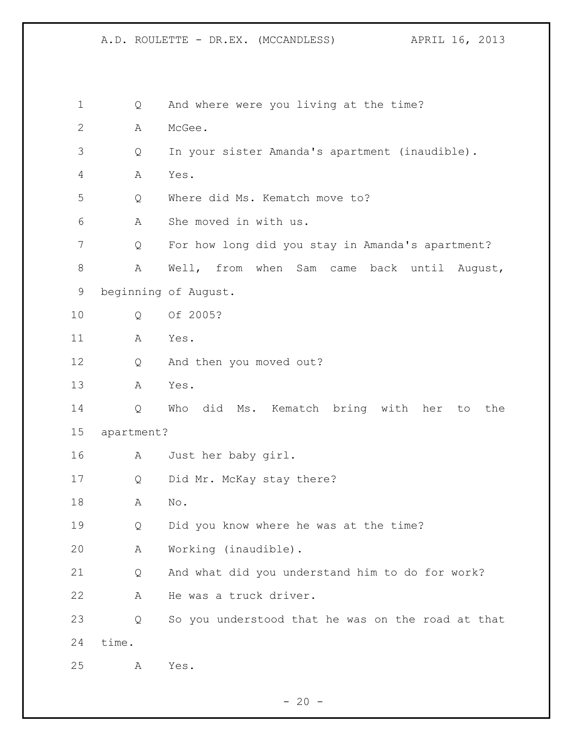Q And where were you living at the time? A McGee. Q In your sister Amanda's apartment (inaudible). A Yes. Q Where did Ms. Kematch move to? A She moved in with us. Q For how long did you stay in Amanda's apartment? A Well, from when Sam came back until August, beginning of August. Q Of 2005? A Yes. Q And then you moved out? A Yes. Q Who did Ms. Kematch bring with her to the apartment? A Just her baby girl. Q Did Mr. McKay stay there? A No. Q Did you know where he was at the time? A Working (inaudible). Q And what did you understand him to do for work? A He was a truck driver. Q So you understood that he was on the road at that time. A Yes.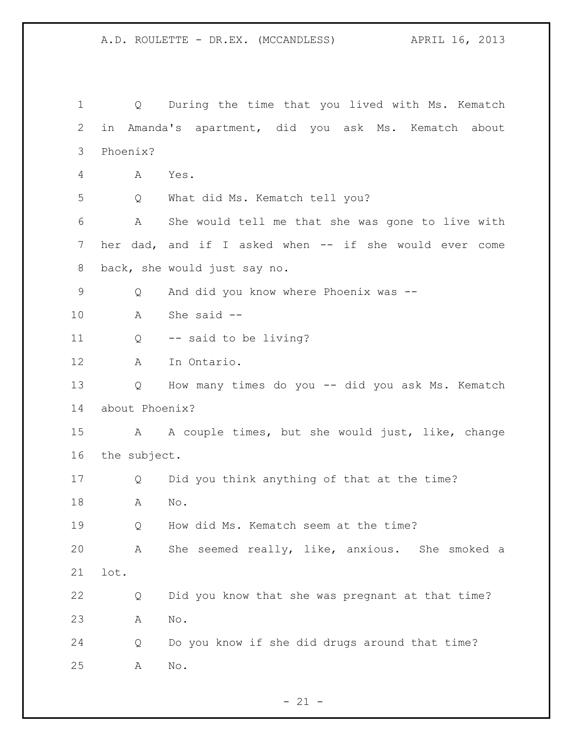Q During the time that you lived with Ms. Kematch in Amanda's apartment, did you ask Ms. Kematch about Phoenix? A Yes. Q What did Ms. Kematch tell you? A She would tell me that she was gone to live with 7 her dad, and if I asked when -- if she would ever come back, she would just say no. Q And did you know where Phoenix was -- A She said -- Q -- said to be living? A In Ontario. Q How many times do you -- did you ask Ms. Kematch about Phoenix? A A couple times, but she would just, like, change the subject. Q Did you think anything of that at the time? A No. Q How did Ms. Kematch seem at the time? A She seemed really, like, anxious. She smoked a lot. Q Did you know that she was pregnant at that time? A No. Q Do you know if she did drugs around that time? A No.

 $- 21 -$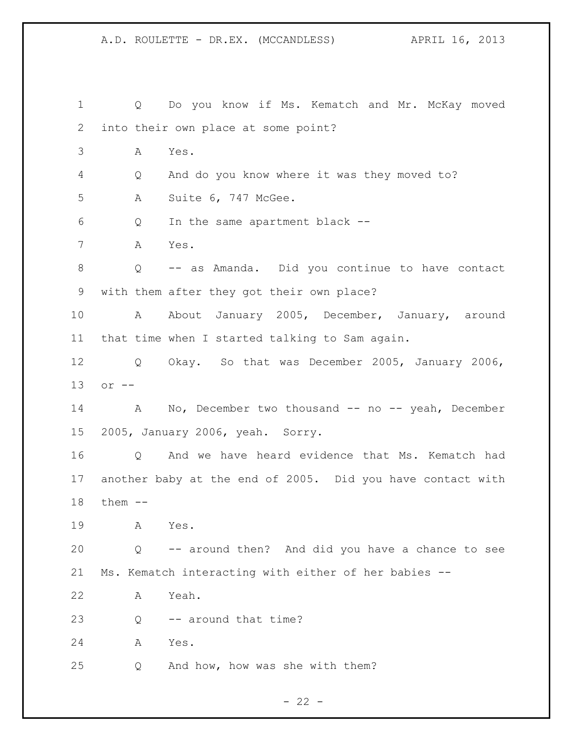Q Do you know if Ms. Kematch and Mr. McKay moved into their own place at some point? A Yes. Q And do you know where it was they moved to? A Suite 6, 747 McGee. Q In the same apartment black -- A Yes. Q -- as Amanda. Did you continue to have contact with them after they got their own place? A About January 2005, December, January, around that time when I started talking to Sam again. Q Okay. So that was December 2005, January 2006, or -- 14 A No, December two thousand -- no -- yeah, December 2005, January 2006, yeah. Sorry. Q And we have heard evidence that Ms. Kematch had another baby at the end of 2005. Did you have contact with them -- A Yes. Q -- around then? And did you have a chance to see Ms. Kematch interacting with either of her babies -- A Yeah. 23 Q -- around that time? A Yes. Q And how, how was she with them?

 $- 22 -$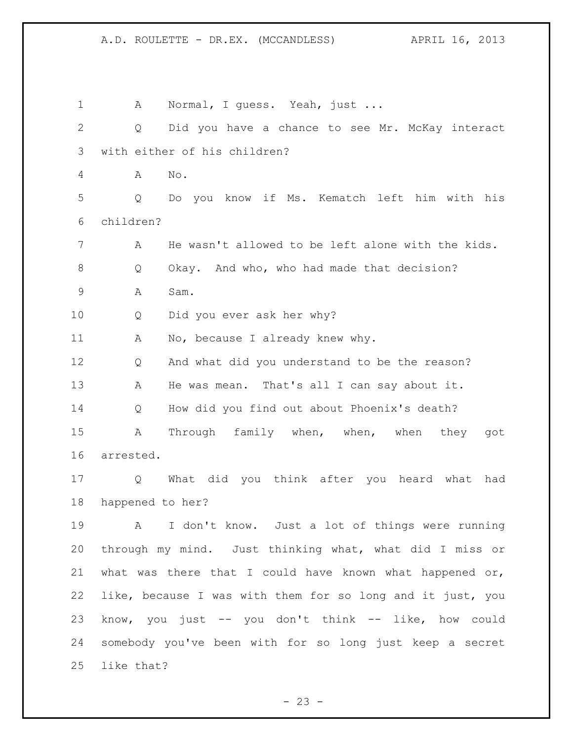1 A Normal, I guess. Yeah, just ... Q Did you have a chance to see Mr. McKay interact with either of his children? A No. Q Do you know if Ms. Kematch left him with his children? A He wasn't allowed to be left alone with the kids. 8 O Okay. And who, who had made that decision? A Sam. Q Did you ever ask her why? 11 A No, because I already knew why. Q And what did you understand to be the reason? A He was mean. That's all I can say about it. Q How did you find out about Phoenix's death? A Through family when, when, when they got arrested. Q What did you think after you heard what had happened to her? A I don't know. Just a lot of things were running through my mind. Just thinking what, what did I miss or what was there that I could have known what happened or, like, because I was with them for so long and it just, you know, you just -- you don't think -- like, how could somebody you've been with for so long just keep a secret like that?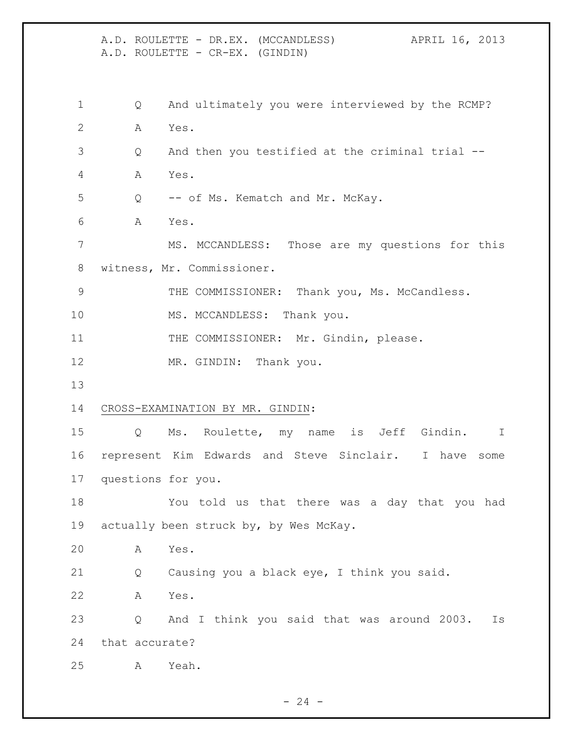A.D. ROULETTE - DR.EX. (MCCANDLESS) APRIL 16, 2013 A.D. ROULETTE - CR-EX. (GINDIN) Q And ultimately you were interviewed by the RCMP? A Yes. Q And then you testified at the criminal trial -- A Yes. Q -- of Ms. Kematch and Mr. McKay. A Yes. MS. MCCANDLESS: Those are my questions for this witness, Mr. Commissioner. THE COMMISSIONER: Thank you, Ms. McCandless. 10 MS. MCCANDLESS: Thank you. 11 THE COMMISSIONER: Mr. Gindin, please. 12 MR. GINDIN: Thank you. CROSS-EXAMINATION BY MR. GINDIN: Q Ms. Roulette, my name is Jeff Gindin. I represent Kim Edwards and Steve Sinclair. I have some questions for you. You told us that there was a day that you had 19 actually been struck by, by Wes McKay. A Yes. Q Causing you a black eye, I think you said. A Yes. Q And I think you said that was around 2003. Is that accurate? A Yeah.

 $-24 -$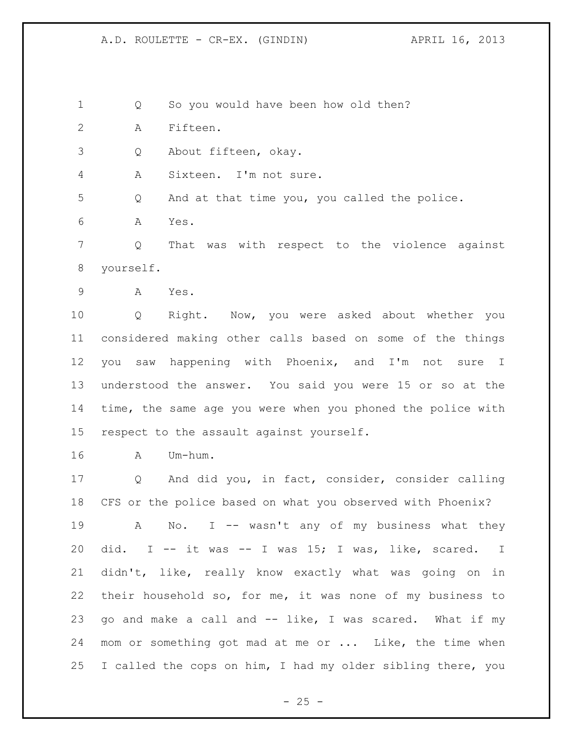Q So you would have been how old then?

A Fifteen.

Q About fifteen, okay.

A Sixteen. I'm not sure.

Q And at that time you, you called the police.

A Yes.

 Q That was with respect to the violence against yourself.

A Yes.

 Q Right. Now, you were asked about whether you considered making other calls based on some of the things you saw happening with Phoenix, and I'm not sure I understood the answer. You said you were 15 or so at the time, the same age you were when you phoned the police with respect to the assault against yourself.

A Um-hum.

 Q And did you, in fact, consider, consider calling CFS or the police based on what you observed with Phoenix? 19 A No. I -- wasn't any of my business what they did. I -- it was -- I was 15; I was, like, scared. I didn't, like, really know exactly what was going on in their household so, for me, it was none of my business to go and make a call and -- like, I was scared. What if my mom or something got mad at me or ... Like, the time when I called the cops on him, I had my older sibling there, you

 $- 25 -$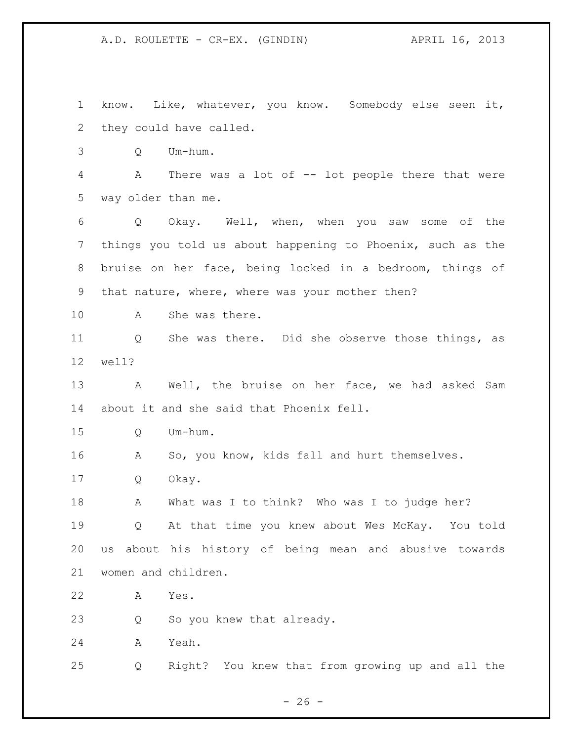know. Like, whatever, you know. Somebody else seen it, they could have called. Q Um-hum. A There was a lot of -- lot people there that were way older than me. Q Okay. Well, when, when you saw some of the things you told us about happening to Phoenix, such as the bruise on her face, being locked in a bedroom, things of that nature, where, where was your mother then? A She was there. Q She was there. Did she observe those things, as well? A Well, the bruise on her face, we had asked Sam about it and she said that Phoenix fell. Q Um-hum. A So, you know, kids fall and hurt themselves. Q Okay. A What was I to think? Who was I to judge her? Q At that time you knew about Wes McKay. You told us about his history of being mean and abusive towards women and children. A Yes. Q So you knew that already. A Yeah. Q Right? You knew that from growing up and all the

 $- 26 -$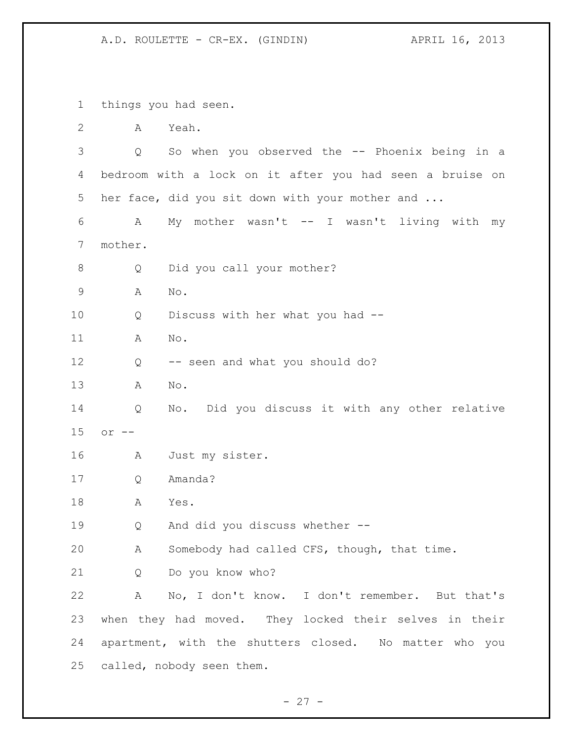things you had seen. A Yeah. Q So when you observed the -- Phoenix being in a bedroom with a lock on it after you had seen a bruise on her face, did you sit down with your mother and ... A My mother wasn't -- I wasn't living with my mother. 8 Q Did you call your mother? A No. Q Discuss with her what you had -- A No. Q -- seen and what you should do? A No. Q No. Did you discuss it with any other relative or -- A Just my sister. Q Amanda? A Yes. Q And did you discuss whether -- A Somebody had called CFS, though, that time. Q Do you know who? A No, I don't know. I don't remember. But that's when they had moved. They locked their selves in their apartment, with the shutters closed. No matter who you called, nobody seen them.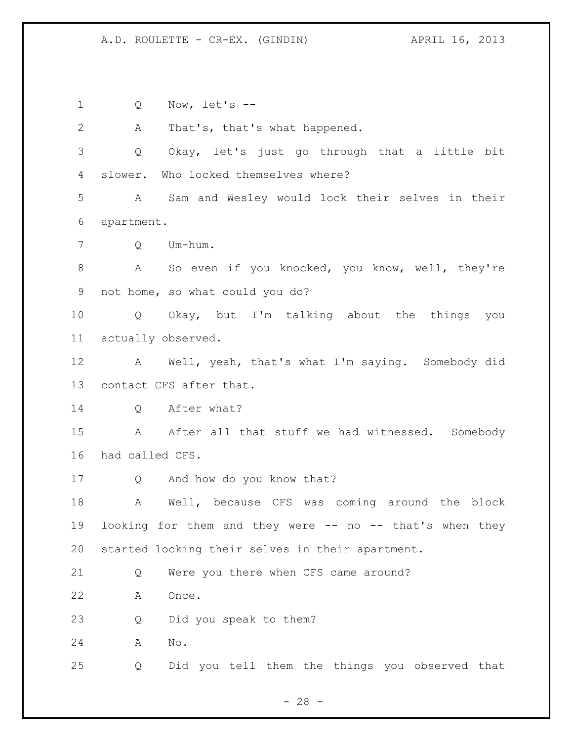Q Now, let's -- A That's, that's what happened. Q Okay, let's just go through that a little bit slower. Who locked themselves where? A Sam and Wesley would lock their selves in their apartment. Q Um-hum. 8 A So even if you knocked, you know, well, they're not home, so what could you do? Q Okay, but I'm talking about the things you actually observed. A Well, yeah, that's what I'm saying. Somebody did contact CFS after that. Q After what? 15 A After all that stuff we had witnessed. Somebody had called CFS. Q And how do you know that? A Well, because CFS was coming around the block looking for them and they were -- no -- that's when they started locking their selves in their apartment. Q Were you there when CFS came around? A Once. Q Did you speak to them? A No. Q Did you tell them the things you observed that

 $- 28 -$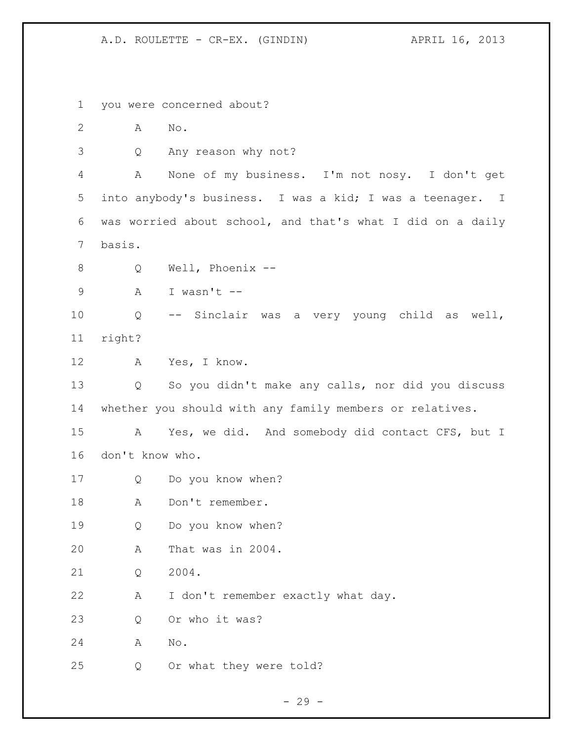you were concerned about? A No. Q Any reason why not? A None of my business. I'm not nosy. I don't get into anybody's business. I was a kid; I was a teenager. I was worried about school, and that's what I did on a daily basis. Q Well, Phoenix -- A I wasn't -- Q -- Sinclair was a very young child as well, right? A Yes, I know. Q So you didn't make any calls, nor did you discuss whether you should with any family members or relatives. A Yes, we did. And somebody did contact CFS, but I don't know who. Q Do you know when? 18 A Don't remember. Q Do you know when? A That was in 2004. 21 O 2004. A I don't remember exactly what day. Q Or who it was? A No. Q Or what they were told?

 $- 29 -$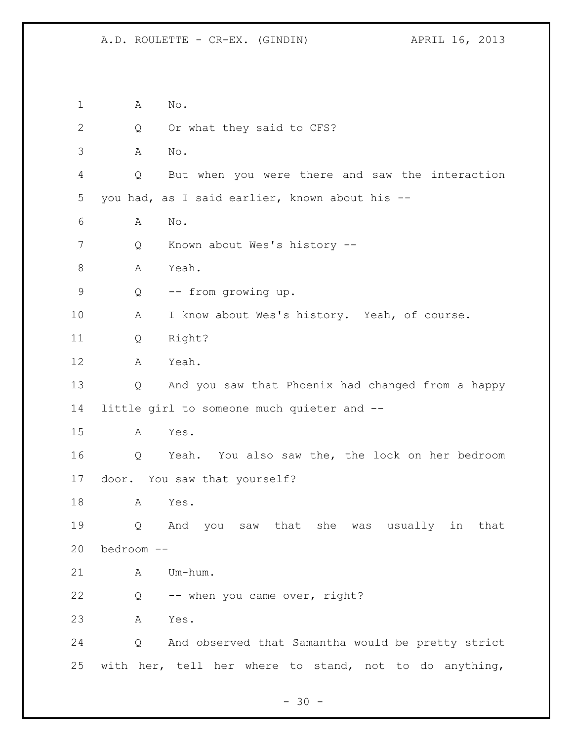A No. 2 Q Or what they said to CFS? A No. Q But when you were there and saw the interaction you had, as I said earlier, known about his -- A No. Q Known about Wes's history -- 8 A Yeah. Q -- from growing up. A I know about Wes's history. Yeah, of course. Q Right? A Yeah. Q And you saw that Phoenix had changed from a happy little girl to someone much quieter and -- A Yes. Q Yeah. You also saw the, the lock on her bedroom door. You saw that yourself? A Yes. Q And you saw that she was usually in that bedroom -- A Um-hum. Q -- when you came over, right? A Yes. Q And observed that Samantha would be pretty strict with her, tell her where to stand, not to do anything,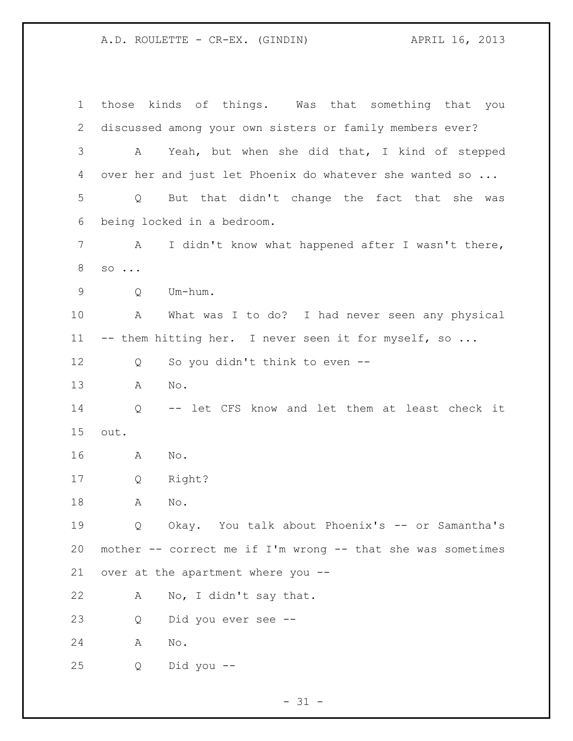those kinds of things. Was that something that you discussed among your own sisters or family members ever? A Yeah, but when she did that, I kind of stepped 4 over her and just let Phoenix do whatever she wanted so ... Q But that didn't change the fact that she was being locked in a bedroom. A I didn't know what happened after I wasn't there, so ... Q Um-hum. A What was I to do? I had never seen any physical 11 -- them hitting her. I never seen it for myself, so ... Q So you didn't think to even -- A No. Q -- let CFS know and let them at least check it out. A No. Q Right? A No. Q Okay. You talk about Phoenix's -- or Samantha's mother -- correct me if I'm wrong -- that she was sometimes over at the apartment where you -- A No, I didn't say that. Q Did you ever see -- A No. Q Did you --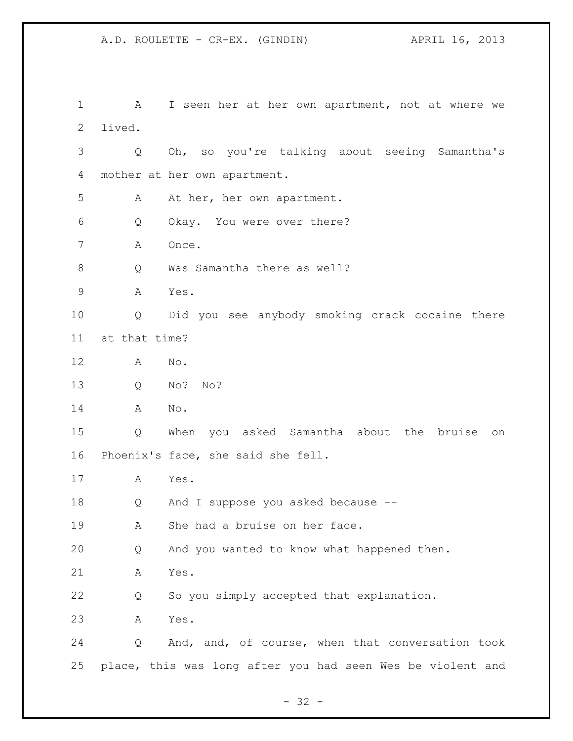A I seen her at her own apartment, not at where we lived. Q Oh, so you're talking about seeing Samantha's mother at her own apartment. A At her, her own apartment. Q Okay. You were over there? A Once. 8 O Was Samantha there as well? A Yes. Q Did you see anybody smoking crack cocaine there at that time? A No. Q No? No? A No. Q When you asked Samantha about the bruise on Phoenix's face, she said she fell. A Yes. Q And I suppose you asked because -- A She had a bruise on her face. Q And you wanted to know what happened then. A Yes. Q So you simply accepted that explanation. A Yes. Q And, and, of course, when that conversation took place, this was long after you had seen Wes be violent and

 $- 32 -$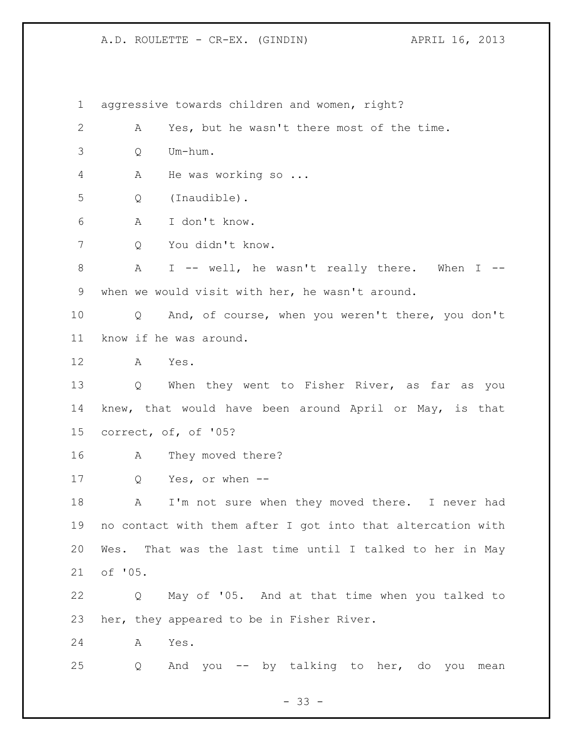aggressive towards children and women, right? A Yes, but he wasn't there most of the time. Q Um-hum. A He was working so ... Q (Inaudible). A I don't know. Q You didn't know. A I -- well, he wasn't really there. When I -- when we would visit with her, he wasn't around. Q And, of course, when you weren't there, you don't know if he was around. A Yes. 13 Q When they went to Fisher River, as far as you knew, that would have been around April or May, is that correct, of, of '05? A They moved there? Q Yes, or when -- 18 A I'm not sure when they moved there. I never had no contact with them after I got into that altercation with Wes. That was the last time until I talked to her in May of '05. Q May of '05. And at that time when you talked to her, they appeared to be in Fisher River. A Yes. Q And you -- by talking to her, do you mean

 $- 33 -$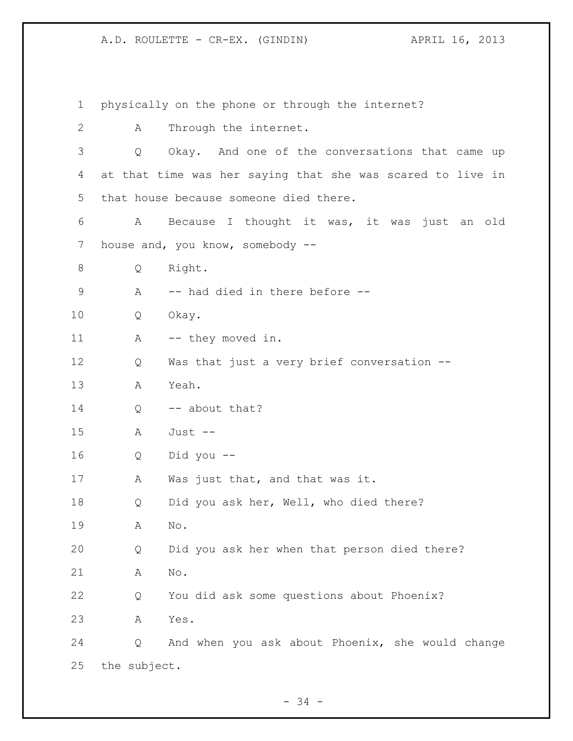A.D. ROULETTE - CR-EX. (GINDIN) APRIL 16, 2013

 physically on the phone or through the internet? A Through the internet. Q Okay. And one of the conversations that came up at that time was her saying that she was scared to live in that house because someone died there. A Because I thought it was, it was just an old 7 house and, you know, somebody -- Q Right. 9 A -- had died in there before -- Q Okay. 11 A -- they moved in. Q Was that just a very brief conversation -- A Yeah. 14 Q -- about that? A Just -- Q Did you -- 17 A Was just that, and that was it. Q Did you ask her, Well, who died there? A No. Q Did you ask her when that person died there? A No. Q You did ask some questions about Phoenix? A Yes. Q And when you ask about Phoenix, she would change the subject.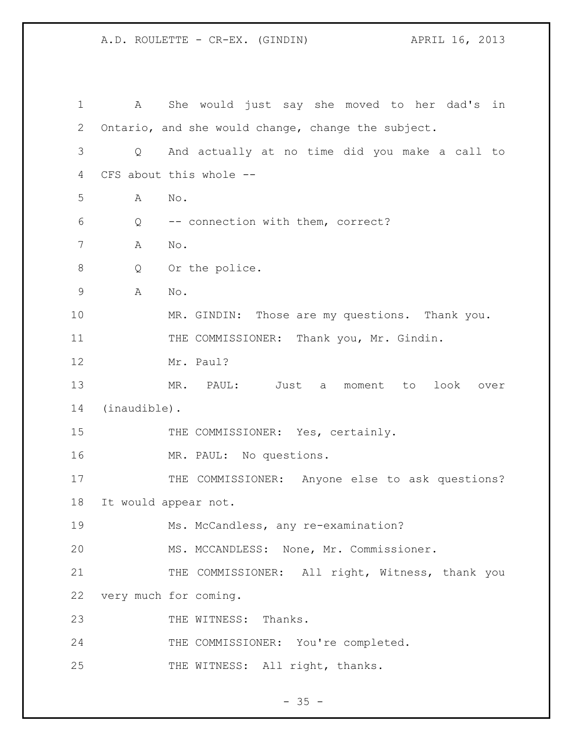A.D. ROULETTE - CR-EX. (GINDIN) APRIL 16, 2013

| 1           | A            | She would just say she moved to her dad's<br>in    |
|-------------|--------------|----------------------------------------------------|
| 2           |              | Ontario, and she would change, change the subject. |
| 3           | Q            | And actually at no time did you make a call to     |
| 4           |              | CFS about this whole --                            |
| 5           | A            | No.                                                |
| 6           | Q            | -- connection with them, correct?                  |
| 7           | Α            | No.                                                |
| $\,8\,$     | Q            | Or the police.                                     |
| $\mathsf 9$ | Α            | No.                                                |
| 10          |              | MR. GINDIN: Those are my questions. Thank you.     |
| 11          |              | THE COMMISSIONER: Thank you, Mr. Gindin.           |
| 12          |              | Mr. Paul?                                          |
| 13          |              | MR. PAUL: Just a moment to<br>look<br>over         |
| 14          | (inaudible). |                                                    |
| 15          |              | THE COMMISSIONER: Yes, certainly.                  |
| 16          |              | MR. PAUL: No questions.                            |
| 17          |              | THE COMMISSIONER: Anyone else to ask questions?    |
| 18          |              | It would appear not.                               |
| 19          |              | Ms. McCandless, any re-examination?                |
| 20          |              | MS. MCCANDLESS: None, Mr. Commissioner.            |
| 21          |              | THE COMMISSIONER: All right, Witness, thank you    |
| 22          |              | very much for coming.                              |
| 23          |              | THE WITNESS:<br>Thanks.                            |
| 24          |              | THE COMMISSIONER: You're completed.                |
| 25          |              | THE WITNESS: All right, thanks.                    |

- 35 -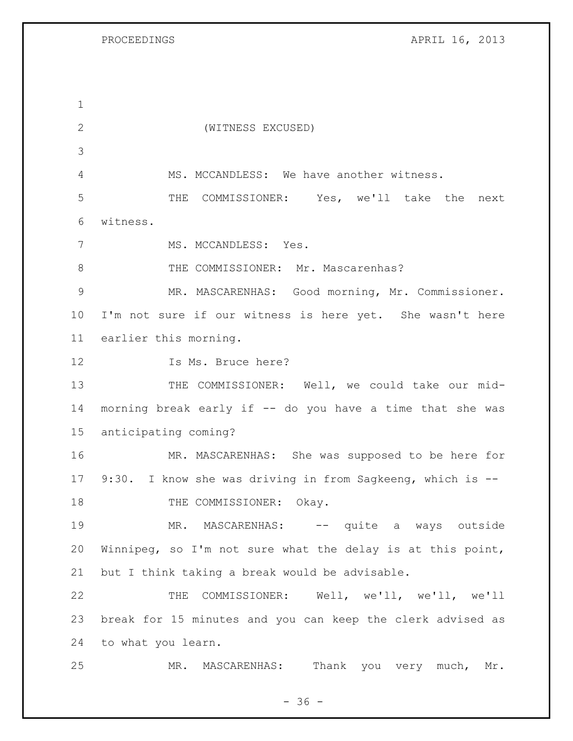PROCEEDINGS APRIL 16, 2013

 (WITNESS EXCUSED) MS. MCCANDLESS: We have another witness. THE COMMISSIONER: Yes, we'll take the next witness. MS. MCCANDLESS: Yes. 8 THE COMMISSIONER: Mr. Mascarenhas? MR. MASCARENHAS: Good morning, Mr. Commissioner. I'm not sure if our witness is here yet. She wasn't here earlier this morning. 12 Is Ms. Bruce here? 13 THE COMMISSIONER: Well, we could take our mid- morning break early if -- do you have a time that she was anticipating coming? MR. MASCARENHAS: She was supposed to be here for 9:30. I know she was driving in from Sagkeeng, which is -- 18 THE COMMISSIONER: Okay. 19 MR. MASCARENHAS: -- quite a ways outside Winnipeg, so I'm not sure what the delay is at this point, but I think taking a break would be advisable. THE COMMISSIONER: Well, we'll, we'll, we'll break for 15 minutes and you can keep the clerk advised as to what you learn. MR. MASCARENHAS: Thank you very much, Mr.

 $- 36 -$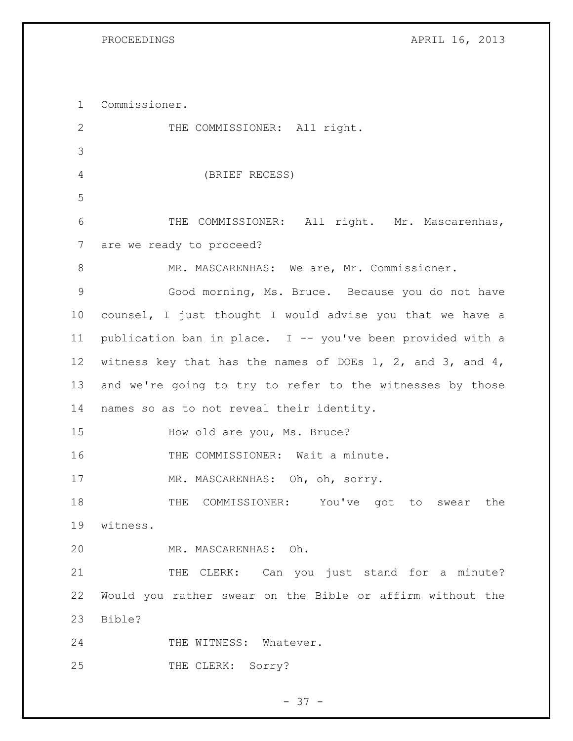PROCEEDINGS APRIL 16, 2013

 Commissioner. 2 THE COMMISSIONER: All right. (BRIEF RECESS) THE COMMISSIONER: All right. Mr. Mascarenhas, are we ready to proceed? MR. MASCARENHAS: We are, Mr. Commissioner. Good morning, Ms. Bruce. Because you do not have counsel, I just thought I would advise you that we have a publication ban in place. I -- you've been provided with a witness key that has the names of DOEs 1, 2, and 3, and 4, and we're going to try to refer to the witnesses by those names so as to not reveal their identity. How old are you, Ms. Bruce? 16 THE COMMISSIONER: Wait a minute. MR. MASCARENHAS: Oh, oh, sorry. THE COMMISSIONER: You've got to swear the witness. MR. MASCARENHAS: Oh. 21 THE CLERK: Can you just stand for a minute? Would you rather swear on the Bible or affirm without the Bible? 24 THE WITNESS: Whatever. 25 THE CLERK: Sorry?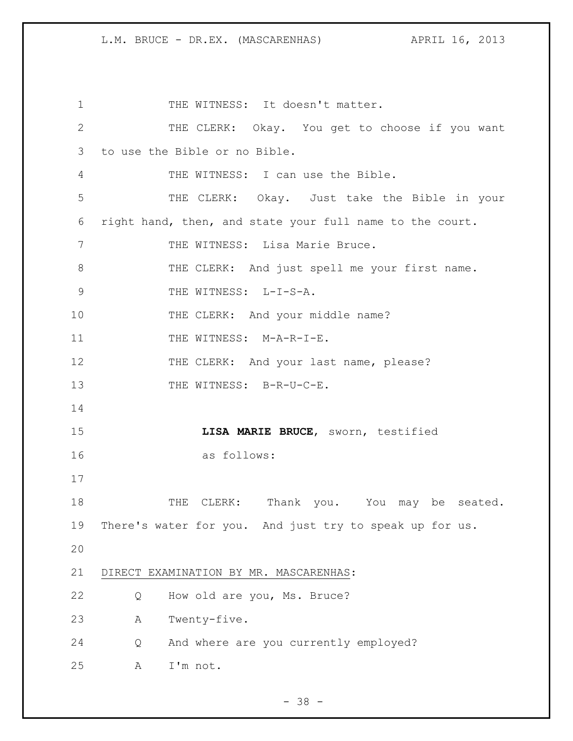1 THE WITNESS: It doesn't matter. THE CLERK: Okay. You get to choose if you want to use the Bible or no Bible. THE WITNESS: I can use the Bible. THE CLERK: Okay. Just take the Bible in your right hand, then, and state your full name to the court. 7 THE WITNESS: Lisa Marie Bruce. THE CLERK: And just spell me your first name. 9 THE WITNESS: L-I-S-A. 10 THE CLERK: And your middle name? 11 THE WITNESS: M-A-R-I-E. 12 THE CLERK: And your last name, please? 13 THE WITNESS: B-R-U-C-E. **LISA MARIE BRUCE**, sworn, testified as follows: 18 THE CLERK: Thank you. You may be seated. There's water for you. And just try to speak up for us. DIRECT EXAMINATION BY MR. MASCARENHAS: Q How old are you, Ms. Bruce? A Twenty-five. Q And where are you currently employed? A I'm not.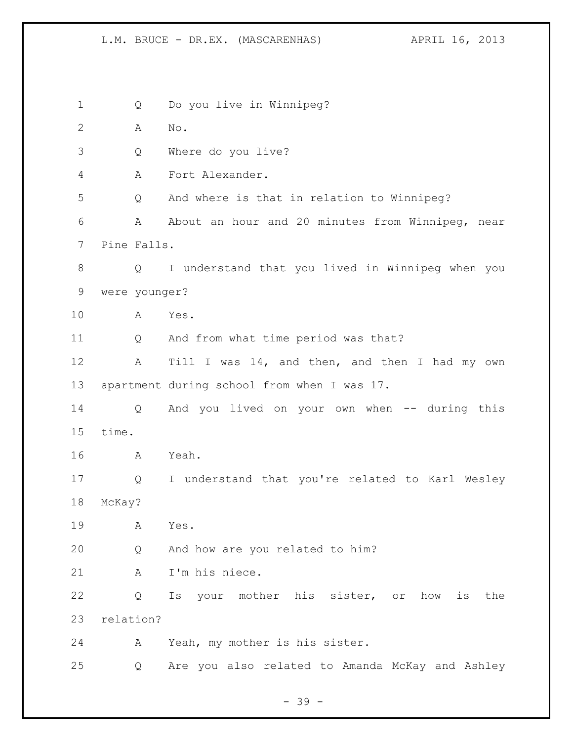Q Do you live in Winnipeg? A No. Q Where do you live? A Fort Alexander. Q And where is that in relation to Winnipeg? A About an hour and 20 minutes from Winnipeg, near Pine Falls. Q I understand that you lived in Winnipeg when you were younger? A Yes. Q And from what time period was that? 12 A Till I was 14, and then, and then I had my own apartment during school from when I was 17. Q And you lived on your own when -- during this time. A Yeah. Q I understand that you're related to Karl Wesley McKay? A Yes. Q And how are you related to him? A I'm his niece. Q Is your mother his sister, or how is the relation? A Yeah, my mother is his sister. Q Are you also related to Amanda McKay and Ashley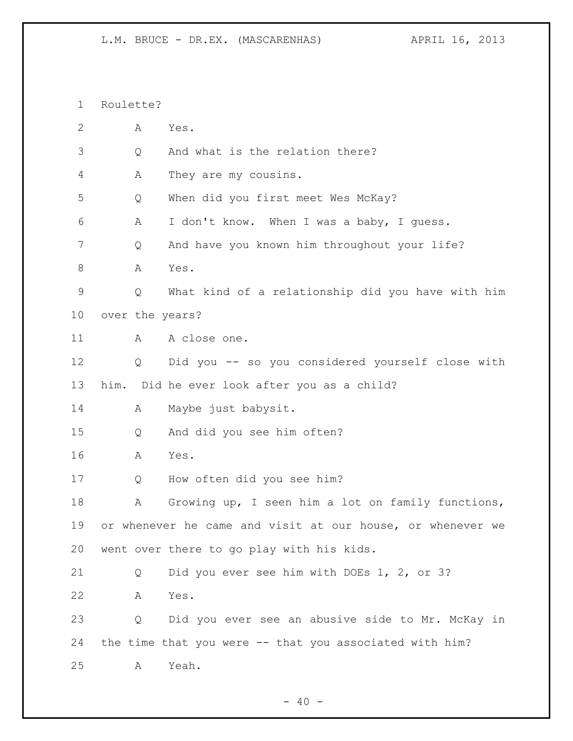Roulette?

| $\mathbf{2}$ | А | Yes.                                                       |
|--------------|---|------------------------------------------------------------|
| 3            | Q | And what is the relation there?                            |
| 4            | Α | They are my cousins.                                       |
| 5            | Q | When did you first meet Wes McKay?                         |
| 6            | Α | I don't know. When I was a baby, I quess.                  |
| 7            | Q | And have you known him throughout your life?               |
| $\,8\,$      | A | Yes.                                                       |
| 9            | Q | What kind of a relationship did you have with him          |
| 10           |   | over the years?                                            |
| 11           | A | A close one.                                               |
| 12           | Q | Did you -- so you considered yourself close with           |
| 13           |   | him. Did he ever look after you as a child?                |
| 14           | А | Maybe just babysit.                                        |
| 15           | Q | And did you see him often?                                 |
| 16           | Α | Yes.                                                       |
| 17           | Q | How often did you see him?                                 |
| 18           | Α | Growing up, I seen him a lot on family functions,          |
| 19           |   | or whenever he came and visit at our house, or whenever we |
| 20           |   | went over there to go play with his kids.                  |
| 21           | Q | Did you ever see him with DOEs 1, 2, or 3?                 |
| 22           | A | Yes.                                                       |
| 23           | Q | Did you ever see an abusive side to Mr. McKay in           |
| 24           |   | the time that you were -- that you associated with him?    |
| 25           | A | Yeah.                                                      |

- 40 -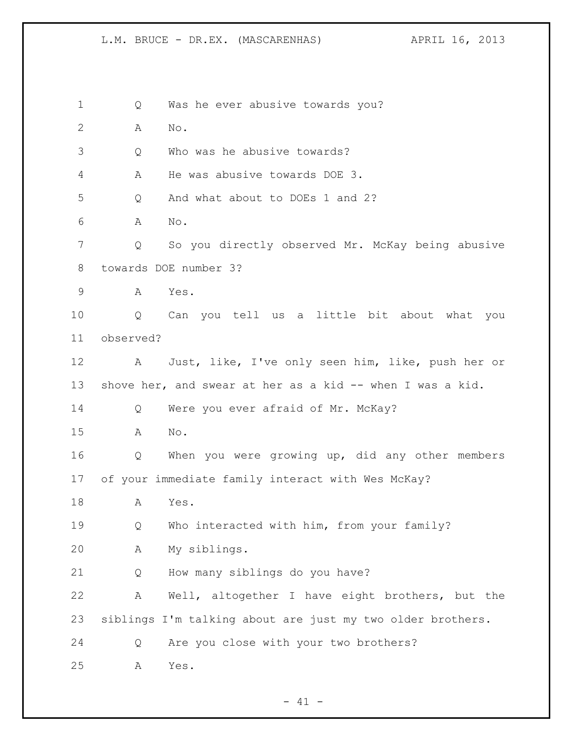1 Q Was he ever abusive towards you? A No. Q Who was he abusive towards? A He was abusive towards DOE 3. Q And what about to DOEs 1 and 2? A No. Q So you directly observed Mr. McKay being abusive towards DOE number 3? A Yes. Q Can you tell us a little bit about what you observed? A Just, like, I've only seen him, like, push her or shove her, and swear at her as a kid -- when I was a kid. Q Were you ever afraid of Mr. McKay? A No. Q When you were growing up, did any other members of your immediate family interact with Wes McKay? A Yes. Q Who interacted with him, from your family? A My siblings. Q How many siblings do you have? A Well, altogether I have eight brothers, but the siblings I'm talking about are just my two older brothers. Q Are you close with your two brothers? A Yes.

 $- 41 -$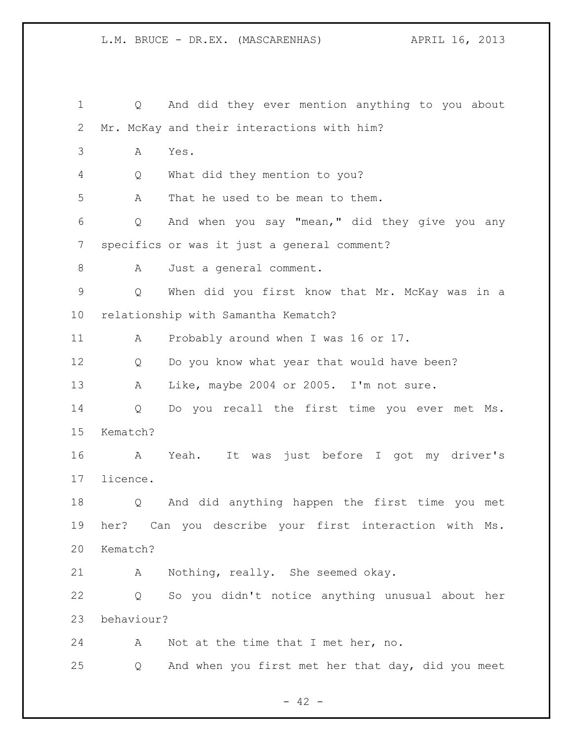Q And did they ever mention anything to you about Mr. McKay and their interactions with him? A Yes. Q What did they mention to you? A That he used to be mean to them. Q And when you say "mean," did they give you any specifics or was it just a general comment? 8 A Just a general comment. Q When did you first know that Mr. McKay was in a relationship with Samantha Kematch? A Probably around when I was 16 or 17. Q Do you know what year that would have been? A Like, maybe 2004 or 2005. I'm not sure. Q Do you recall the first time you ever met Ms. Kematch? A Yeah. It was just before I got my driver's licence. Q And did anything happen the first time you met her? Can you describe your first interaction with Ms. Kematch? A Nothing, really. She seemed okay. Q So you didn't notice anything unusual about her behaviour? A Not at the time that I met her, no. Q And when you first met her that day, did you meet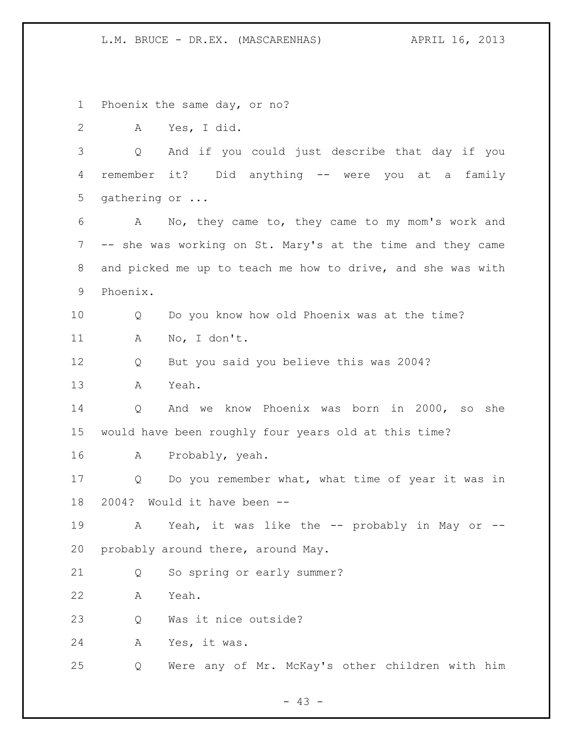Phoenix the same day, or no?

A Yes, I did.

 Q And if you could just describe that day if you remember it? Did anything -- were you at a family gathering or ...

 A No, they came to, they came to my mom's work and -- she was working on St. Mary's at the time and they came and picked me up to teach me how to drive, and she was with Phoenix.

 Q Do you know how old Phoenix was at the time? A No, I don't.

Q But you said you believe this was 2004?

A Yeah.

 Q And we know Phoenix was born in 2000, so she would have been roughly four years old at this time?

A Probably, yeah.

 Q Do you remember what, what time of year it was in 2004? Would it have been --

19 A Yeah, it was like the -- probably in May or --probably around there, around May.

Q So spring or early summer?

A Yeah.

23 O Was it nice outside?

A Yes, it was.

Q Were any of Mr. McKay's other children with him

- 43 -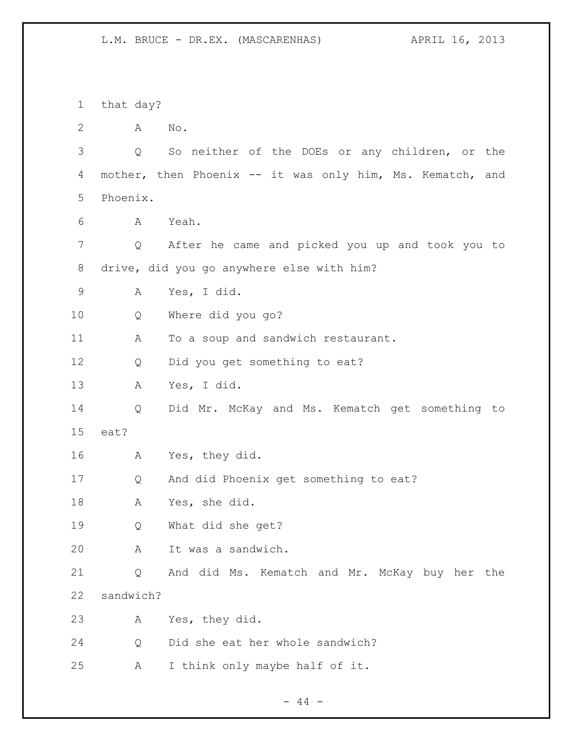that day? A No. Q So neither of the DOEs or any children, or the mother, then Phoenix -- it was only him, Ms. Kematch, and Phoenix. A Yeah. Q After he came and picked you up and took you to drive, did you go anywhere else with him? A Yes, I did. Q Where did you go? 11 A To a soup and sandwich restaurant. Q Did you get something to eat? A Yes, I did. Q Did Mr. McKay and Ms. Kematch get something to eat? A Yes, they did. Q And did Phoenix get something to eat? A Yes, she did. Q What did she get? A It was a sandwich. Q And did Ms. Kematch and Mr. McKay buy her the sandwich? A Yes, they did. Q Did she eat her whole sandwich? A I think only maybe half of it.

 $-44 -$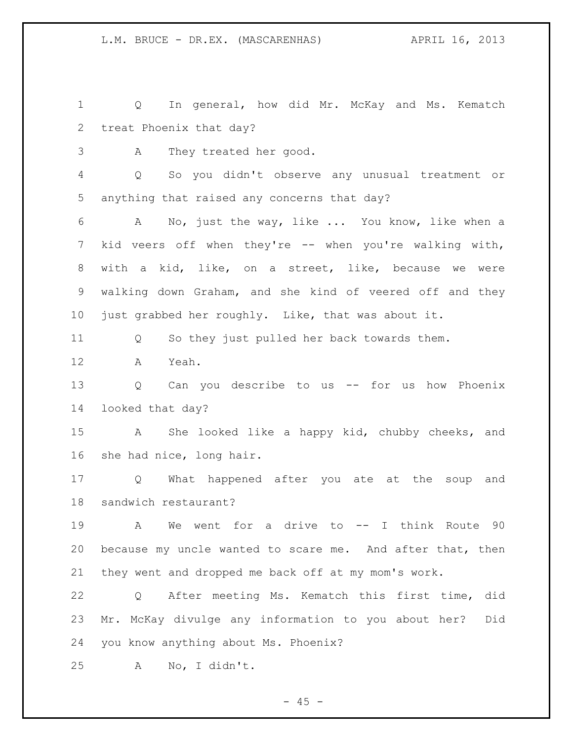Q In general, how did Mr. McKay and Ms. Kematch treat Phoenix that day?

A They treated her good.

 Q So you didn't observe any unusual treatment or anything that raised any concerns that day?

 A No, just the way, like ... You know, like when a 7 kid veers off when they're -- when you're walking with, with a kid, like, on a street, like, because we were walking down Graham, and she kind of veered off and they just grabbed her roughly. Like, that was about it.

Q So they just pulled her back towards them.

A Yeah.

 Q Can you describe to us -- for us how Phoenix looked that day?

 A She looked like a happy kid, chubby cheeks, and she had nice, long hair.

 Q What happened after you ate at the soup and sandwich restaurant?

 A We went for a drive to -- I think Route 90 because my uncle wanted to scare me. And after that, then they went and dropped me back off at my mom's work.

 Q After meeting Ms. Kematch this first time, did Mr. McKay divulge any information to you about her? Did you know anything about Ms. Phoenix?

A No, I didn't.

 $- 45 -$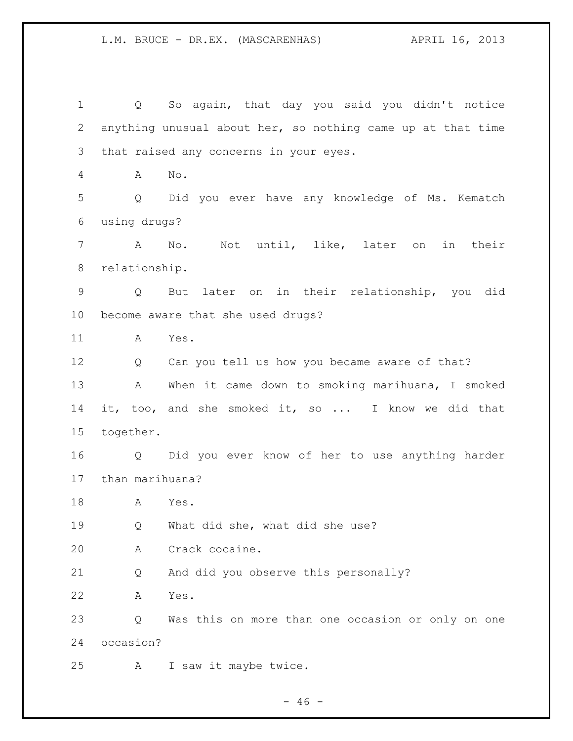Q So again, that day you said you didn't notice anything unusual about her, so nothing came up at that time that raised any concerns in your eyes. A No. Q Did you ever have any knowledge of Ms. Kematch using drugs? A No. Not until, like, later on in their relationship. Q But later on in their relationship, you did become aware that she used drugs? A Yes. Q Can you tell us how you became aware of that? A When it came down to smoking marihuana, I smoked it, too, and she smoked it, so ... I know we did that together. Q Did you ever know of her to use anything harder than marihuana? A Yes. Q What did she, what did she use? A Crack cocaine. Q And did you observe this personally? A Yes. Q Was this on more than one occasion or only on one occasion? A I saw it maybe twice.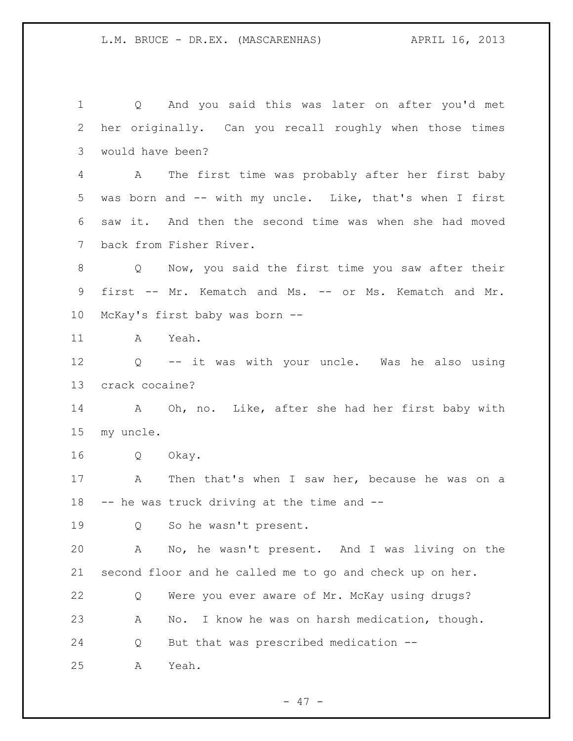Q And you said this was later on after you'd met her originally. Can you recall roughly when those times would have been? A The first time was probably after her first baby was born and -- with my uncle. Like, that's when I first saw it. And then the second time was when she had moved back from Fisher River. Q Now, you said the first time you saw after their first -- Mr. Kematch and Ms. -- or Ms. Kematch and Mr. McKay's first baby was born -- A Yeah. Q -- it was with your uncle. Was he also using crack cocaine? A Oh, no. Like, after she had her first baby with my uncle. Q Okay. A Then that's when I saw her, because he was on a -- he was truck driving at the time and -- Q So he wasn't present. A No, he wasn't present. And I was living on the second floor and he called me to go and check up on her. Q Were you ever aware of Mr. McKay using drugs? A No. I know he was on harsh medication, though. Q But that was prescribed medication -- A Yeah.

 $- 47 -$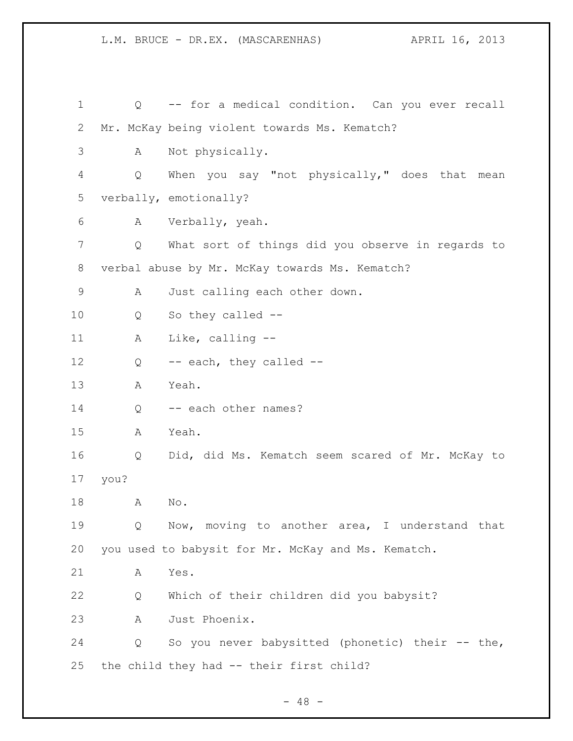| 1  | Q    | -- for a medical condition. Can you ever recall    |
|----|------|----------------------------------------------------|
| 2  |      | Mr. McKay being violent towards Ms. Kematch?       |
| 3  | Α    | Not physically.                                    |
| 4  | Q    | When you say "not physically," does that mean      |
| 5  |      | verbally, emotionally?                             |
| 6  | A    | Verbally, yeah.                                    |
| 7  | Q    | What sort of things did you observe in regards to  |
| 8  |      | verbal abuse by Mr. McKay towards Ms. Kematch?     |
| 9  | Α    | Just calling each other down.                      |
| 10 | Q    | So they called --                                  |
| 11 | А    | Like, calling $-$ -                                |
| 12 | Q    | -- each, they called --                            |
| 13 | Α    | Yeah.                                              |
| 14 | Q    | -- each other names?                               |
| 15 | Α    | Yeah.                                              |
| 16 | Q    | Did, did Ms. Kematch seem scared of Mr. McKay to   |
| 17 | you? |                                                    |
| 18 | Α    | No.                                                |
| 19 | Q    | Now, moving to another area, I understand that     |
| 20 |      | you used to babysit for Mr. McKay and Ms. Kematch. |
| 21 | Α    | Yes.                                               |
| 22 | Q    | Which of their children did you babysit?           |
| 23 | Α    | Just Phoenix.                                      |
| 24 | Q    | So you never babysitted (phonetic) their -- the,   |
| 25 |      | the child they had -- their first child?           |

- 48 -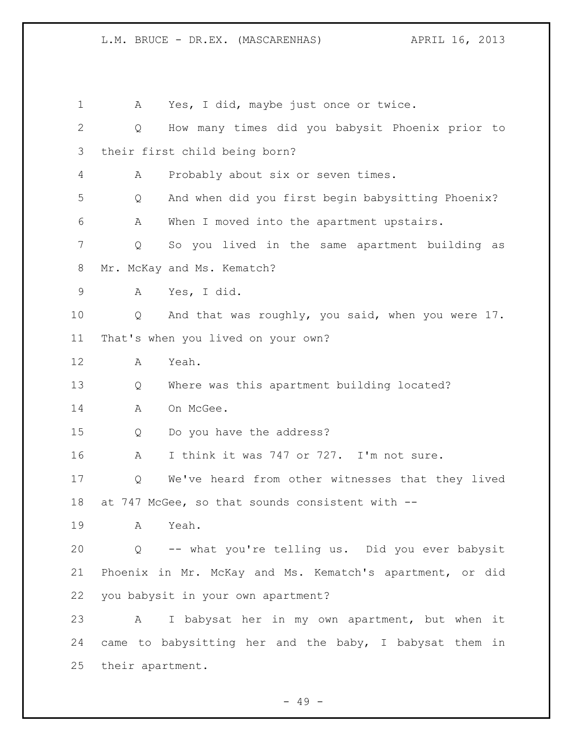A Yes, I did, maybe just once or twice. Q How many times did you babysit Phoenix prior to their first child being born? A Probably about six or seven times. Q And when did you first begin babysitting Phoenix? A When I moved into the apartment upstairs. Q So you lived in the same apartment building as Mr. McKay and Ms. Kematch? A Yes, I did. Q And that was roughly, you said, when you were 17. That's when you lived on your own? A Yeah. Q Where was this apartment building located? 14 A On McGee. Q Do you have the address? A I think it was 747 or 727. I'm not sure. Q We've heard from other witnesses that they lived at 747 McGee, so that sounds consistent with -- A Yeah. Q -- what you're telling us. Did you ever babysit Phoenix in Mr. McKay and Ms. Kematch's apartment, or did you babysit in your own apartment? A I babysat her in my own apartment, but when it came to babysitting her and the baby, I babysat them in their apartment.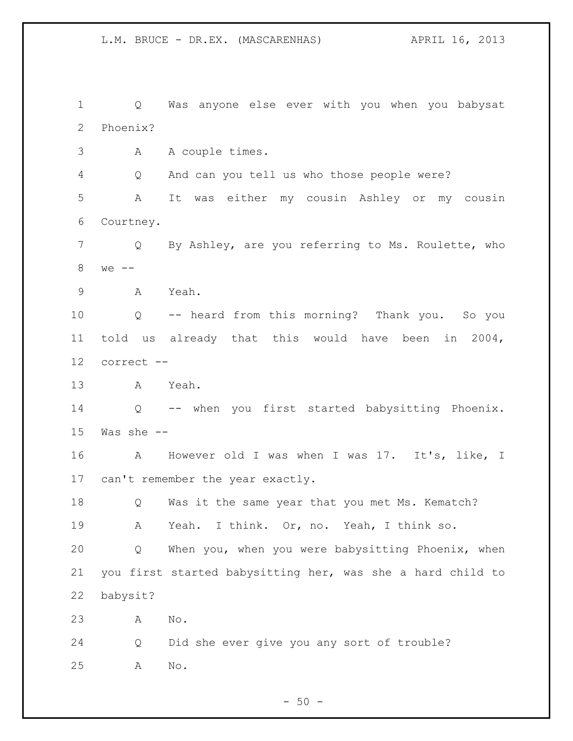Q Was anyone else ever with you when you babysat Phoenix? A A couple times. Q And can you tell us who those people were? A It was either my cousin Ashley or my cousin Courtney. Q By Ashley, are you referring to Ms. Roulette, who we -- A Yeah. Q -- heard from this morning? Thank you. So you told us already that this would have been in 2004, correct -- A Yeah. Q -- when you first started babysitting Phoenix. Was she -- A However old I was when I was 17. It's, like, I can't remember the year exactly. Q Was it the same year that you met Ms. Kematch? A Yeah. I think. Or, no. Yeah, I think so. Q When you, when you were babysitting Phoenix, when you first started babysitting her, was she a hard child to babysit? A No. Q Did she ever give you any sort of trouble? A No.

 $-50 -$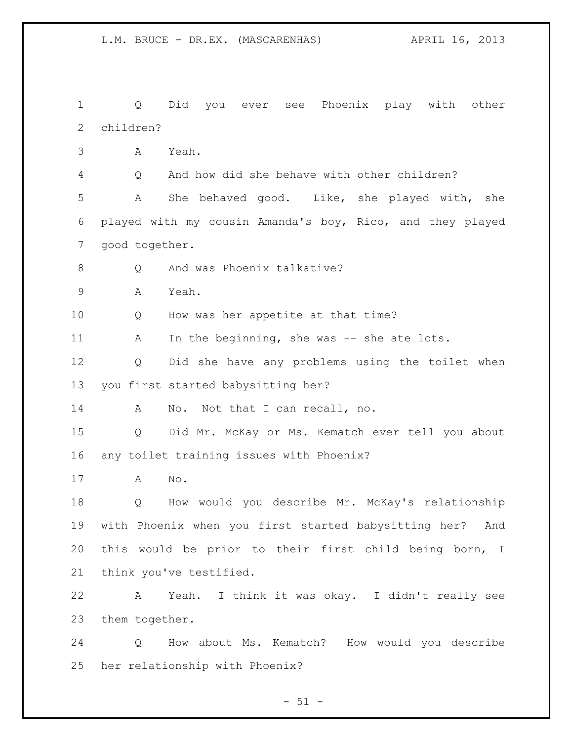Q Did you ever see Phoenix play with other children? A Yeah. Q And how did she behave with other children? A She behaved good. Like, she played with, she played with my cousin Amanda's boy, Rico, and they played good together. 8 Q And was Phoenix talkative? A Yeah. Q How was her appetite at that time? 11 A In the beginning, she was -- she ate lots. Q Did she have any problems using the toilet when you first started babysitting her? A No. Not that I can recall, no. Q Did Mr. McKay or Ms. Kematch ever tell you about any toilet training issues with Phoenix? A No. Q How would you describe Mr. McKay's relationship with Phoenix when you first started babysitting her? And this would be prior to their first child being born, I think you've testified. A Yeah. I think it was okay. I didn't really see them together. Q How about Ms. Kematch? How would you describe her relationship with Phoenix?

 $- 51 -$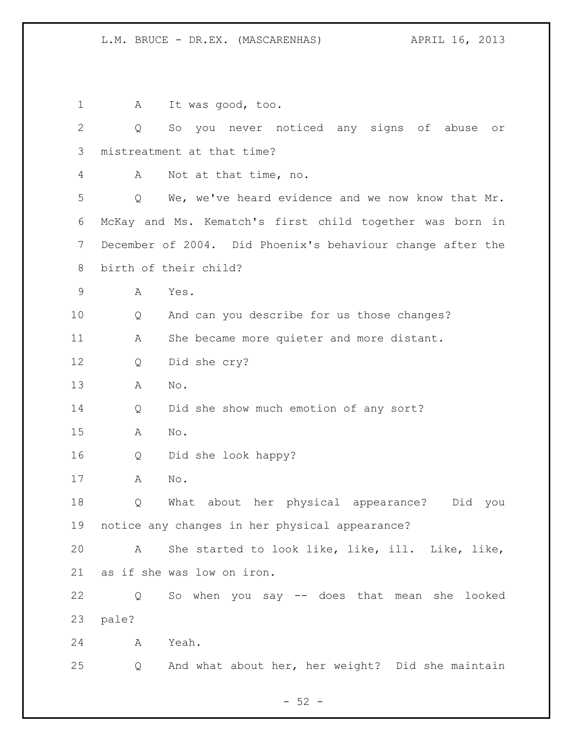1 A It was good, too. Q So you never noticed any signs of abuse or mistreatment at that time? A Not at that time, no. Q We, we've heard evidence and we now know that Mr. McKay and Ms. Kematch's first child together was born in December of 2004. Did Phoenix's behaviour change after the birth of their child? A Yes. Q And can you describe for us those changes? 11 A She became more quieter and more distant. Q Did she cry? A No. Q Did she show much emotion of any sort? A No. Q Did she look happy? A No. Q What about her physical appearance? Did you notice any changes in her physical appearance? A She started to look like, like, ill. Like, like, as if she was low on iron. Q So when you say -- does that mean she looked pale? A Yeah. Q And what about her, her weight? Did she maintain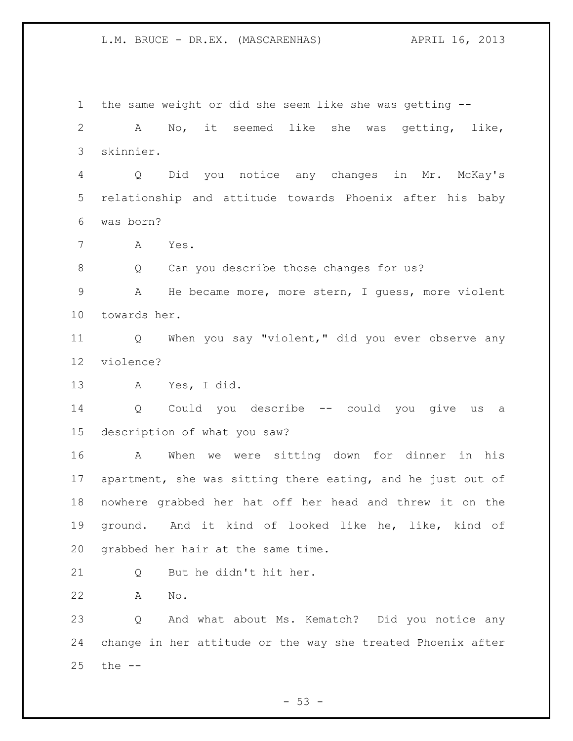the same weight or did she seem like she was getting -- A No, it seemed like she was getting, like, skinnier. Q Did you notice any changes in Mr. McKay's relationship and attitude towards Phoenix after his baby was born? A Yes. Q Can you describe those changes for us? A He became more, more stern, I guess, more violent towards her. Q When you say "violent," did you ever observe any violence? A Yes, I did. Q Could you describe -- could you give us a description of what you saw? A When we were sitting down for dinner in his apartment, she was sitting there eating, and he just out of nowhere grabbed her hat off her head and threw it on the ground. And it kind of looked like he, like, kind of grabbed her hair at the same time. Q But he didn't hit her. A No. Q And what about Ms. Kematch? Did you notice any change in her attitude or the way she treated Phoenix after the --

 $-53 -$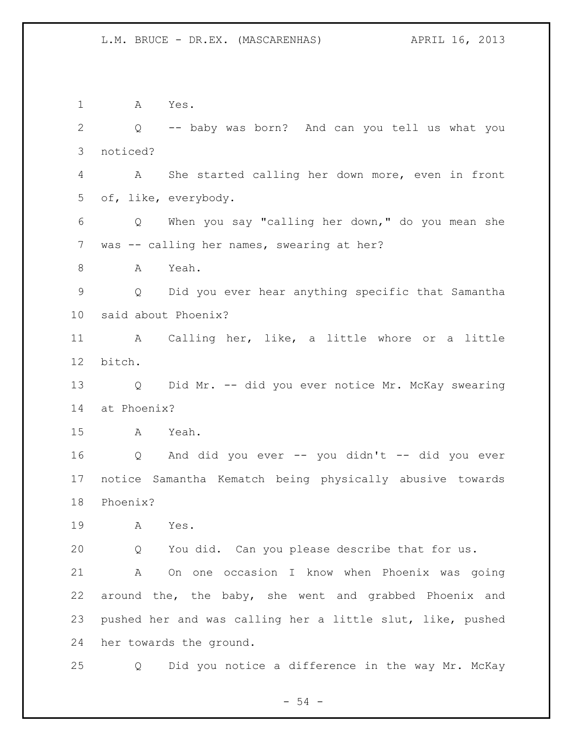A Yes. Q -- baby was born? And can you tell us what you noticed? A She started calling her down more, even in front of, like, everybody. Q When you say "calling her down," do you mean she 7 was -- calling her names, swearing at her? A Yeah. Q Did you ever hear anything specific that Samantha said about Phoenix? A Calling her, like, a little whore or a little bitch. Q Did Mr. -- did you ever notice Mr. McKay swearing at Phoenix? A Yeah. Q And did you ever -- you didn't -- did you ever notice Samantha Kematch being physically abusive towards Phoenix? A Yes. Q You did. Can you please describe that for us. A On one occasion I know when Phoenix was going around the, the baby, she went and grabbed Phoenix and pushed her and was calling her a little slut, like, pushed her towards the ground. Q Did you notice a difference in the way Mr. McKay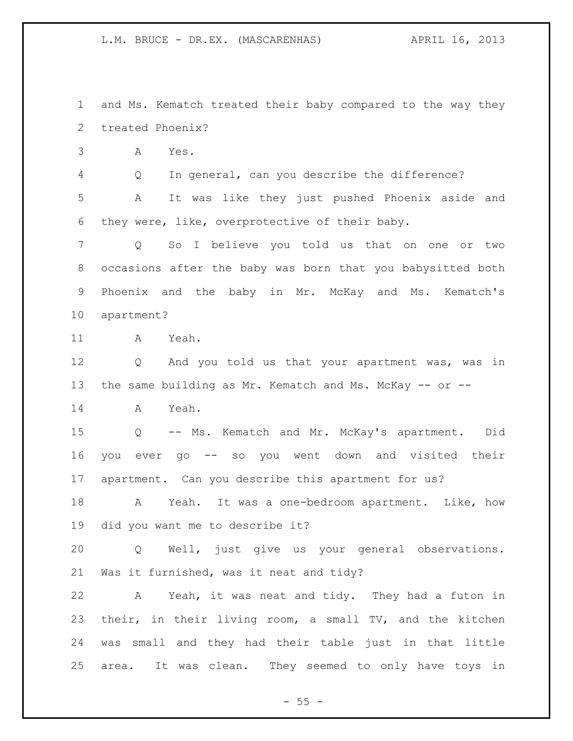and Ms. Kematch treated their baby compared to the way they treated Phoenix?

A Yes.

Q In general, can you describe the difference?

 A It was like they just pushed Phoenix aside and they were, like, overprotective of their baby.

 Q So I believe you told us that on one or two occasions after the baby was born that you babysitted both Phoenix and the baby in Mr. McKay and Ms. Kematch's apartment?

A Yeah.

 Q And you told us that your apartment was, was in the same building as Mr. Kematch and Ms. McKay -- or --

A Yeah.

 Q -- Ms. Kematch and Mr. McKay's apartment. Did you ever go -- so you went down and visited their apartment. Can you describe this apartment for us?

 A Yeah. It was a one-bedroom apartment. Like, how did you want me to describe it?

 Q Well, just give us your general observations. Was it furnished, was it neat and tidy?

 A Yeah, it was neat and tidy. They had a futon in their, in their living room, a small TV, and the kitchen was small and they had their table just in that little area. It was clean. They seemed to only have toys in

 $- 55 -$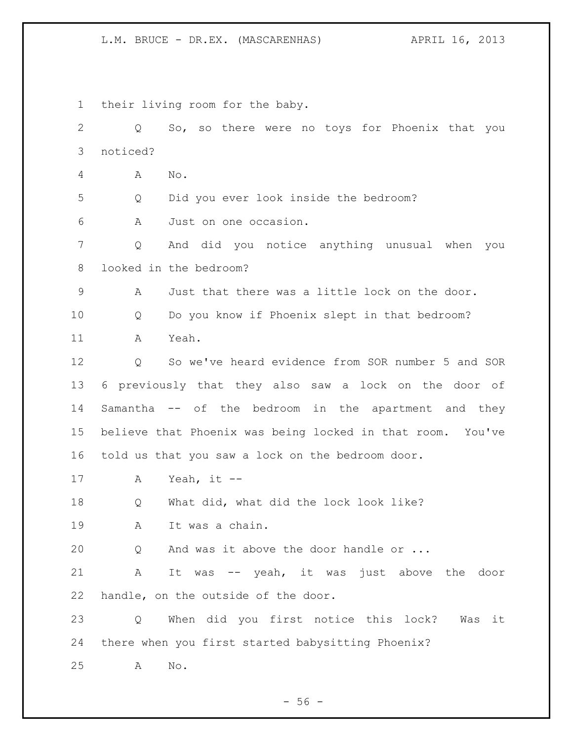their living room for the baby. Q So, so there were no toys for Phoenix that you noticed? A No. Q Did you ever look inside the bedroom? A Just on one occasion. Q And did you notice anything unusual when you looked in the bedroom? A Just that there was a little lock on the door. Q Do you know if Phoenix slept in that bedroom? A Yeah. Q So we've heard evidence from SOR number 5 and SOR 6 previously that they also saw a lock on the door of Samantha -- of the bedroom in the apartment and they believe that Phoenix was being locked in that room. You've told us that you saw a lock on the bedroom door. A Yeah, it -- 18 Q What did, what did the lock look like? A It was a chain. Q And was it above the door handle or ... A It was -- yeah, it was just above the door handle, on the outside of the door. Q When did you first notice this lock? Was it there when you first started babysitting Phoenix? A No.

 $-56 -$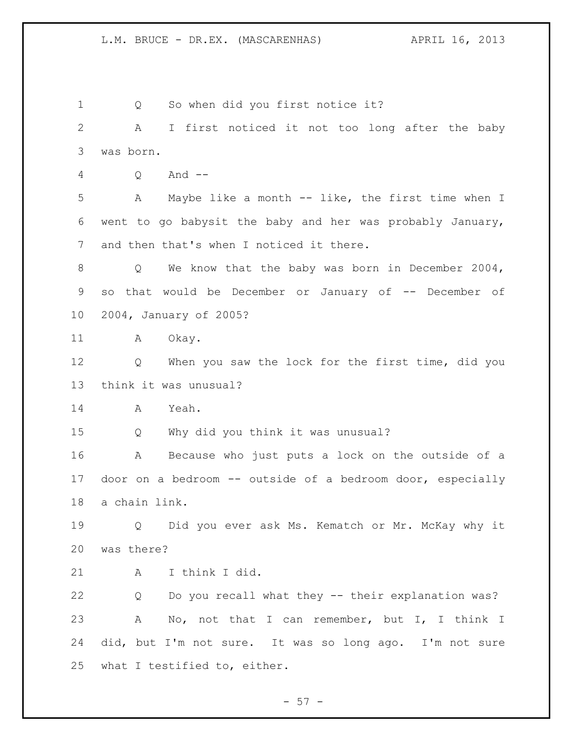1 Q So when did you first notice it? A I first noticed it not too long after the baby was born. Q And -- A Maybe like a month -- like, the first time when I went to go babysit the baby and her was probably January, and then that's when I noticed it there. Q We know that the baby was born in December 2004, so that would be December or January of -- December of 2004, January of 2005? 11 A Okay. Q When you saw the lock for the first time, did you think it was unusual? A Yeah. Q Why did you think it was unusual? A Because who just puts a lock on the outside of a door on a bedroom -- outside of a bedroom door, especially a chain link. Q Did you ever ask Ms. Kematch or Mr. McKay why it was there? A I think I did. Q Do you recall what they -- their explanation was? A No, not that I can remember, but I, I think I did, but I'm not sure. It was so long ago. I'm not sure what I testified to, either.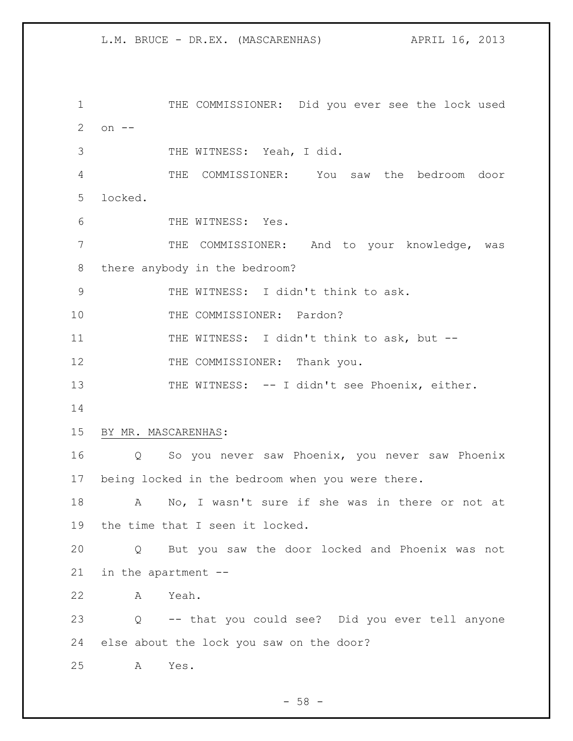1 THE COMMISSIONER: Did you ever see the lock used on -- THE WITNESS: Yeah, I did. THE COMMISSIONER: You saw the bedroom door locked. 6 THE WITNESS: Yes. THE COMMISSIONER: And to your knowledge, was there anybody in the bedroom? THE WITNESS: I didn't think to ask. 10 THE COMMISSIONER: Pardon? 11 THE WITNESS: I didn't think to ask, but --12 THE COMMISSIONER: Thank you. 13 THE WITNESS: -- I didn't see Phoenix, either. BY MR. MASCARENHAS: Q So you never saw Phoenix, you never saw Phoenix being locked in the bedroom when you were there. A No, I wasn't sure if she was in there or not at the time that I seen it locked. Q But you saw the door locked and Phoenix was not in the apartment -- A Yeah. Q -- that you could see? Did you ever tell anyone else about the lock you saw on the door? A Yes.

 $-58 -$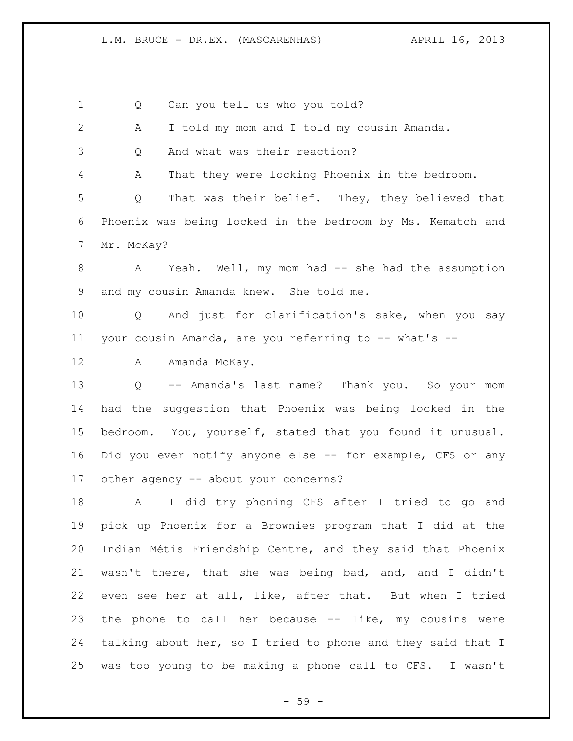Q Can you tell us who you told? A I told my mom and I told my cousin Amanda. Q And what was their reaction? A That they were locking Phoenix in the bedroom. Q That was their belief. They, they believed that Phoenix was being locked in the bedroom by Ms. Kematch and Mr. McKay? A Yeah. Well, my mom had -- she had the assumption and my cousin Amanda knew. She told me. Q And just for clarification's sake, when you say 11 your cousin Amanda, are you referring to -- what's --12 A Amanda McKay. Q -- Amanda's last name? Thank you. So your mom had the suggestion that Phoenix was being locked in the bedroom. You, yourself, stated that you found it unusual. Did you ever notify anyone else -- for example, CFS or any 17 other agency -- about your concerns? A I did try phoning CFS after I tried to go and pick up Phoenix for a Brownies program that I did at the Indian Métis Friendship Centre, and they said that Phoenix wasn't there, that she was being bad, and, and I didn't even see her at all, like, after that. But when I tried the phone to call her because -- like, my cousins were talking about her, so I tried to phone and they said that I was too young to be making a phone call to CFS. I wasn't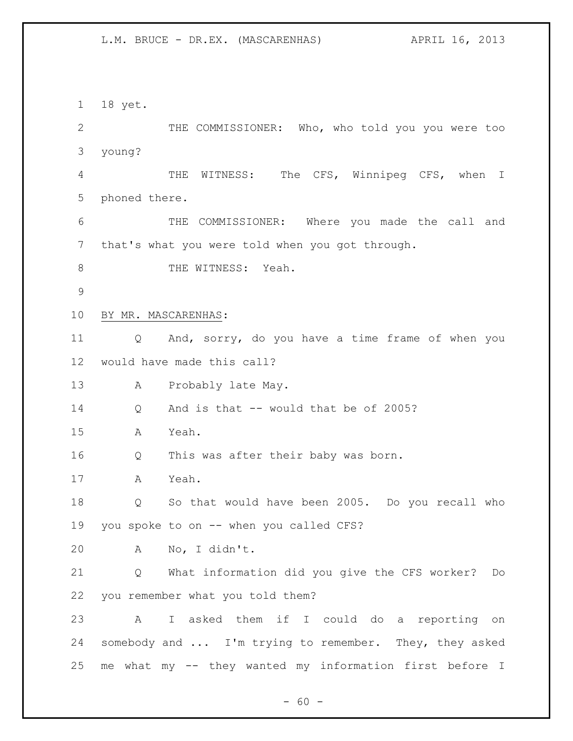18 yet. 2 THE COMMISSIONER: Who, who told you you were too young? THE WITNESS: The CFS, Winnipeg CFS, when I phoned there. THE COMMISSIONER: Where you made the call and that's what you were told when you got through. 8 THE WITNESS: Yeah. BY MR. MASCARENHAS: Q And, sorry, do you have a time frame of when you would have made this call? A Probably late May. Q And is that -- would that be of 2005? A Yeah. Q This was after their baby was born. A Yeah. Q So that would have been 2005. Do you recall who you spoke to on -- when you called CFS? A No, I didn't. Q What information did you give the CFS worker? Do you remember what you told them? A I asked them if I could do a reporting on somebody and ... I'm trying to remember. They, they asked me what my -- they wanted my information first before I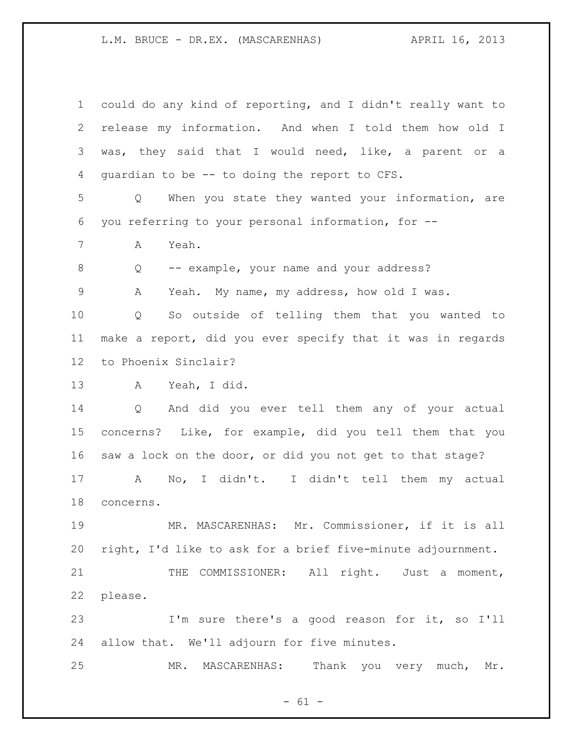| $\mathbf 1$     | could do any kind of reporting, and I didn't really want to        |
|-----------------|--------------------------------------------------------------------|
| $\mathbf{2}$    | release my information. And when I told them how old I             |
| 3               | was, they said that I would need, like, a parent or a              |
| 4               | quardian to be -- to doing the report to CFS.                      |
| 5               | When you state they wanted your information, are<br>Q              |
| 6               | you referring to your personal information, for --                 |
| 7               | Α<br>Yeah.                                                         |
| 8               | -- example, your name and your address?<br>Q                       |
| 9               | Yeah. My name, my address, how old I was.<br>A                     |
| 10              | So outside of telling them that you wanted to<br>Q                 |
| 11              | make a report, did you ever specify that it was in regards         |
| 12 <sup>°</sup> | to Phoenix Sinclair?                                               |
| 13              | Yeah, I did.<br>$\mathbf{A}$                                       |
| 14              | And did you ever tell them any of your actual<br>$Q \qquad \qquad$ |
| 15              | concerns? Like, for example, did you tell them that you            |
| 16              | saw a lock on the door, or did you not get to that stage?          |
| 17              | No, I didn't.<br>I didn't tell them my actual<br>A                 |
| 18              | concerns.                                                          |
| 19              | MR. MASCARENHAS: Mr. Commissioner, if it is all                    |
| 20              | right, I'd like to ask for a brief five-minute adjournment.        |
| 21              | COMMISSIONER: All right. Just a moment,<br>THE                     |
| 22              | please.                                                            |
| 23              | I'm sure there's a good reason for it, so I'll                     |
| 24              | allow that. We'll adjourn for five minutes.                        |
| 25              | Thank you very much, Mr.<br>MR.<br>MASCARENHAS:                    |

- 61 -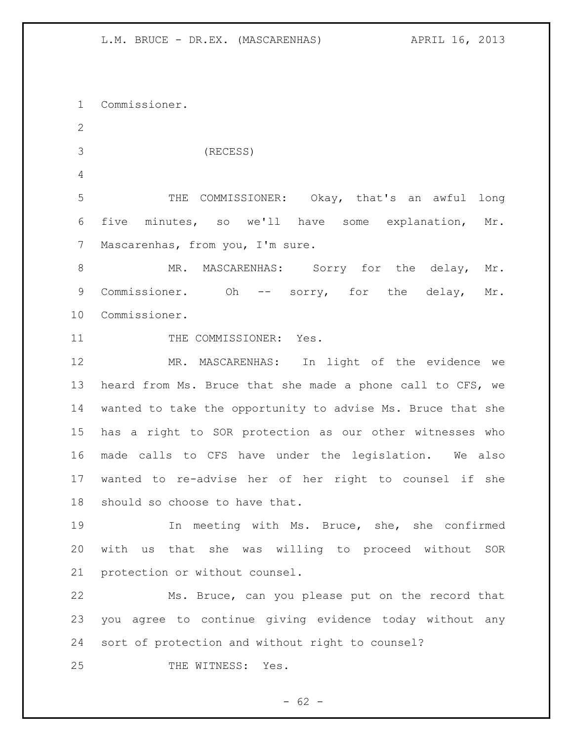Commissioner. (RECESS) THE COMMISSIONER: Okay, that's an awful long five minutes, so we'll have some explanation, Mr. 7 Mascarenhas, from you, I'm sure. 8 MR. MASCARENHAS: Sorry for the delay, Mr. Commissioner. Oh -- sorry, for the delay, Mr. Commissioner. 11 THE COMMISSIONER: Yes. MR. MASCARENHAS: In light of the evidence we heard from Ms. Bruce that she made a phone call to CFS, we wanted to take the opportunity to advise Ms. Bruce that she has a right to SOR protection as our other witnesses who made calls to CFS have under the legislation. We also wanted to re-advise her of her right to counsel if she should so choose to have that. In meeting with Ms. Bruce, she, she confirmed with us that she was willing to proceed without SOR protection or without counsel. Ms. Bruce, can you please put on the record that you agree to continue giving evidence today without any sort of protection and without right to counsel? 25 THE WITNESS: Yes.

 $- 62 -$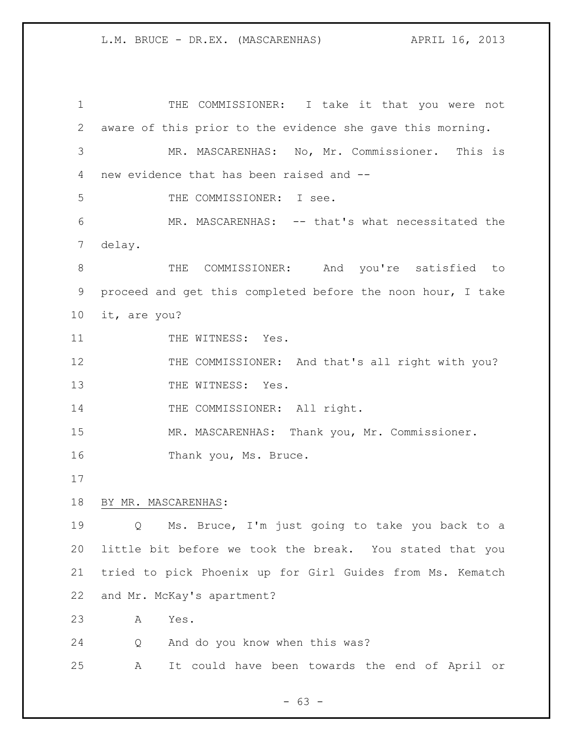1 THE COMMISSIONER: I take it that you were not aware of this prior to the evidence she gave this morning. MR. MASCARENHAS: No, Mr. Commissioner. This is new evidence that has been raised and -- THE COMMISSIONER: I see. MR. MASCARENHAS: -- that's what necessitated the delay. THE COMMISSIONER: And you're satisfied to proceed and get this completed before the noon hour, I take it, are you? 11 THE WITNESS: Yes. 12 THE COMMISSIONER: And that's all right with you? 13 THE WITNESS: Yes. 14 THE COMMISSIONER: All right. MR. MASCARENHAS: Thank you, Mr. Commissioner. 16 Thank you, Ms. Bruce. BY MR. MASCARENHAS: Q Ms. Bruce, I'm just going to take you back to a little bit before we took the break. You stated that you tried to pick Phoenix up for Girl Guides from Ms. Kematch and Mr. McKay's apartment? A Yes. Q And do you know when this was? A It could have been towards the end of April or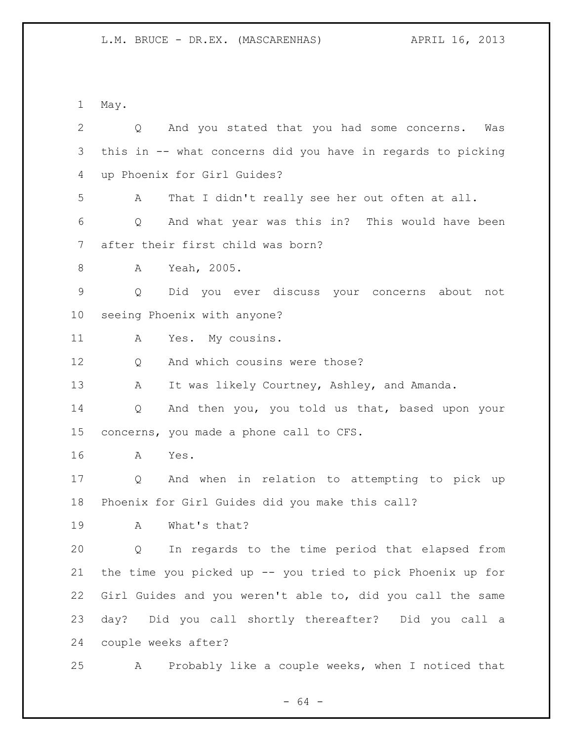May.

| $\overline{2}$ | And you stated that you had some concerns.<br>$Q \qquad \qquad$<br>Was |
|----------------|------------------------------------------------------------------------|
| 3              | this in -- what concerns did you have in regards to picking            |
| 4              | up Phoenix for Girl Guides?                                            |
| 5              | That I didn't really see her out often at all.<br>Α                    |
| 6              | And what year was this in? This would have been<br>Q                   |
| 7              | after their first child was born?                                      |
| 8              | Yeah, 2005.<br>Α                                                       |
| $\mathsf 9$    | Did you ever discuss your concerns about not<br>Q                      |
| 10             | seeing Phoenix with anyone?                                            |
| 11             | Yes. My cousins.<br>A                                                  |
| 12             | And which cousins were those?<br>Q                                     |
| 13             | It was likely Courtney, Ashley, and Amanda.<br>A                       |
| 14             | And then you, you told us that, based upon your<br>Q                   |
| 15             | concerns, you made a phone call to CFS.                                |
| 16             | Yes.<br>A                                                              |
| 17             | And when in relation to attempting to pick up<br>Q                     |
| 18             | Phoenix for Girl Guides did you make this call?                        |
| 19             | What's that?<br>Α                                                      |
| 20             | In regards to the time period that elapsed from<br>Q                   |
| 21             | the time you picked up -- you tried to pick Phoenix up for             |
| 22             | Girl Guides and you weren't able to, did you call the same             |
| 23             | day? Did you call shortly thereafter? Did you call a                   |
| 24             | couple weeks after?                                                    |
| 25             | Probably like a couple weeks, when I noticed that<br>Α                 |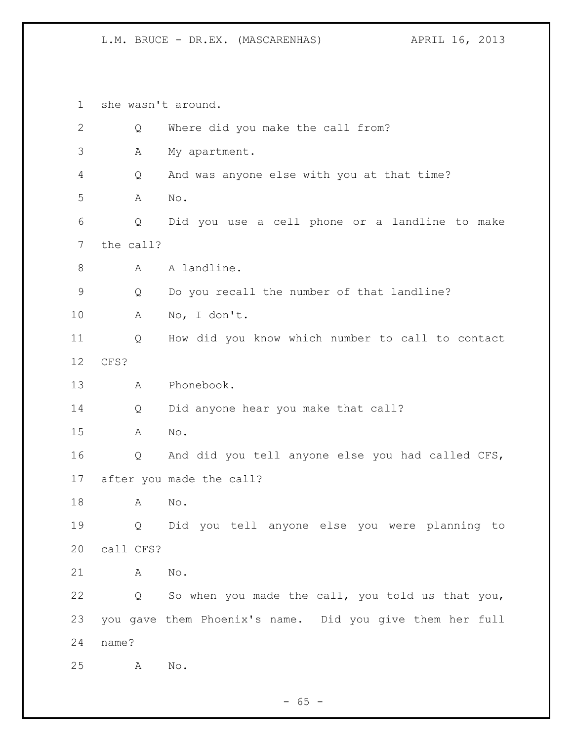she wasn't around. 2 Q Where did you make the call from? A My apartment. Q And was anyone else with you at that time? A No. Q Did you use a cell phone or a landline to make the call? 8 A A landline. Q Do you recall the number of that landline? A No, I don't. Q How did you know which number to call to contact CFS? A Phonebook. Q Did anyone hear you make that call? A No. Q And did you tell anyone else you had called CFS, after you made the call? A No. Q Did you tell anyone else you were planning to call CFS? A No. Q So when you made the call, you told us that you, you gave them Phoenix's name. Did you give them her full name? A No.

 $- 65 -$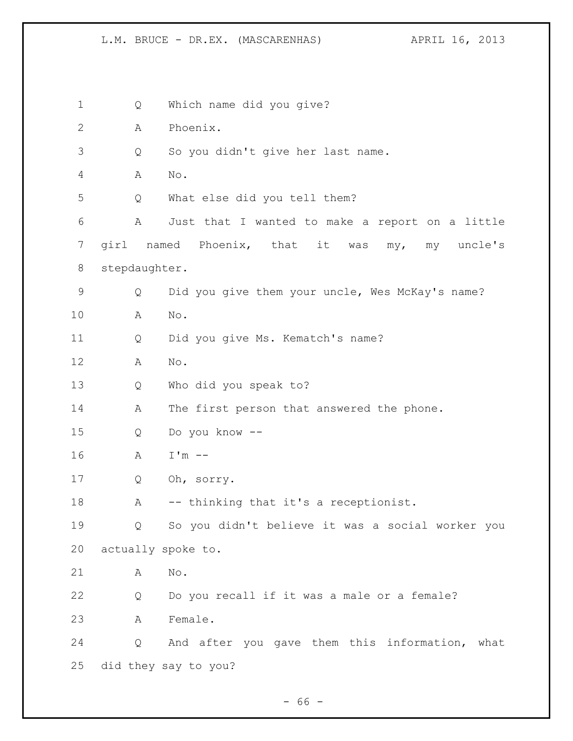Q Which name did you give? A Phoenix. Q So you didn't give her last name. A No. Q What else did you tell them? A Just that I wanted to make a report on a little girl named Phoenix, that it was my, my uncle's stepdaughter. Q Did you give them your uncle, Wes McKay's name? A No. Q Did you give Ms. Kematch's name? A No. Q Who did you speak to? 14 A The first person that answered the phone. Q Do you know -- A I'm -- Q Oh, sorry. 18 A -- thinking that it's a receptionist. Q So you didn't believe it was a social worker you actually spoke to. A No. Q Do you recall if it was a male or a female? A Female. Q And after you gave them this information, what did they say to you?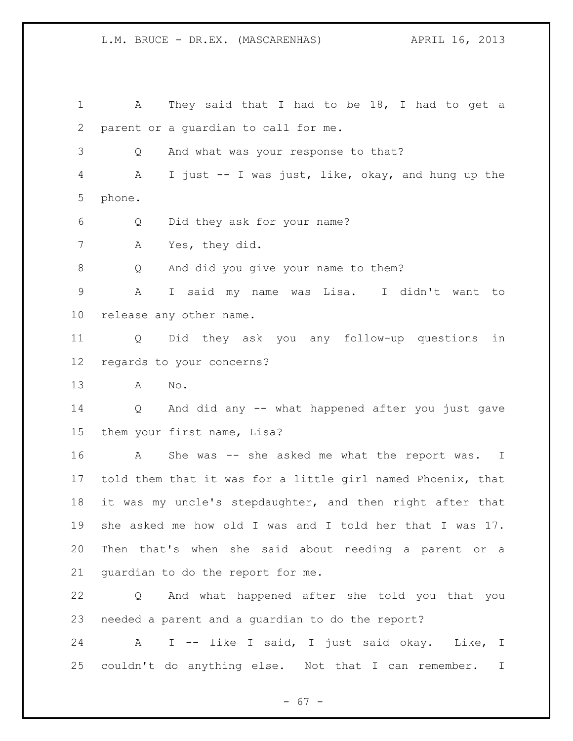1 A They said that I had to be 18, I had to get a parent or a guardian to call for me. Q And what was your response to that? A I just -- I was just, like, okay, and hung up the phone. Q Did they ask for your name? A Yes, they did. Q And did you give your name to them? A I said my name was Lisa. I didn't want to release any other name. Q Did they ask you any follow-up questions in regards to your concerns? A No. Q And did any -- what happened after you just gave them your first name, Lisa? A She was -- she asked me what the report was. I told them that it was for a little girl named Phoenix, that it was my uncle's stepdaughter, and then right after that she asked me how old I was and I told her that I was 17. Then that's when she said about needing a parent or a guardian to do the report for me. Q And what happened after she told you that you needed a parent and a guardian to do the report?

 A I -- like I said, I just said okay. Like, I couldn't do anything else. Not that I can remember. I

- 67 -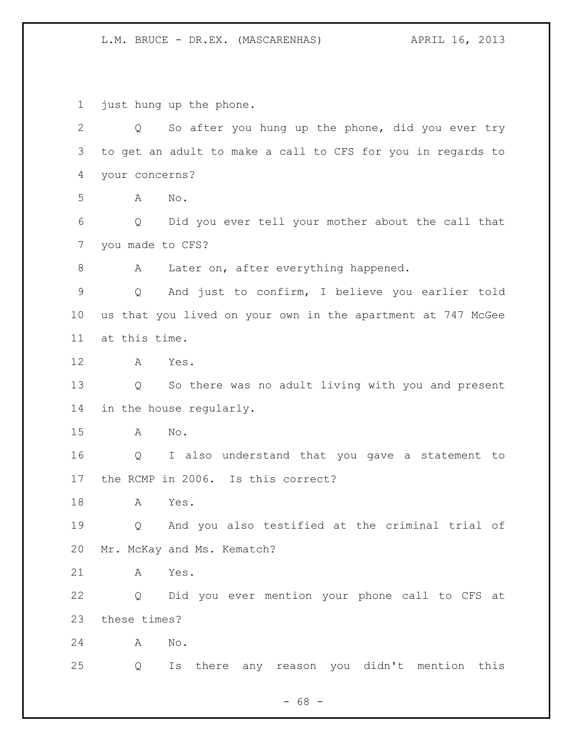just hung up the phone.

 Q So after you hung up the phone, did you ever try to get an adult to make a call to CFS for you in regards to your concerns? A No. Q Did you ever tell your mother about the call that you made to CFS? 8 A Later on, after everything happened. Q And just to confirm, I believe you earlier told us that you lived on your own in the apartment at 747 McGee at this time. A Yes. Q So there was no adult living with you and present in the house regularly. A No. Q I also understand that you gave a statement to the RCMP in 2006. Is this correct? A Yes. Q And you also testified at the criminal trial of Mr. McKay and Ms. Kematch? A Yes. Q Did you ever mention your phone call to CFS at these times? A No. Q Is there any reason you didn't mention this

 $- 68 -$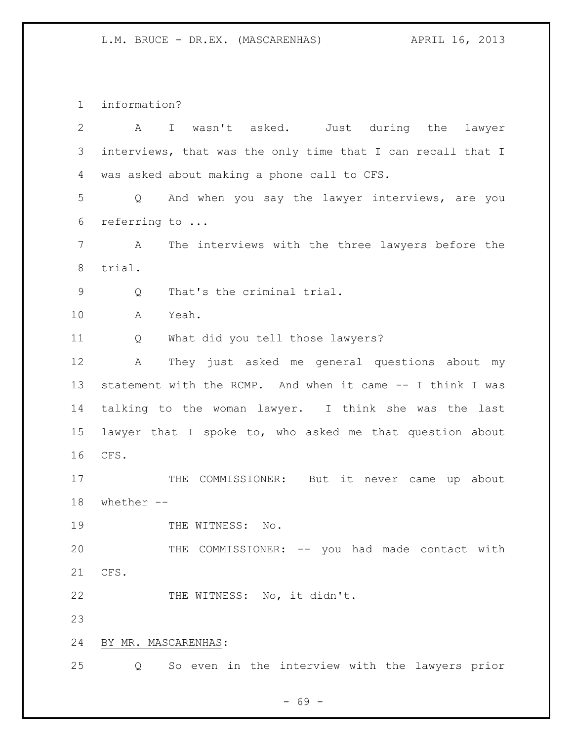information?

| 2  | I wasn't asked. Just during the lawyer<br>A                 |
|----|-------------------------------------------------------------|
| 3  | interviews, that was the only time that I can recall that I |
| 4  | was asked about making a phone call to CFS.                 |
| 5  | Q And when you say the lawyer interviews, are you           |
| 6  | referring to                                                |
| 7  | The interviews with the three lawyers before the<br>A       |
| 8  | trial.                                                      |
| 9  | That's the criminal trial.<br>Q                             |
| 10 | Yeah.<br>A                                                  |
| 11 | What did you tell those lawyers?<br>Q                       |
| 12 | They just asked me general questions about my<br>Α          |
| 13 | statement with the RCMP. And when it came -- I think I was  |
| 14 | talking to the woman lawyer. I think she was the last       |
| 15 | lawyer that I spoke to, who asked me that question about    |
| 16 | CFS.                                                        |
| 17 | THE COMMISSIONER: But it never came<br>up about             |
| 18 | whether $--$                                                |
| 19 | THE WITNESS: No.                                            |
| 20 | THE COMMISSIONER: -- you had made contact with              |
| 21 | CFS.                                                        |
| 22 | THE WITNESS: No, it didn't.                                 |
| 23 |                                                             |
| 24 | BY MR. MASCARENHAS:                                         |
| 25 | So even in the interview with the lawyers prior<br>Q        |

- 69 -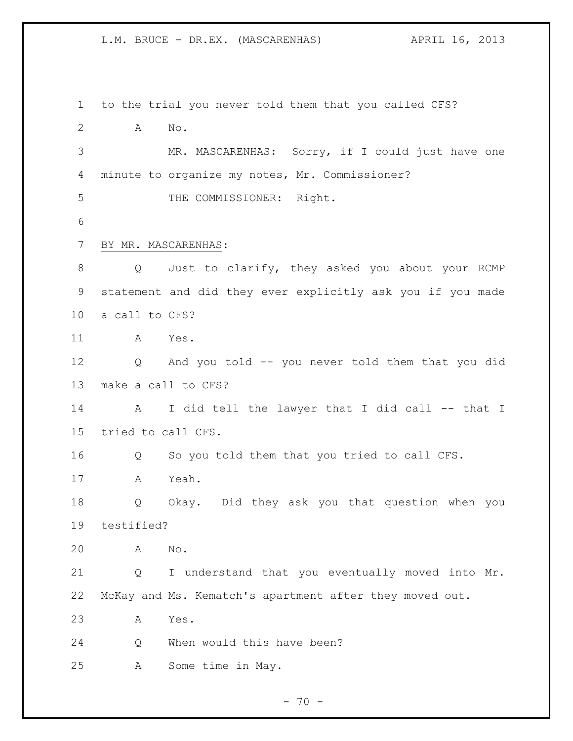L.M. BRUCE - DR.EX. (MASCARENHAS) APRIL 16, 2013

 to the trial you never told them that you called CFS? A No. MR. MASCARENHAS: Sorry, if I could just have one minute to organize my notes, Mr. Commissioner? THE COMMISSIONER: Right. BY MR. MASCARENHAS: Q Just to clarify, they asked you about your RCMP statement and did they ever explicitly ask you if you made a call to CFS? A Yes. Q And you told -- you never told them that you did make a call to CFS? A I did tell the lawyer that I did call -- that I tried to call CFS. Q So you told them that you tried to call CFS. A Yeah. Q Okay. Did they ask you that question when you testified? A No. Q I understand that you eventually moved into Mr. McKay and Ms. Kematch's apartment after they moved out. A Yes. Q When would this have been? A Some time in May.

 $- 70 -$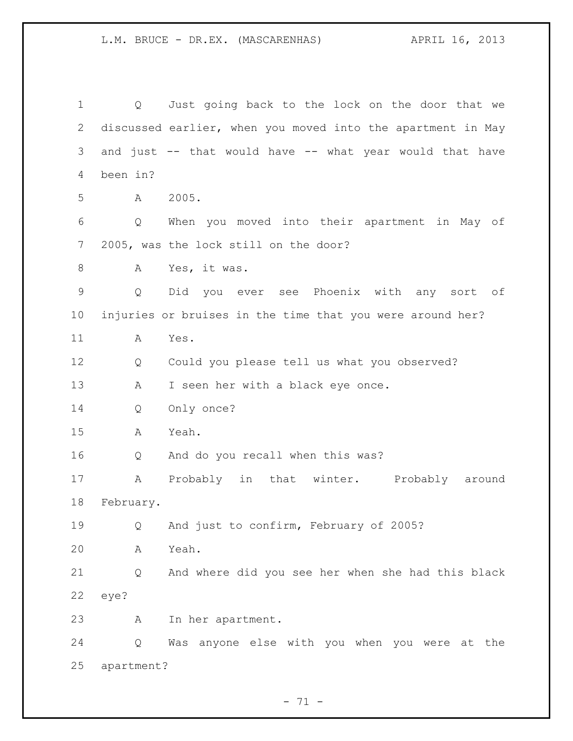Q Just going back to the lock on the door that we discussed earlier, when you moved into the apartment in May and just -- that would have -- what year would that have been in? A 2005. Q When you moved into their apartment in May of 2005, was the lock still on the door? A Yes, it was. Q Did you ever see Phoenix with any sort of injuries or bruises in the time that you were around her? A Yes. Q Could you please tell us what you observed? 13 A I seen her with a black eye once. Q Only once? A Yeah. Q And do you recall when this was? A Probably in that winter. Probably around February. Q And just to confirm, February of 2005? A Yeah. Q And where did you see her when she had this black eye? A In her apartment. Q Was anyone else with you when you were at the apartment?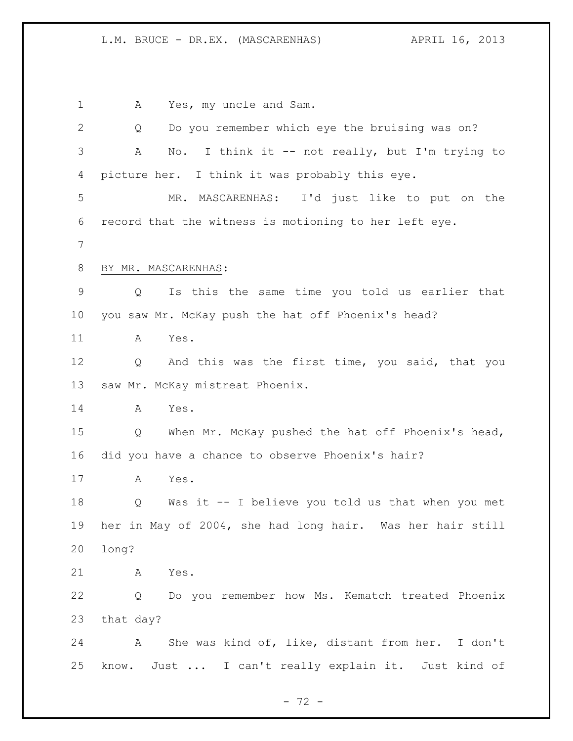1 A Yes, my uncle and Sam. Q Do you remember which eye the bruising was on? A No. I think it -- not really, but I'm trying to picture her. I think it was probably this eye. MR. MASCARENHAS: I'd just like to put on the record that the witness is motioning to her left eye. BY MR. MASCARENHAS: Q Is this the same time you told us earlier that you saw Mr. McKay push the hat off Phoenix's head? A Yes. Q And this was the first time, you said, that you saw Mr. McKay mistreat Phoenix. A Yes. Q When Mr. McKay pushed the hat off Phoenix's head, did you have a chance to observe Phoenix's hair? A Yes. Q Was it -- I believe you told us that when you met her in May of 2004, she had long hair. Was her hair still long? A Yes. Q Do you remember how Ms. Kematch treated Phoenix that day? A She was kind of, like, distant from her. I don't know. Just ... I can't really explain it. Just kind of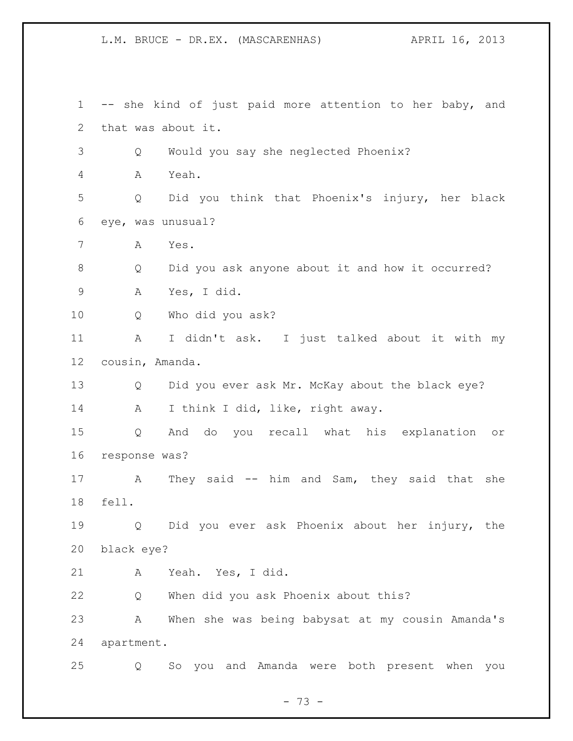L.M. BRUCE - DR.EX. (MASCARENHAS) APRIL 16, 2013

 -- she kind of just paid more attention to her baby, and that was about it. Q Would you say she neglected Phoenix? A Yeah. Q Did you think that Phoenix's injury, her black eye, was unusual? A Yes. Q Did you ask anyone about it and how it occurred? A Yes, I did. Q Who did you ask? A I didn't ask. I just talked about it with my cousin, Amanda. Q Did you ever ask Mr. McKay about the black eye? 14 A I think I did, like, right away. Q And do you recall what his explanation or response was? A They said -- him and Sam, they said that she fell. Q Did you ever ask Phoenix about her injury, the black eye? A Yeah. Yes, I did. Q When did you ask Phoenix about this? A When she was being babysat at my cousin Amanda's apartment. Q So you and Amanda were both present when you

- 73 -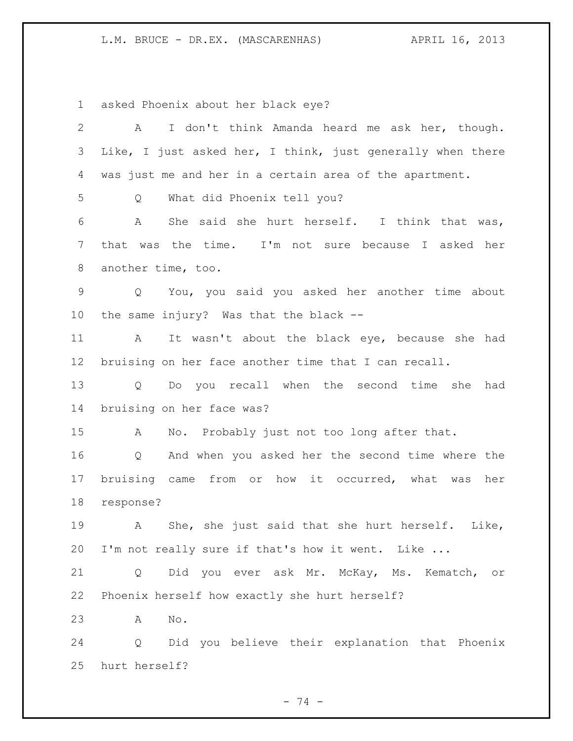L.M. BRUCE - DR.EX. (MASCARENHAS) (APRIL 16, 2013

asked Phoenix about her black eye?

| $\mathbf{2}$ | I don't think Amanda heard me ask her, though.<br>A             |
|--------------|-----------------------------------------------------------------|
| 3            | Like, I just asked her, I think, just generally when there      |
| 4            | was just me and her in a certain area of the apartment.         |
| 5            | What did Phoenix tell you?<br>Q                                 |
| 6            | She said she hurt herself. I think that was,<br>A               |
| 7            | that was the time. I'm not sure because I asked her             |
| 8            | another time, too.                                              |
| $\mathsf 9$  | Q You, you said you asked her another time about                |
| 10           | the same injury? Was that the black --                          |
| 11           | It wasn't about the black eye, because she had<br>$\mathbf{A}$  |
| 12           | bruising on her face another time that I can recall.            |
| 13           | Q Do you recall when the second time she<br>had                 |
| 14           | bruising on her face was?                                       |
| 15           | No. Probably just not too long after that.<br>A                 |
| 16           | And when you asked her the second time where the<br>Q           |
| 17           | bruising came from or how it occurred, what was<br>her          |
| 18           | response?                                                       |
| 19           | She, she just said that she hurt herself. Like,<br>$\mathbf{A}$ |
| 20           | I'm not really sure if that's how it went. Like                 |
| 21           | Did you ever ask Mr. McKay, Ms. Kematch, or<br>Q                |
| 22           | Phoenix herself how exactly she hurt herself?                   |
| 23           | $\mathop{\rm No}\nolimits$ .<br>A                               |
| 24           | Did you believe their explanation that Phoenix<br>Q             |
| 25           | hurt herself?                                                   |

- 74 -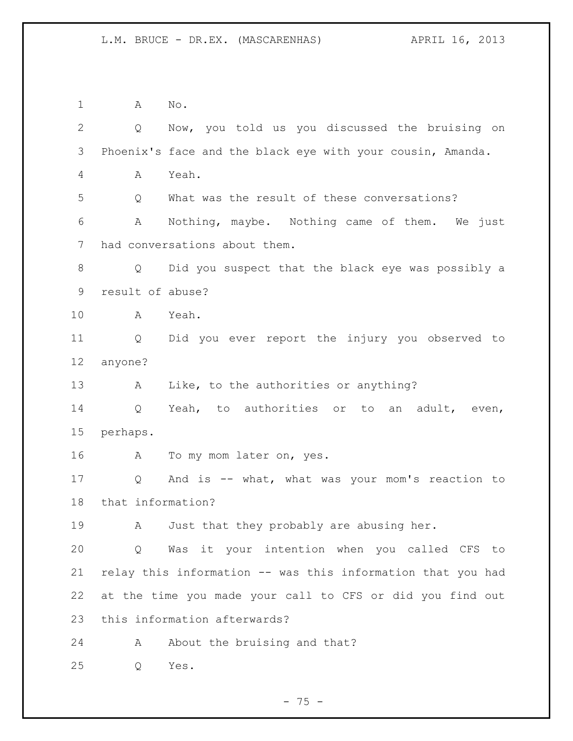A No. Q Now, you told us you discussed the bruising on Phoenix's face and the black eye with your cousin, Amanda. A Yeah. Q What was the result of these conversations? A Nothing, maybe. Nothing came of them. We just had conversations about them. Q Did you suspect that the black eye was possibly a result of abuse? A Yeah. Q Did you ever report the injury you observed to anyone? 13 A Like, to the authorities or anything? Q Yeah, to authorities or to an adult, even, perhaps. A To my mom later on, yes. Q And is -- what, what was your mom's reaction to that information? 19 A Just that they probably are abusing her. Q Was it your intention when you called CFS to relay this information -- was this information that you had at the time you made your call to CFS or did you find out this information afterwards? 24 A About the bruising and that? Q Yes.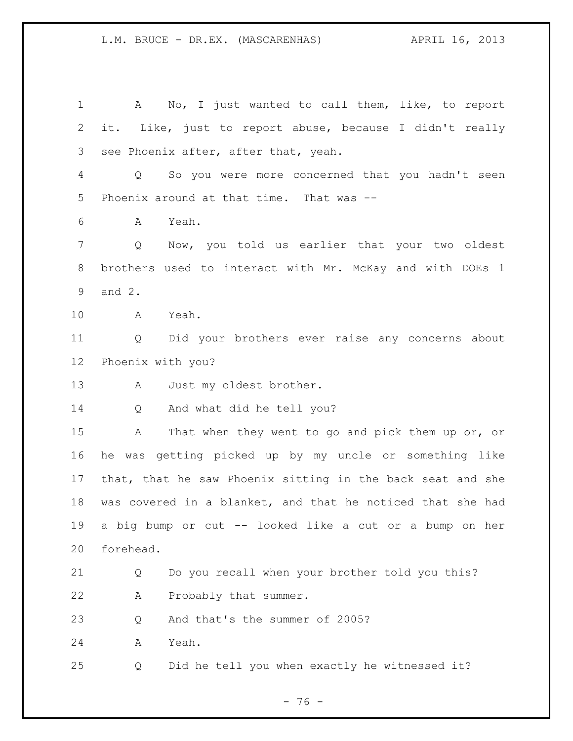A No, I just wanted to call them, like, to report it. Like, just to report abuse, because I didn't really see Phoenix after, after that, yeah. Q So you were more concerned that you hadn't seen Phoenix around at that time. That was -- A Yeah. Q Now, you told us earlier that your two oldest brothers used to interact with Mr. McKay and with DOEs 1 and 2. A Yeah. Q Did your brothers ever raise any concerns about Phoenix with you? 13 A Just my oldest brother. Q And what did he tell you? A That when they went to go and pick them up or, or he was getting picked up by my uncle or something like that, that he saw Phoenix sitting in the back seat and she was covered in a blanket, and that he noticed that she had a big bump or cut -- looked like a cut or a bump on her forehead. Q Do you recall when your brother told you this? A Probably that summer. Q And that's the summer of 2005? A Yeah. Q Did he tell you when exactly he witnessed it?

- 76 -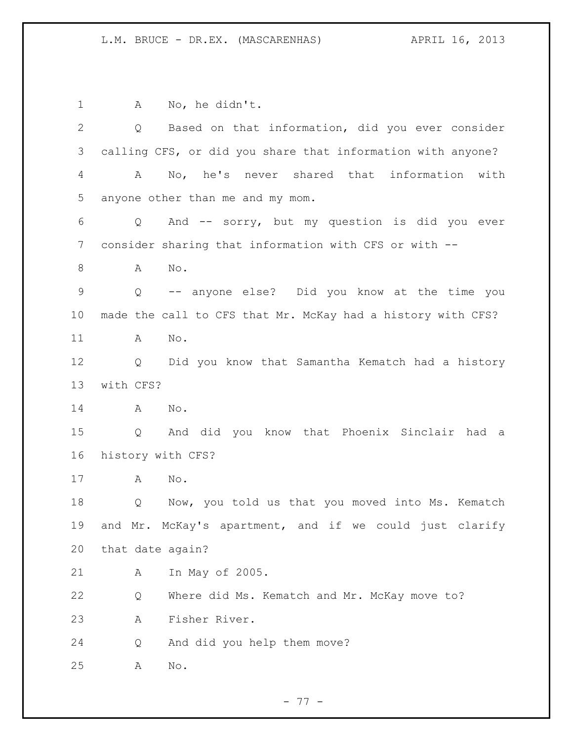1 A No, he didn't. Q Based on that information, did you ever consider calling CFS, or did you share that information with anyone? A No, he's never shared that information with anyone other than me and my mom. Q And -- sorry, but my question is did you ever consider sharing that information with CFS or with -- 8 A No. Q -- anyone else? Did you know at the time you made the call to CFS that Mr. McKay had a history with CFS? A No. Q Did you know that Samantha Kematch had a history with CFS? A No. Q And did you know that Phoenix Sinclair had a history with CFS? A No. Q Now, you told us that you moved into Ms. Kematch and Mr. McKay's apartment, and if we could just clarify that date again? A In May of 2005. Q Where did Ms. Kematch and Mr. McKay move to? A Fisher River. Q And did you help them move? A No.

- 77 -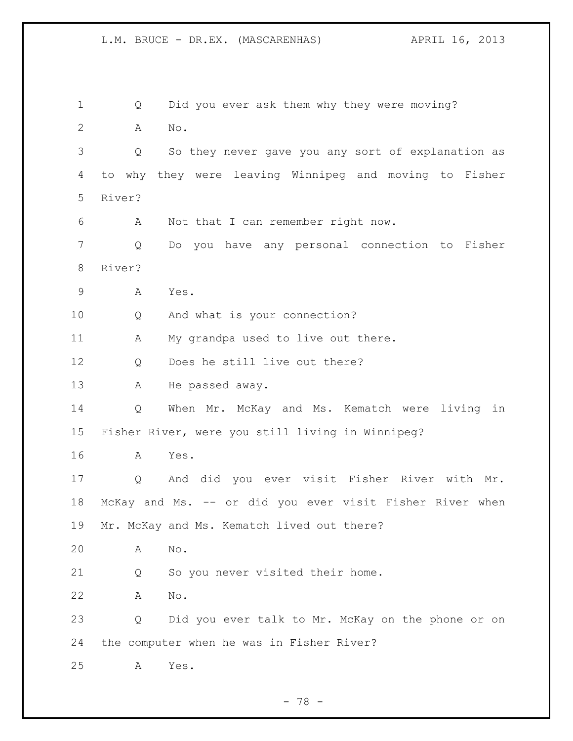L.M. BRUCE - DR.EX. (MASCARENHAS) APRIL 16, 2013

 Q Did you ever ask them why they were moving? A No. Q So they never gave you any sort of explanation as to why they were leaving Winnipeg and moving to Fisher River? A Not that I can remember right now. Q Do you have any personal connection to Fisher River? A Yes. Q And what is your connection? 11 A My grandpa used to live out there. Q Does he still live out there? 13 A He passed away. Q When Mr. McKay and Ms. Kematch were living in Fisher River, were you still living in Winnipeg? A Yes. Q And did you ever visit Fisher River with Mr. McKay and Ms. -- or did you ever visit Fisher River when Mr. McKay and Ms. Kematch lived out there? A No. Q So you never visited their home. A No. Q Did you ever talk to Mr. McKay on the phone or on the computer when he was in Fisher River? A Yes.

- 78 -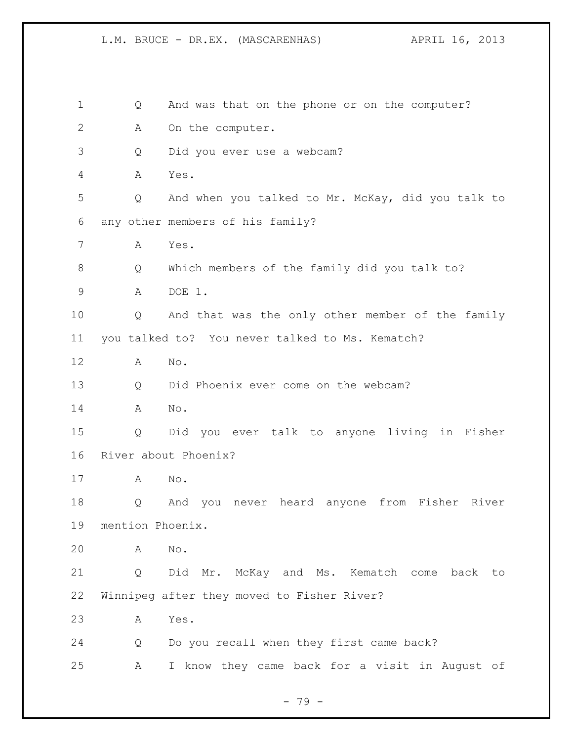L.M. BRUCE - DR.EX. (MASCARENHAS) (APRIL 16, 2013

| 1            | Q                | And was that on the phone or on the computer?      |
|--------------|------------------|----------------------------------------------------|
| $\mathbf{2}$ | Α                | On the computer.                                   |
| 3            | Q                | Did you ever use a webcam?                         |
| 4            | А                | Yes.                                               |
| 5            | Q                | And when you talked to Mr. McKay, did you talk to  |
| 6            |                  | any other members of his family?                   |
| 7            | Α                | Yes.                                               |
| 8            | Q                | Which members of the family did you talk to?       |
| $\mathsf 9$  | A                | DOE 1.                                             |
| 10           | Q                | And that was the only other member of the family   |
| 11           |                  | you talked to? You never talked to Ms. Kematch?    |
| 12           | A                | No.                                                |
| 13           | Q                | Did Phoenix ever come on the webcam?               |
| 14           | A                | No.                                                |
| 15           | Q                | Did you ever talk to anyone living in Fisher       |
| 16           |                  | River about Phoenix?                               |
| 17           | А                | No.                                                |
| 18           | Q                | never heard anyone<br>from Fisher River<br>And you |
| 19           | mention Phoenix. |                                                    |
| 20           | Α                | No.                                                |
| 21           | Q                | Did Mr. McKay and Ms. Kematch come back<br>to      |
| 22           |                  | Winnipeg after they moved to Fisher River?         |
| 23           | Α                | Yes.                                               |
| 24           | Q                | Do you recall when they first came back?           |
| 25           | Α                | I know they came back for a visit in August of     |
|              |                  |                                                    |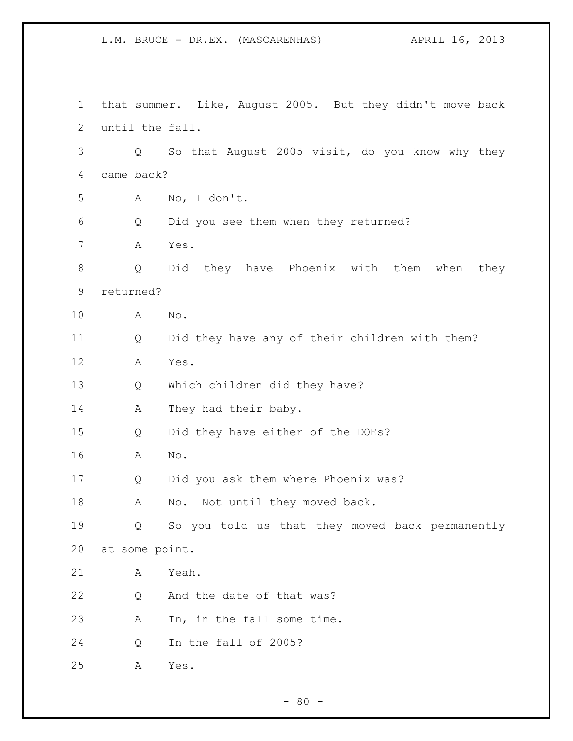L.M. BRUCE - DR.EX. (MASCARENHAS) APRIL 16, 2013

 that summer. Like, August 2005. But they didn't move back until the fall. Q So that August 2005 visit, do you know why they came back? A No, I don't. Q Did you see them when they returned? A Yes. Q Did they have Phoenix with them when they returned? A No. Q Did they have any of their children with them? A Yes. Q Which children did they have? 14 A They had their baby. Q Did they have either of the DOEs? A No. Q Did you ask them where Phoenix was? 18 A No. Not until they moved back. Q So you told us that they moved back permanently at some point. A Yeah. 22 Q And the date of that was? A In, in the fall some time. Q In the fall of 2005? A Yes.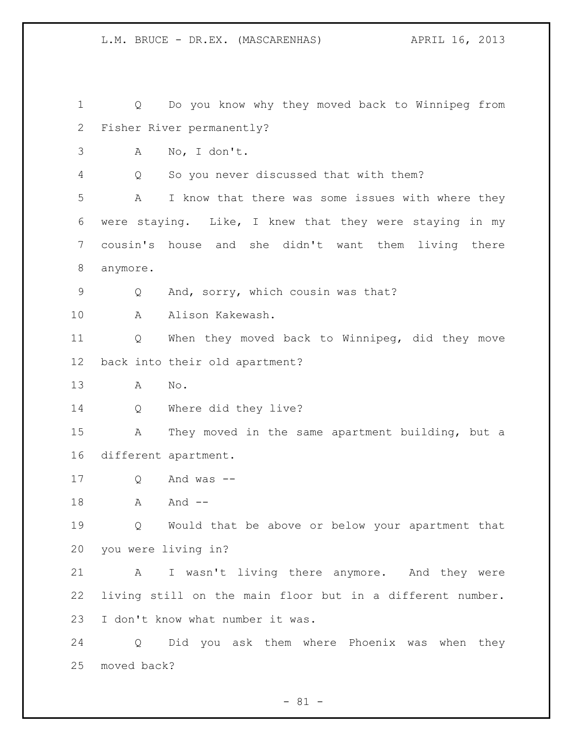Q Do you know why they moved back to Winnipeg from Fisher River permanently? A No, I don't. Q So you never discussed that with them? A I know that there was some issues with where they were staying. Like, I knew that they were staying in my cousin's house and she didn't want them living there anymore. Q And, sorry, which cousin was that? A Alison Kakewash. Q When they moved back to Winnipeg, did they move back into their old apartment? A No. Q Where did they live? A They moved in the same apartment building, but a different apartment. Q And was -- 18 A And -- Q Would that be above or below your apartment that you were living in? A I wasn't living there anymore. And they were living still on the main floor but in a different number. I don't know what number it was. Q Did you ask them where Phoenix was when they moved back?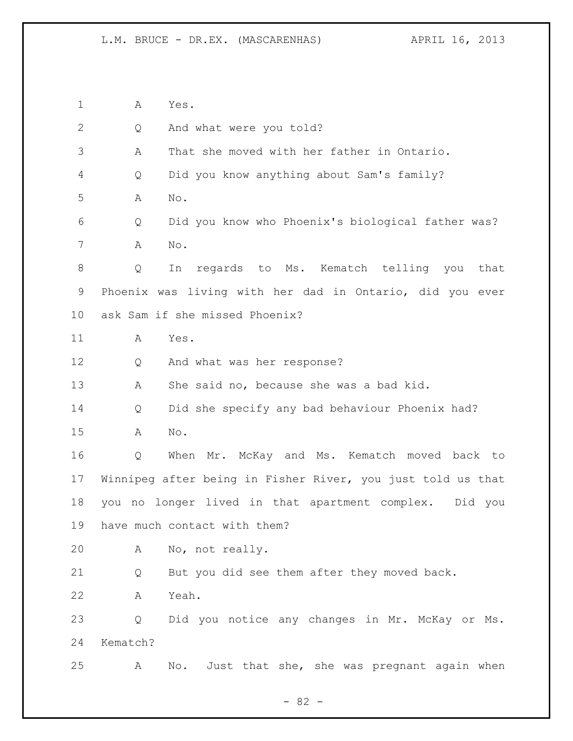A Yes. Q And what were you told? A That she moved with her father in Ontario. Q Did you know anything about Sam's family? A No. Q Did you know who Phoenix's biological father was? A No. Q In regards to Ms. Kematch telling you that Phoenix was living with her dad in Ontario, did you ever ask Sam if she missed Phoenix? A Yes. Q And what was her response? A She said no, because she was a bad kid. Q Did she specify any bad behaviour Phoenix had? A No. Q When Mr. McKay and Ms. Kematch moved back to Winnipeg after being in Fisher River, you just told us that you no longer lived in that apartment complex. Did you have much contact with them? A No, not really. Q But you did see them after they moved back. A Yeah. Q Did you notice any changes in Mr. McKay or Ms. Kematch? A No. Just that she, she was pregnant again when

- 82 -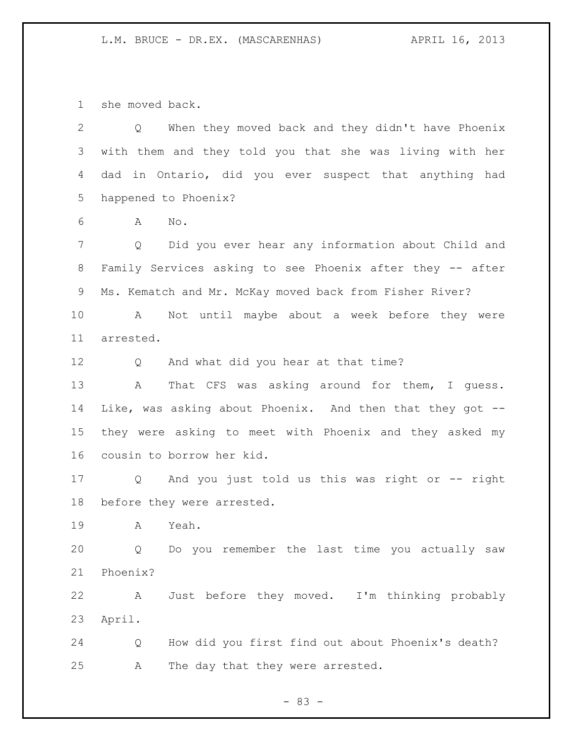she moved back.

| $\overline{2}$ | Q When they moved back and they didn't have Phoenix                    |
|----------------|------------------------------------------------------------------------|
| 3              | with them and they told you that she was living with her               |
| 4              | dad in Ontario, did you ever suspect that anything had                 |
| 5              | happened to Phoenix?                                                   |
| 6              | No.<br>A                                                               |
| 7              | Did you ever hear any information about Child and<br>$Q \qquad \qquad$ |
| 8              | Family Services asking to see Phoenix after they -- after              |
| 9              | Ms. Kematch and Mr. McKay moved back from Fisher River?                |
| 10             | Not until maybe about a week before they were<br>A                     |
| 11             | arrested.                                                              |
| 12             | And what did you hear at that time?<br>Q                               |
| 13             | That CFS was asking around for them, I guess.<br>A                     |
| 14             | Like, was asking about Phoenix. And then that they got --              |
| 15             | they were asking to meet with Phoenix and they asked my                |
| 16             | cousin to borrow her kid.                                              |
| 17             | Q And you just told us this was right or -- right                      |
| 18             | before they were arrested.                                             |
| 19             | $\mathbb A$<br>Yeah.                                                   |
| 20             | Do you remember the last time you actually saw<br>Q                    |
| 21             | Phoenix?                                                               |
| 22             | Just before they moved. I'm thinking probably<br>A                     |
| 23             | April.                                                                 |
| 24             | How did you first find out about Phoenix's death?<br>Q                 |
| 25             | The day that they were arrested.<br>A                                  |

- 83 -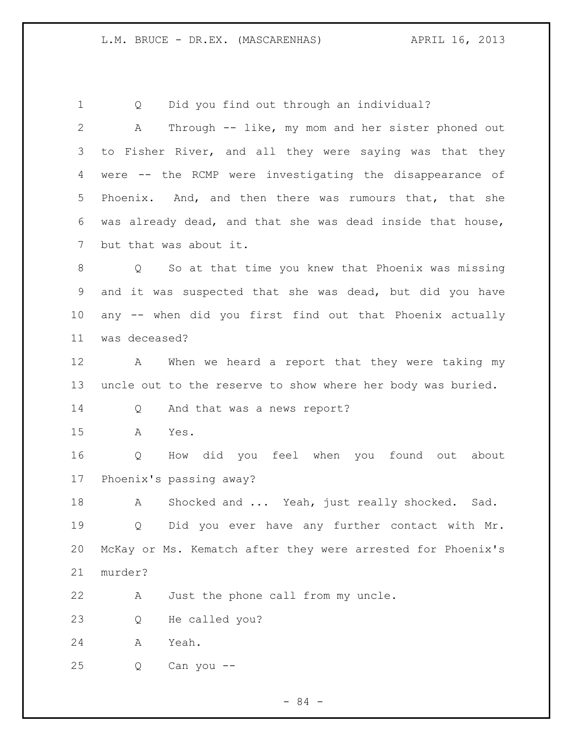Q Did you find out through an individual? A Through -- like, my mom and her sister phoned out to Fisher River, and all they were saying was that they were -- the RCMP were investigating the disappearance of Phoenix. And, and then there was rumours that, that she was already dead, and that she was dead inside that house, but that was about it. Q So at that time you knew that Phoenix was missing and it was suspected that she was dead, but did you have any -- when did you first find out that Phoenix actually was deceased? A When we heard a report that they were taking my uncle out to the reserve to show where her body was buried. Q And that was a news report? A Yes. Q How did you feel when you found out about Phoenix's passing away? 18 A Shocked and ... Yeah, just really shocked. Sad. Q Did you ever have any further contact with Mr. McKay or Ms. Kematch after they were arrested for Phoenix's murder? A Just the phone call from my uncle. Q He called you? A Yeah. Q Can you --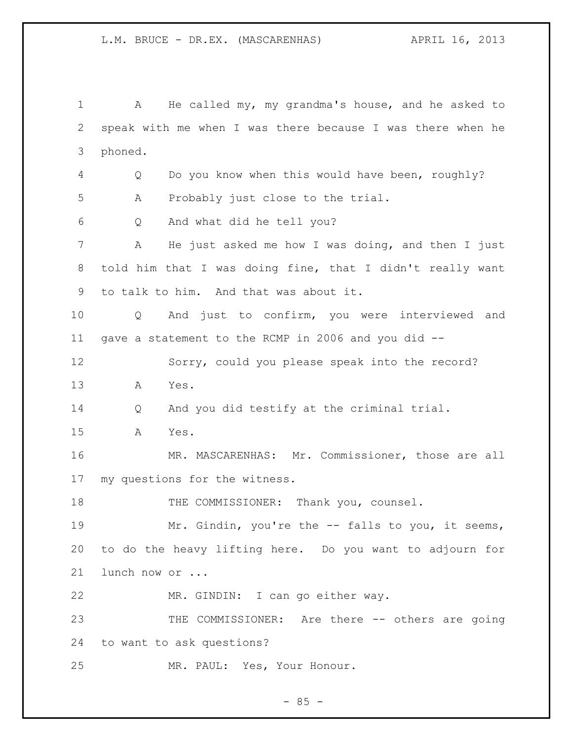A He called my, my grandma's house, and he asked to speak with me when I was there because I was there when he phoned. Q Do you know when this would have been, roughly? A Probably just close to the trial. Q And what did he tell you? A He just asked me how I was doing, and then I just told him that I was doing fine, that I didn't really want to talk to him. And that was about it. Q And just to confirm, you were interviewed and gave a statement to the RCMP in 2006 and you did -- Sorry, could you please speak into the record? A Yes. Q And you did testify at the criminal trial. A Yes. MR. MASCARENHAS: Mr. Commissioner, those are all my questions for the witness. 18 THE COMMISSIONER: Thank you, counsel. Mr. Gindin, you're the -- falls to you, it seems, to do the heavy lifting here. Do you want to adjourn for lunch now or ... MR. GINDIN: I can go either way. 23 THE COMMISSIONER: Are there -- others are going to want to ask questions? MR. PAUL: Yes, Your Honour.

 $- 85 -$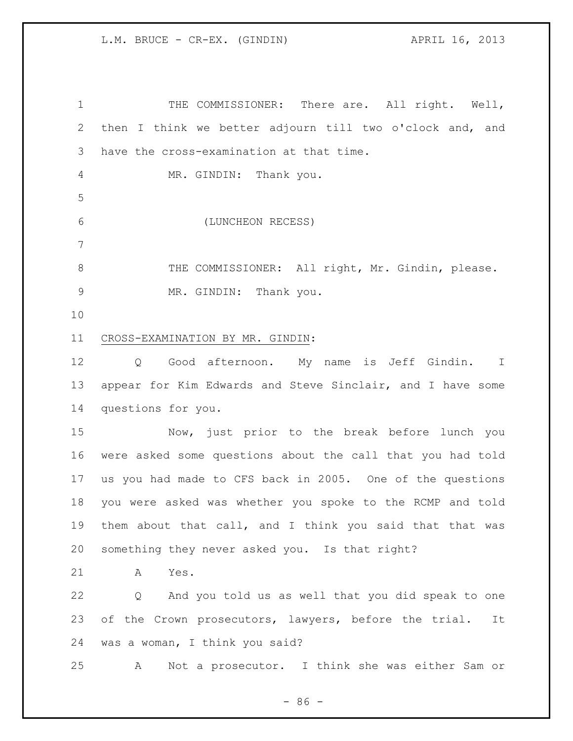1 THE COMMISSIONER: There are. All right. Well, then I think we better adjourn till two o'clock and, and have the cross-examination at that time. 4 MR. GINDIN: Thank you. (LUNCHEON RECESS) 8 THE COMMISSIONER: All right, Mr. Gindin, please. MR. GINDIN: Thank you. CROSS-EXAMINATION BY MR. GINDIN: Q Good afternoon. My name is Jeff Gindin. I appear for Kim Edwards and Steve Sinclair, and I have some questions for you. Now, just prior to the break before lunch you were asked some questions about the call that you had told us you had made to CFS back in 2005. One of the questions you were asked was whether you spoke to the RCMP and told them about that call, and I think you said that that was something they never asked you. Is that right? A Yes. Q And you told us as well that you did speak to one 23 of the Crown prosecutors, lawyers, before the trial. It was a woman, I think you said? A Not a prosecutor. I think she was either Sam or

 $-86 -$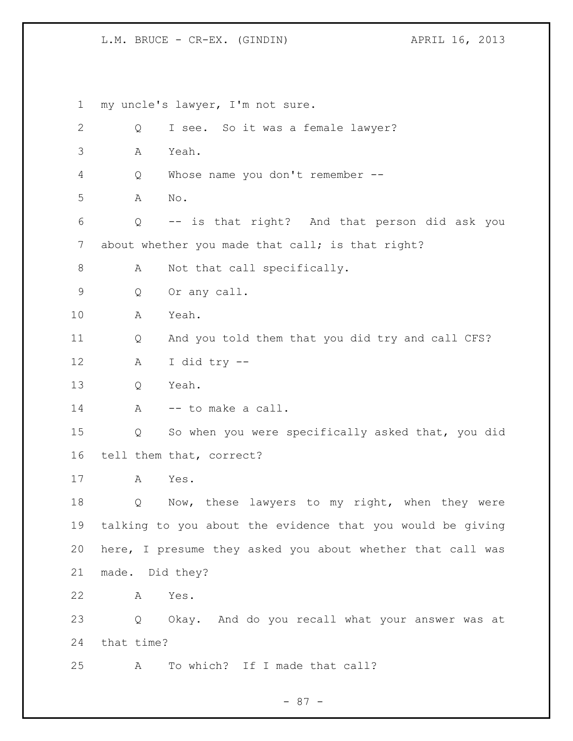my uncle's lawyer, I'm not sure. Q I see. So it was a female lawyer? A Yeah. Q Whose name you don't remember -- A No. Q -- is that right? And that person did ask you 7 about whether you made that call; is that right? 8 A Not that call specifically. Q Or any call. A Yeah. Q And you told them that you did try and call CFS? A I did try -- Q Yeah. 14 A -- to make a call. Q So when you were specifically asked that, you did tell them that, correct? A Yes. Q Now, these lawyers to my right, when they were talking to you about the evidence that you would be giving here, I presume they asked you about whether that call was made. Did they? A Yes. Q Okay. And do you recall what your answer was at that time? A To which? If I made that call?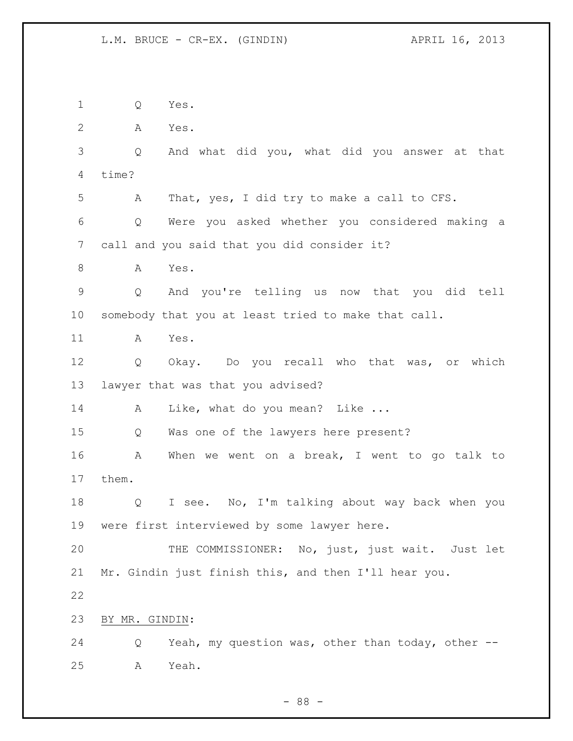Q Yes. A Yes. Q And what did you, what did you answer at that time? A That, yes, I did try to make a call to CFS. Q Were you asked whether you considered making a call and you said that you did consider it? 8 A Yes. Q And you're telling us now that you did tell somebody that you at least tried to make that call. A Yes. Q Okay. Do you recall who that was, or which lawyer that was that you advised? 14 A Like, what do you mean? Like ... Q Was one of the lawyers here present? A When we went on a break, I went to go talk to them. Q I see. No, I'm talking about way back when you were first interviewed by some lawyer here. THE COMMISSIONER: No, just, just wait. Just let Mr. Gindin just finish this, and then I'll hear you. BY MR. GINDIN: Q Yeah, my question was, other than today, other -- A Yeah.

- 88 -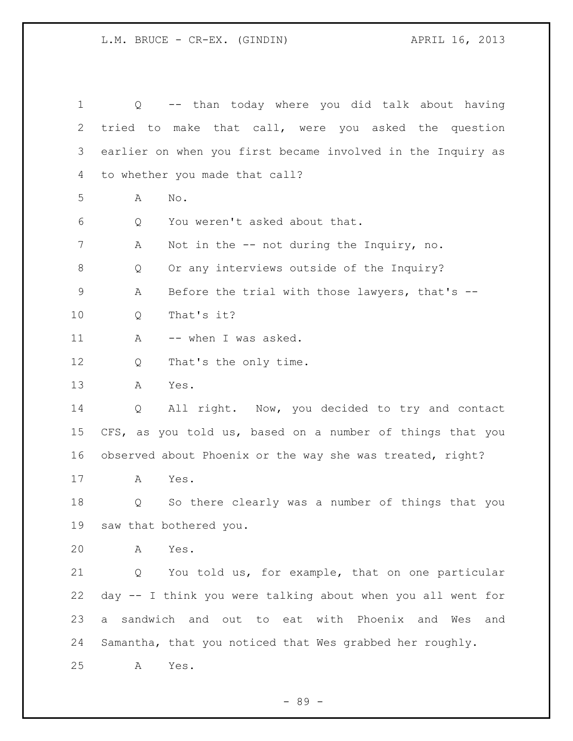Q -- than today where you did talk about having tried to make that call, were you asked the question earlier on when you first became involved in the Inquiry as to whether you made that call? A No. Q You weren't asked about that. A Not in the -- not during the Inquiry, no. Q Or any interviews outside of the Inquiry? A Before the trial with those lawyers, that's -- Q That's it? 11 A -- when I was asked. 12 Q That's the only time. A Yes. Q All right. Now, you decided to try and contact CFS, as you told us, based on a number of things that you observed about Phoenix or the way she was treated, right? A Yes. Q So there clearly was a number of things that you saw that bothered you. A Yes. Q You told us, for example, that on one particular day -- I think you were talking about when you all went for a sandwich and out to eat with Phoenix and Wes and Samantha, that you noticed that Wes grabbed her roughly. A Yes.

- 89 -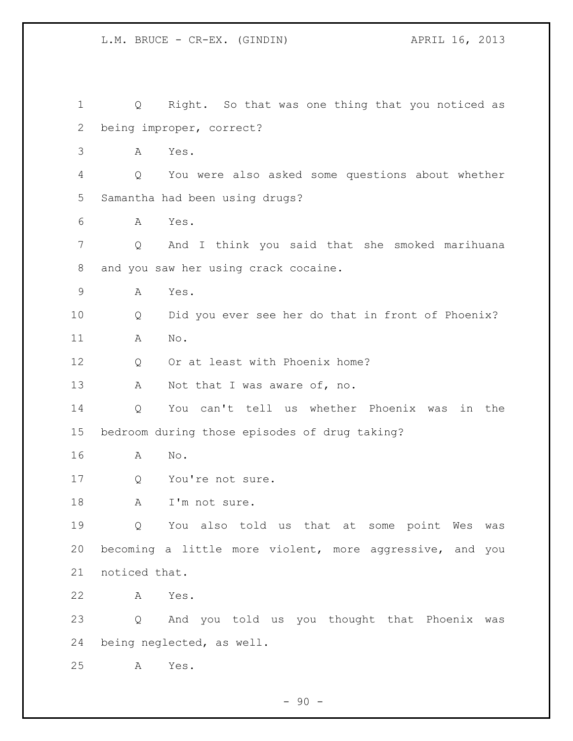Q Right. So that was one thing that you noticed as being improper, correct? A Yes. Q You were also asked some questions about whether Samantha had been using drugs? A Yes. Q And I think you said that she smoked marihuana and you saw her using crack cocaine. A Yes. Q Did you ever see her do that in front of Phoenix? A No. 12 Q Or at least with Phoenix home? 13 A Not that I was aware of, no. Q You can't tell us whether Phoenix was in the bedroom during those episodes of drug taking? A No. 17 Q You're not sure. 18 A I'm not sure. Q You also told us that at some point Wes was becoming a little more violent, more aggressive, and you noticed that. A Yes. Q And you told us you thought that Phoenix was being neglected, as well. A Yes.

 $-90 -$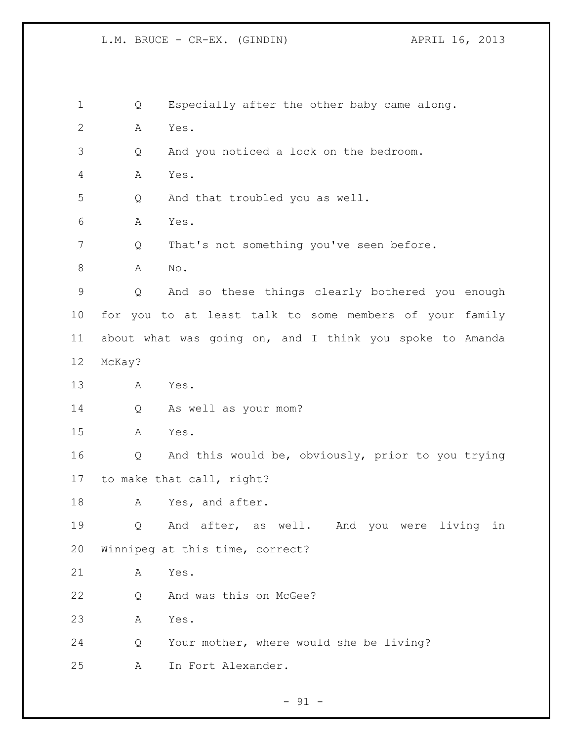Q Especially after the other baby came along. A Yes. Q And you noticed a lock on the bedroom. A Yes. Q And that troubled you as well. A Yes. 7 Q That's not something you've seen before. A No. Q And so these things clearly bothered you enough for you to at least talk to some members of your family about what was going on, and I think you spoke to Amanda McKay? A Yes. Q As well as your mom? A Yes. Q And this would be, obviously, prior to you trying to make that call, right? 18 A Yes, and after. Q And after, as well. And you were living in Winnipeg at this time, correct? A Yes. Q And was this on McGee? A Yes. Q Your mother, where would she be living? A In Fort Alexander.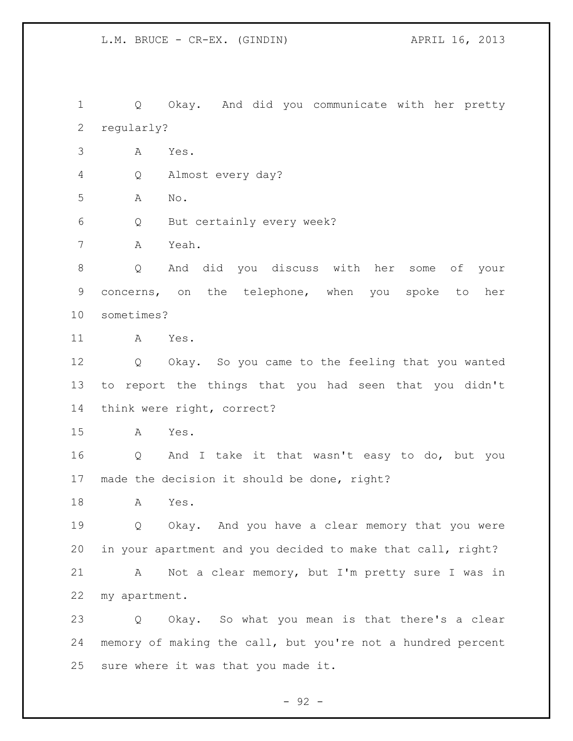Q Okay. And did you communicate with her pretty regularly?

A Yes.

Q Almost every day?

A No.

Q But certainly every week?

A Yeah.

 Q And did you discuss with her some of your concerns, on the telephone, when you spoke to her sometimes?

A Yes.

 Q Okay. So you came to the feeling that you wanted to report the things that you had seen that you didn't think were right, correct?

A Yes.

 Q And I take it that wasn't easy to do, but you made the decision it should be done, right?

A Yes.

 Q Okay. And you have a clear memory that you were in your apartment and you decided to make that call, right?

 A Not a clear memory, but I'm pretty sure I was in my apartment.

 Q Okay. So what you mean is that there's a clear memory of making the call, but you're not a hundred percent sure where it was that you made it.

 $-92 -$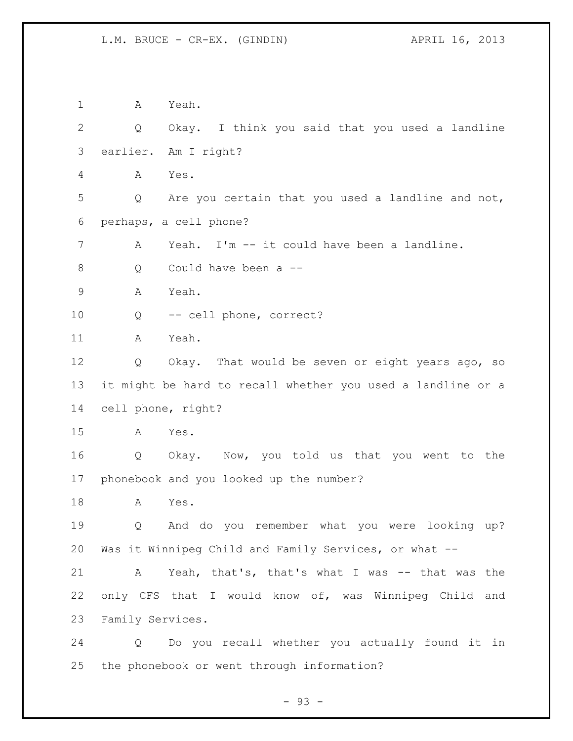A Yeah. Q Okay. I think you said that you used a landline earlier. Am I right? A Yes. Q Are you certain that you used a landline and not, perhaps, a cell phone? A Yeah. I'm -- it could have been a landline. Q Could have been a -- A Yeah. Q -- cell phone, correct? A Yeah. Q Okay. That would be seven or eight years ago, so it might be hard to recall whether you used a landline or a cell phone, right? A Yes. Q Okay. Now, you told us that you went to the phonebook and you looked up the number? A Yes. Q And do you remember what you were looking up? Was it Winnipeg Child and Family Services, or what -- A Yeah, that's, that's what I was -- that was the only CFS that I would know of, was Winnipeg Child and Family Services. Q Do you recall whether you actually found it in the phonebook or went through information?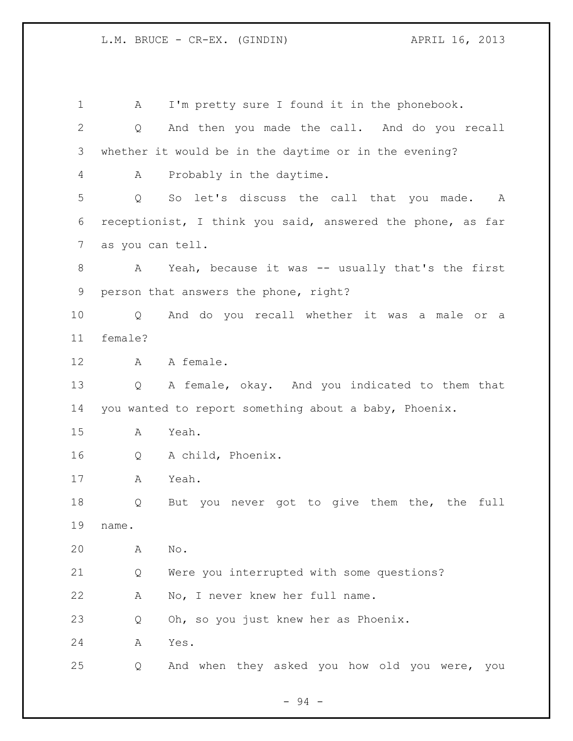A I'm pretty sure I found it in the phonebook. Q And then you made the call. And do you recall whether it would be in the daytime or in the evening? A Probably in the daytime. Q So let's discuss the call that you made. A receptionist, I think you said, answered the phone, as far as you can tell. A Yeah, because it was -- usually that's the first person that answers the phone, right? Q And do you recall whether it was a male or a female? 12 A A female. Q A female, okay. And you indicated to them that you wanted to report something about a baby, Phoenix. A Yeah. Q A child, Phoenix. A Yeah. Q But you never got to give them the, the full name. A No. Q Were you interrupted with some questions? A No, I never knew her full name. Q Oh, so you just knew her as Phoenix. A Yes. Q And when they asked you how old you were, you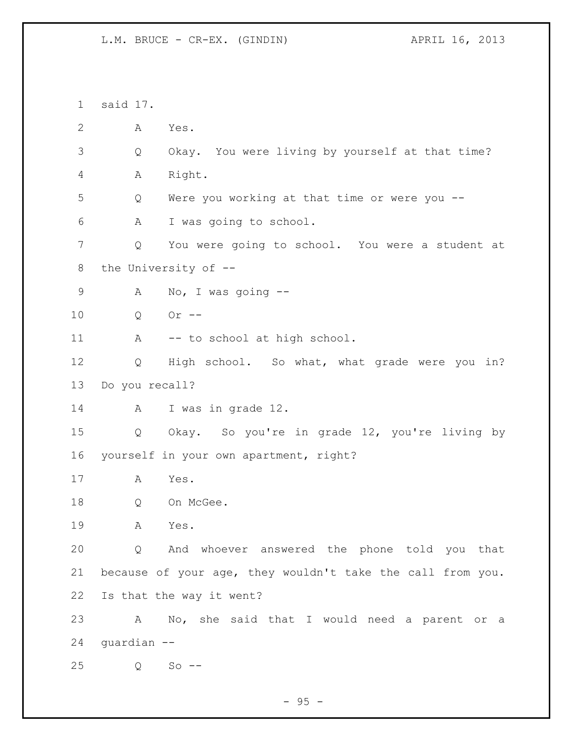said 17. A Yes. Q Okay. You were living by yourself at that time? A Right. Q Were you working at that time or were you -- A I was going to school. Q You were going to school. You were a student at the University of -- A No, I was going -- Q Or -- 11 A -- to school at high school. Q High school. So what, what grade were you in? Do you recall? A I was in grade 12. Q Okay. So you're in grade 12, you're living by yourself in your own apartment, right? A Yes. Q On McGee. A Yes. Q And whoever answered the phone told you that because of your age, they wouldn't take the call from you. Is that the way it went? A No, she said that I would need a parent or a guardian -- Q So --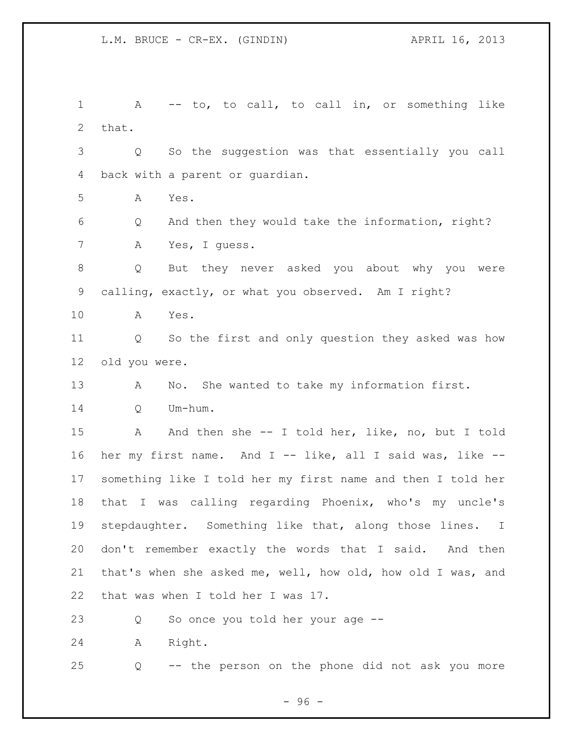1 A -- to, to call, to call in, or something like that. Q So the suggestion was that essentially you call back with a parent or guardian. A Yes. Q And then they would take the information, right? A Yes, I guess. Q But they never asked you about why you were calling, exactly, or what you observed. Am I right? A Yes. Q So the first and only question they asked was how old you were. A No. She wanted to take my information first. Q Um-hum. 15 A And then she -- I told her, like, no, but I told her my first name. And I -- like, all I said was, like -- something like I told her my first name and then I told her that I was calling regarding Phoenix, who's my uncle's stepdaughter. Something like that, along those lines. I don't remember exactly the words that I said. And then that's when she asked me, well, how old, how old I was, and that was when I told her I was 17. Q So once you told her your age -- A Right. Q -- the person on the phone did not ask you more

- 96 -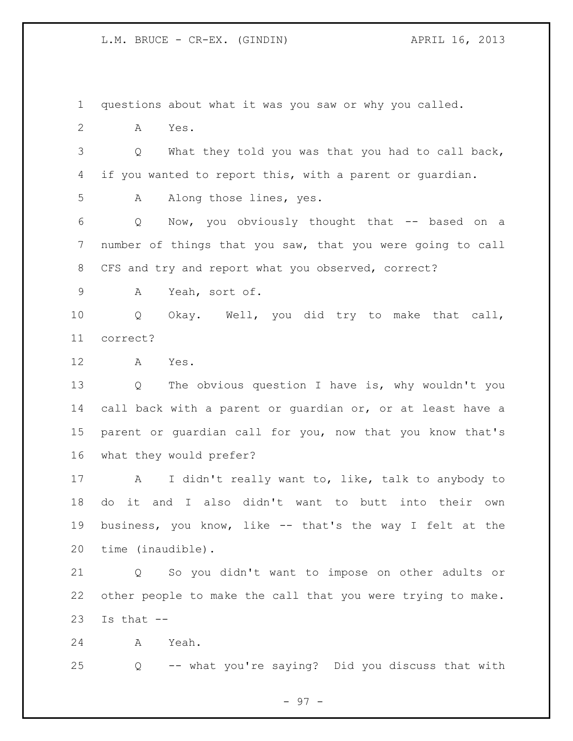questions about what it was you saw or why you called. A Yes. Q What they told you was that you had to call back, if you wanted to report this, with a parent or guardian. 5 A Along those lines, yes. Q Now, you obviously thought that -- based on a number of things that you saw, that you were going to call CFS and try and report what you observed, correct? A Yeah, sort of. Q Okay. Well, you did try to make that call, correct? A Yes. Q The obvious question I have is, why wouldn't you call back with a parent or guardian or, or at least have a parent or guardian call for you, now that you know that's what they would prefer? A I didn't really want to, like, talk to anybody to do it and I also didn't want to butt into their own business, you know, like -- that's the way I felt at the time (inaudible). Q So you didn't want to impose on other adults or other people to make the call that you were trying to make. Is that  $-$  A Yeah. Q -- what you're saying? Did you discuss that with

- 97 -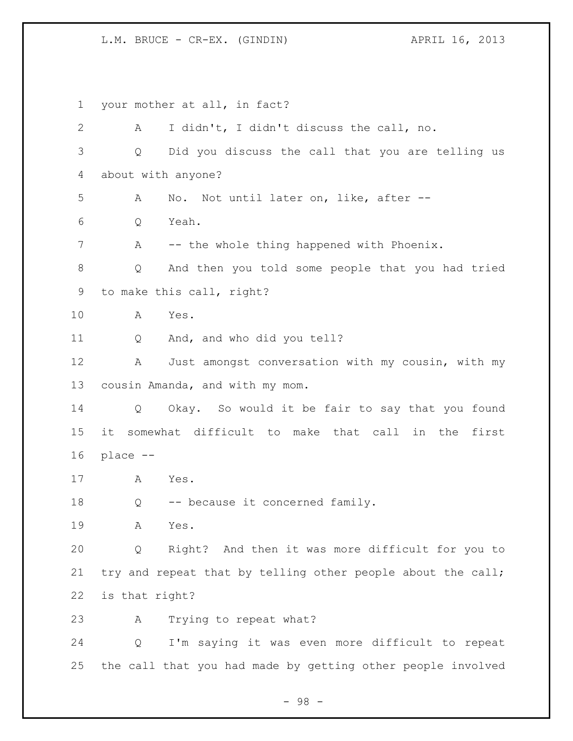your mother at all, in fact? A I didn't, I didn't discuss the call, no. Q Did you discuss the call that you are telling us about with anyone? A No. Not until later on, like, after -- Q Yeah. 7 A -- the whole thing happened with Phoenix. Q And then you told some people that you had tried to make this call, right? A Yes. Q And, and who did you tell? A Just amongst conversation with my cousin, with my cousin Amanda, and with my mom. Q Okay. So would it be fair to say that you found it somewhat difficult to make that call in the first place -- A Yes. Q -- because it concerned family. A Yes. Q Right? And then it was more difficult for you to 21 try and repeat that by telling other people about the call; is that right? A Trying to repeat what? Q I'm saying it was even more difficult to repeat the call that you had made by getting other people involved

- 98 -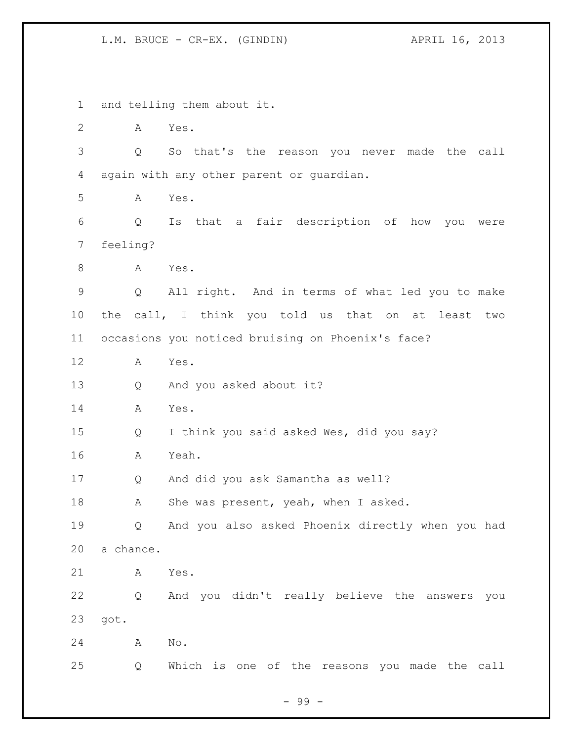and telling them about it. A Yes. Q So that's the reason you never made the call again with any other parent or guardian. A Yes. Q Is that a fair description of how you were feeling? 8 A Yes. Q All right. And in terms of what led you to make the call, I think you told us that on at least two occasions you noticed bruising on Phoenix's face? A Yes. Q And you asked about it? A Yes. Q I think you said asked Wes, did you say? A Yeah. Q And did you ask Samantha as well? 18 A She was present, yeah, when I asked. Q And you also asked Phoenix directly when you had a chance. A Yes. Q And you didn't really believe the answers you got. A No. Q Which is one of the reasons you made the call

- 99 -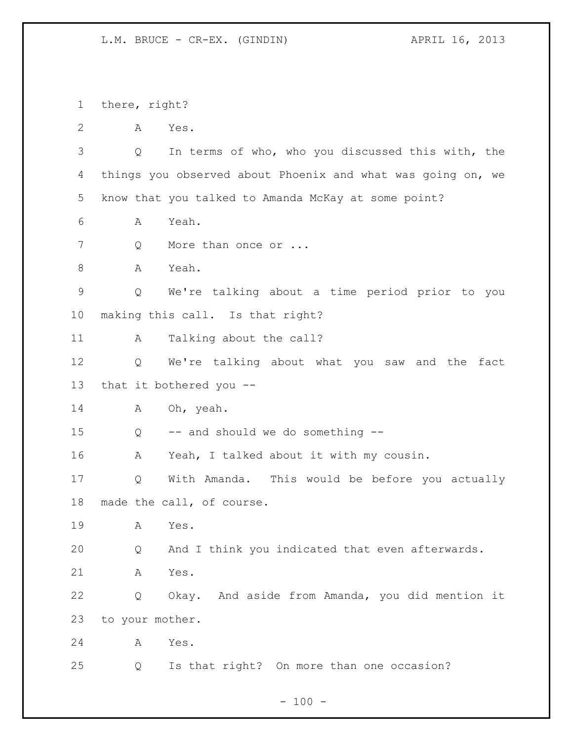there, right?

A Yes.

 Q In terms of who, who you discussed this with, the things you observed about Phoenix and what was going on, we know that you talked to Amanda McKay at some point?

A Yeah.

7 Q More than once or ...

A Yeah.

 Q We're talking about a time period prior to you making this call. Is that right?

A Talking about the call?

 Q We're talking about what you saw and the fact that it bothered you --

14 A Oh, yeah.

Q -- and should we do something --

A Yeah, I talked about it with my cousin.

 Q With Amanda. This would be before you actually made the call, of course.

A Yes.

Q And I think you indicated that even afterwards.

A Yes.

 Q Okay. And aside from Amanda, you did mention it to your mother.

A Yes.

Q Is that right? On more than one occasion?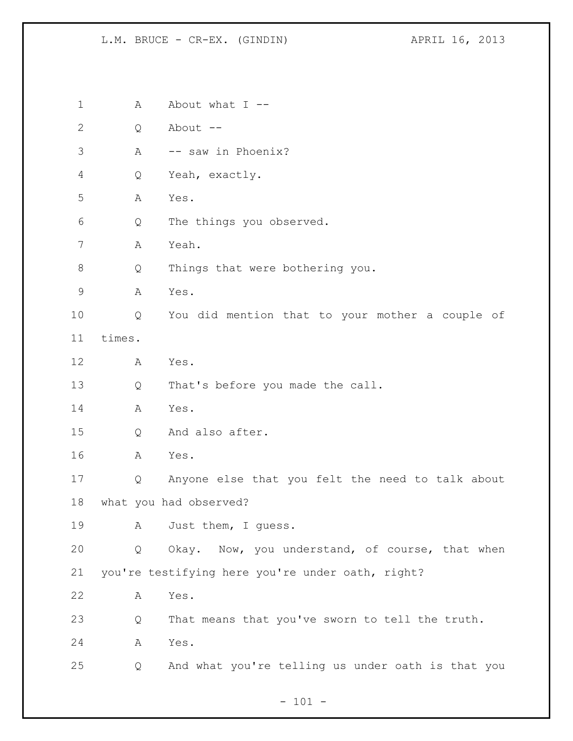| $\mathbf 1$  | Α      | About what $I$ --                                 |
|--------------|--------|---------------------------------------------------|
| $\mathbf{2}$ | Q      | About --                                          |
| 3            | Α      | -- saw in Phoenix?                                |
| 4            | Q      | Yeah, exactly.                                    |
| 5            | Α      | Yes.                                              |
| 6            | Q      | The things you observed.                          |
| 7            | Α      | Yeah.                                             |
| 8            | Q      | Things that were bothering you.                   |
| $\mathsf 9$  | Α      | Yes.                                              |
| 10           | Q      | You did mention that to your mother a couple of   |
| 11           | times. |                                                   |
| 12           | Α      | Yes.                                              |
| 13           | Q      | That's before you made the call.                  |
| 14           | A      | Yes.                                              |
| 15           | Q      | And also after.                                   |
| 16           | А      | Yes.                                              |
| 17           | Q      | Anyone else that you felt the need to talk about  |
| 18           |        | what you had observed?                            |
| 19           | А      | Just them, I guess.                               |
| 20           | Q      | Okay. Now, you understand, of course, that when   |
| 21           |        | you're testifying here you're under oath, right?  |
| 22           | Α      | Yes.                                              |
| 23           | Q      | That means that you've sworn to tell the truth.   |
| 24           | Α      | Yes.                                              |
| 25           | Q      | And what you're telling us under oath is that you |
|              |        |                                                   |

- 101 -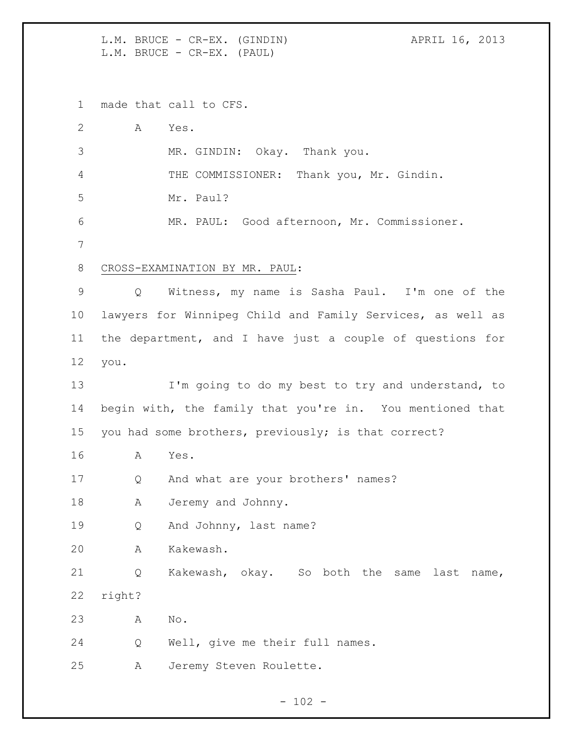L.M. BRUCE - CR-EX. (GINDIN)  $APRIL 16, 2013$ L.M. BRUCE - CR-EX. (PAUL)

made that call to CFS.

| Α      | Yes.                                                       |
|--------|------------------------------------------------------------|
|        | MR. GINDIN: Okay. Thank you.                               |
|        | THE COMMISSIONER: Thank you, Mr. Gindin.                   |
|        | Mr. Paul?                                                  |
|        | MR. PAUL: Good afternoon, Mr. Commissioner.                |
|        |                                                            |
|        | CROSS-EXAMINATION BY MR. PAUL:                             |
| Q      | Witness, my name is Sasha Paul. I'm one of the             |
|        | lawyers for Winnipeg Child and Family Services, as well as |
|        | the department, and I have just a couple of questions for  |
| you.   |                                                            |
|        | I'm going to do my best to try and understand, to          |
|        | begin with, the family that you're in. You mentioned that  |
|        | you had some brothers, previously; is that correct?        |
| Α      | Yes.                                                       |
| Q      | And what are your brothers' names?                         |
| A      | Jeremy and Johnny.                                         |
| Q      | And Johnny, last name?                                     |
| Α      | Kakewash.                                                  |
| Q      | Kakewash, okay. So both<br>the<br>same<br>last<br>name,    |
| right? |                                                            |
| Α      | No.                                                        |
| Q      | Well, give me their full names.                            |
| Α      | Jeremy Steven Roulette.                                    |
|        |                                                            |

- 102 -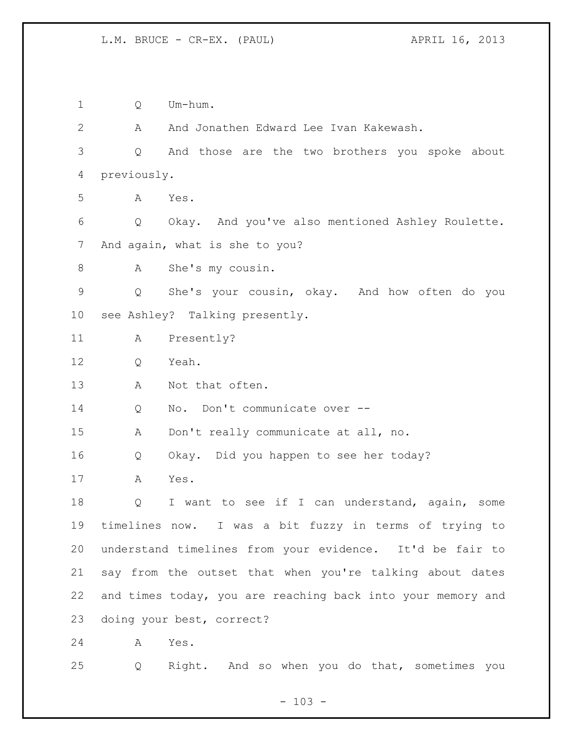Q Um-hum. A And Jonathen Edward Lee Ivan Kakewash. Q And those are the two brothers you spoke about previously. A Yes. Q Okay. And you've also mentioned Ashley Roulette. And again, what is she to you? A She's my cousin. Q She's your cousin, okay. And how often do you see Ashley? Talking presently. A Presently? Q Yeah. A Not that often. 14 Q No. Don't communicate over -- A Don't really communicate at all, no. Q Okay. Did you happen to see her today? A Yes. 18 Q I want to see if I can understand, again, some timelines now. I was a bit fuzzy in terms of trying to understand timelines from your evidence. It'd be fair to say from the outset that when you're talking about dates and times today, you are reaching back into your memory and doing your best, correct? A Yes. Q Right. And so when you do that, sometimes you

 $- 103 -$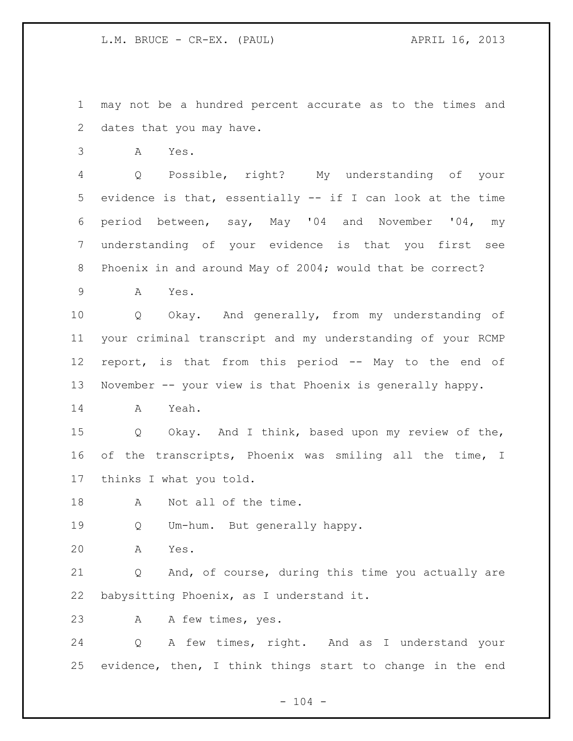may not be a hundred percent accurate as to the times and dates that you may have.

A Yes.

 Q Possible, right? My understanding of your evidence is that, essentially -- if I can look at the time period between, say, May '04 and November '04, my understanding of your evidence is that you first see Phoenix in and around May of 2004; would that be correct?

A Yes.

 Q Okay. And generally, from my understanding of your criminal transcript and my understanding of your RCMP report, is that from this period -- May to the end of November -- your view is that Phoenix is generally happy.

A Yeah.

 Q Okay. And I think, based upon my review of the, of the transcripts, Phoenix was smiling all the time, I thinks I what you told.

18 A Not all of the time.

Q Um-hum. But generally happy.

A Yes.

 Q And, of course, during this time you actually are babysitting Phoenix, as I understand it.

A A few times, yes.

 Q A few times, right. And as I understand your evidence, then, I think things start to change in the end

 $- 104 -$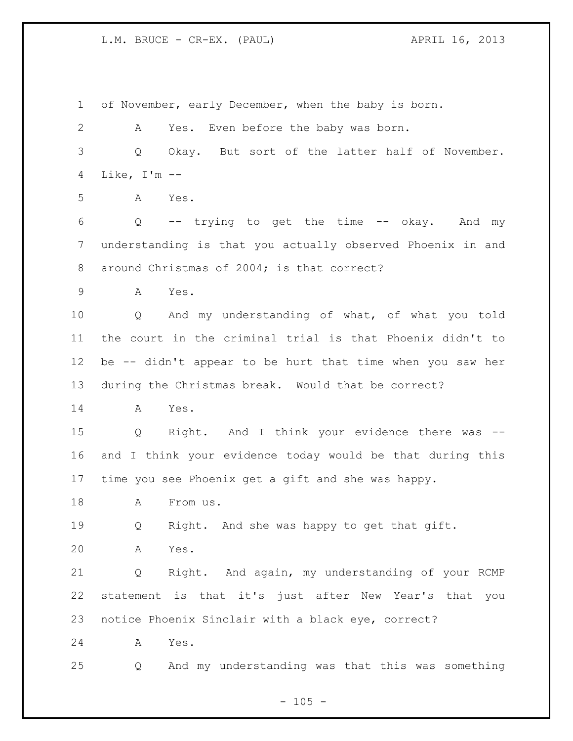### L.M. BRUCE - CR-EX. (PAUL) APRIL 16, 2013

 of November, early December, when the baby is born. A Yes. Even before the baby was born. Q Okay. But sort of the latter half of November. Like, I'm -- A Yes. Q -- trying to get the time -- okay. And my understanding is that you actually observed Phoenix in and 8 around Christmas of 2004; is that correct? A Yes. Q And my understanding of what, of what you told the court in the criminal trial is that Phoenix didn't to be -- didn't appear to be hurt that time when you saw her during the Christmas break. Would that be correct? A Yes. Q Right. And I think your evidence there was -- and I think your evidence today would be that during this time you see Phoenix get a gift and she was happy. 18 A From us. Q Right. And she was happy to get that gift. A Yes. Q Right. And again, my understanding of your RCMP statement is that it's just after New Year's that you notice Phoenix Sinclair with a black eye, correct? A Yes. Q And my understanding was that this was something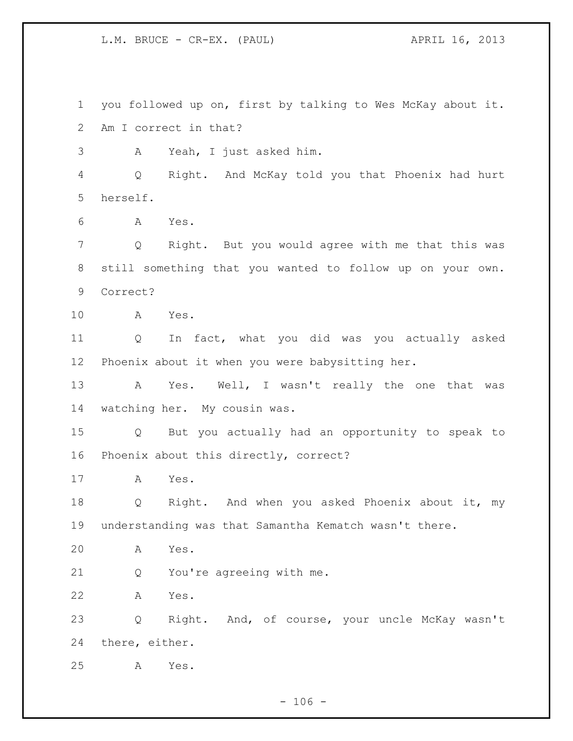L.M. BRUCE - CR-EX. (PAUL) APRIL 16, 2013

 you followed up on, first by talking to Wes McKay about it. Am I correct in that? A Yeah, I just asked him. Q Right. And McKay told you that Phoenix had hurt herself. A Yes. Q Right. But you would agree with me that this was still something that you wanted to follow up on your own. Correct? A Yes. Q In fact, what you did was you actually asked Phoenix about it when you were babysitting her. 13 A Yes. Well, I wasn't really the one that was watching her. My cousin was. Q But you actually had an opportunity to speak to Phoenix about this directly, correct? A Yes. Q Right. And when you asked Phoenix about it, my understanding was that Samantha Kematch wasn't there. A Yes. Q You're agreeing with me. A Yes. Q Right. And, of course, your uncle McKay wasn't there, either. A Yes.

 $- 106 -$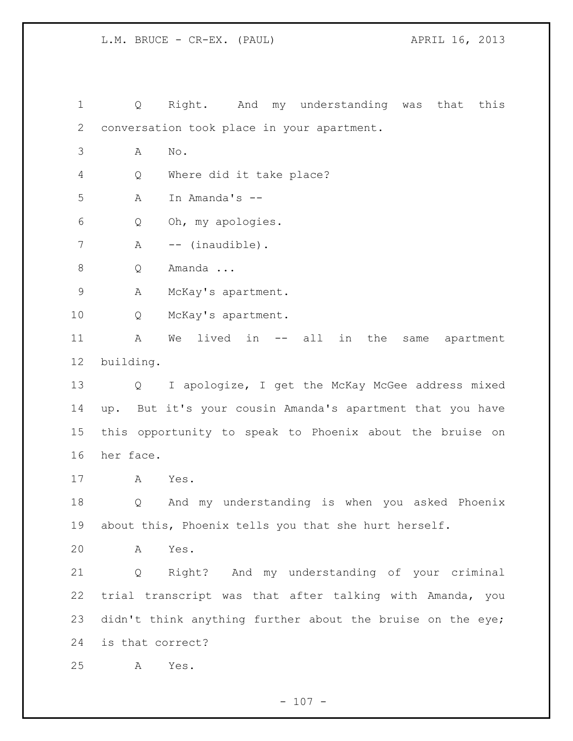L.M. BRUCE - CR-EX. (PAUL) APRIL 16, 2013

 Q Right. And my understanding was that this conversation took place in your apartment. A No. Q Where did it take place? A In Amanda's -- Q Oh, my apologies. 7 A -- (inaudible). Q Amanda ... A McKay's apartment. Q McKay's apartment. A We lived in -- all in the same apartment building. Q I apologize, I get the McKay McGee address mixed up. But it's your cousin Amanda's apartment that you have this opportunity to speak to Phoenix about the bruise on her face. A Yes. Q And my understanding is when you asked Phoenix about this, Phoenix tells you that she hurt herself. A Yes. Q Right? And my understanding of your criminal trial transcript was that after talking with Amanda, you 23 didn't think anything further about the bruise on the eye; is that correct? A Yes.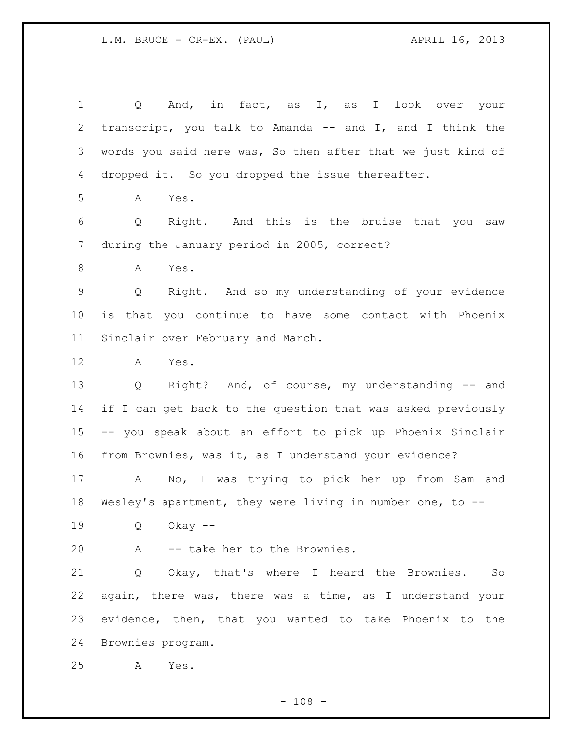Q And, in fact, as I, as I look over your transcript, you talk to Amanda -- and I, and I think the words you said here was, So then after that we just kind of dropped it. So you dropped the issue thereafter. A Yes. Q Right. And this is the bruise that you saw during the January period in 2005, correct? 8 A Yes. Q Right. And so my understanding of your evidence is that you continue to have some contact with Phoenix Sinclair over February and March. A Yes. Q Right? And, of course, my understanding -- and 14 if I can get back to the question that was asked previously -- you speak about an effort to pick up Phoenix Sinclair from Brownies, was it, as I understand your evidence? A No, I was trying to pick her up from Sam and Wesley's apartment, they were living in number one, to -- Q Okay -- A -- take her to the Brownies. Q Okay, that's where I heard the Brownies. So again, there was, there was a time, as I understand your evidence, then, that you wanted to take Phoenix to the Brownies program. A Yes.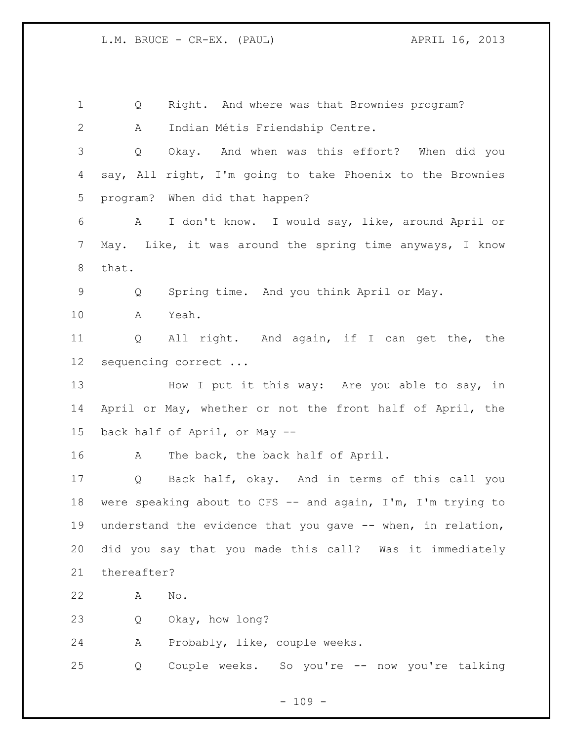Q Right. And where was that Brownies program? A Indian Métis Friendship Centre. Q Okay. And when was this effort? When did you say, All right, I'm going to take Phoenix to the Brownies program? When did that happen? A I don't know. I would say, like, around April or May. Like, it was around the spring time anyways, I know that. Q Spring time. And you think April or May. A Yeah. Q All right. And again, if I can get the, the sequencing correct ... 13 How I put it this way: Are you able to say, in April or May, whether or not the front half of April, the back half of April, or May -- 16 A The back, the back half of April. Q Back half, okay. And in terms of this call you were speaking about to CFS -- and again, I'm, I'm trying to understand the evidence that you gave -- when, in relation, did you say that you made this call? Was it immediately thereafter? A No. Q Okay, how long? A Probably, like, couple weeks. Q Couple weeks. So you're -- now you're talking

 $- 109 -$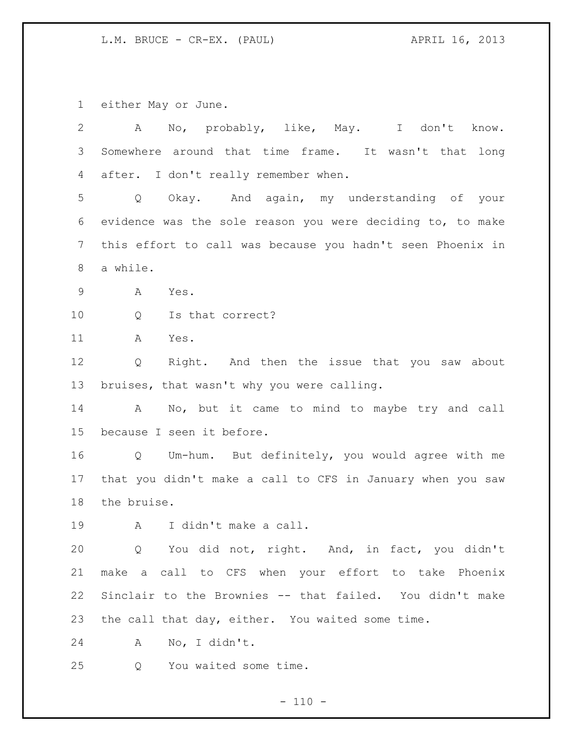L.M. BRUCE - CR-EX. (PAUL) 32213

either May or June.

| $\mathbf{2}$    | No, probably, like, May. I don't know.<br>Α                |
|-----------------|------------------------------------------------------------|
| 3               | Somewhere around that time frame. It wasn't that long      |
| 4               | after. I don't really remember when.                       |
| 5               | Okay. And again, my understanding of your<br>Q             |
| 6               | evidence was the sole reason you were deciding to, to make |
| $7\phantom{.0}$ | this effort to call was because you hadn't seen Phoenix in |
| 8               | a while.                                                   |
| $\mathsf 9$     | Α<br>Yes.                                                  |
| 10              | Is that correct?<br>Q                                      |
| 11              | Α<br>Yes.                                                  |
| 12              | Right. And then the issue that you saw about<br>Q          |
| 13              | bruises, that wasn't why you were calling.                 |
| 14              | No, but it came to mind to maybe try and call<br>A         |
| 15              | because I seen it before.                                  |
| 16              | Q Um-hum. But definitely, you would agree with me          |
| 17              | that you didn't make a call to CFS in January when you saw |
| 18              | the bruise.                                                |
| 19              | I didn't make a call.<br>A                                 |
| 20              | You did not, right. And, in fact, you didn't<br>Q          |
| 21              | make a call to CFS when your effort to take Phoenix        |
| 22              | Sinclair to the Brownies -- that failed. You didn't make   |
| 23              | the call that day, either. You waited some time.           |
| 24              | No, I didn't.<br>A                                         |
| 25              | You waited some time.<br>Q                                 |
|                 |                                                            |

- 110 -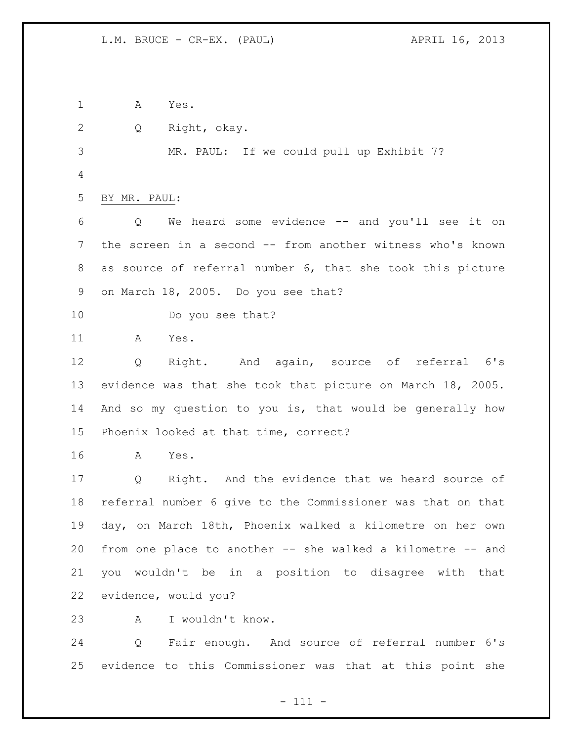A Yes. Q Right, okay. MR. PAUL: If we could pull up Exhibit 7? BY MR. PAUL: Q We heard some evidence -- and you'll see it on the screen in a second -- from another witness who's known as source of referral number 6, that she took this picture on March 18, 2005. Do you see that? Do you see that? A Yes. Q Right. And again, source of referral 6's evidence was that she took that picture on March 18, 2005. And so my question to you is, that would be generally how Phoenix looked at that time, correct? A Yes. Q Right. And the evidence that we heard source of referral number 6 give to the Commissioner was that on that day, on March 18th, Phoenix walked a kilometre on her own from one place to another -- she walked a kilometre -- and you wouldn't be in a position to disagree with that evidence, would you? A I wouldn't know. Q Fair enough. And source of referral number 6's evidence to this Commissioner was that at this point she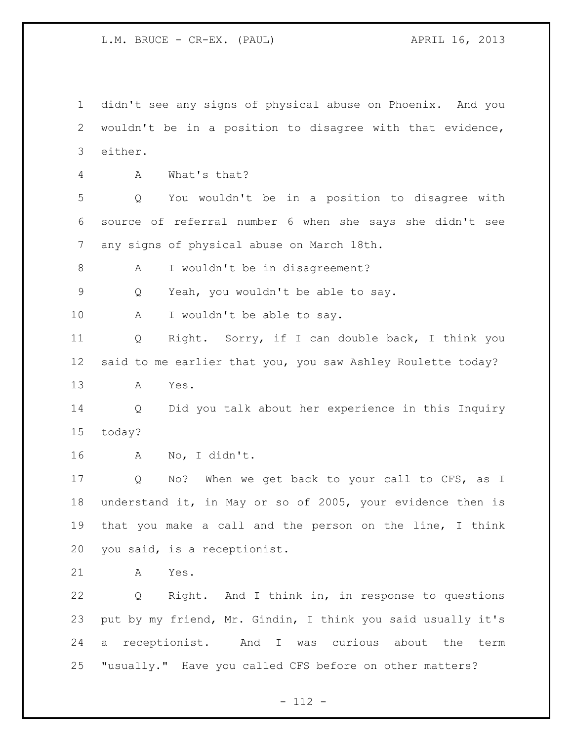L.M. BRUCE - CR-EX. (PAUL) APRIL 16, 2013

 didn't see any signs of physical abuse on Phoenix. And you wouldn't be in a position to disagree with that evidence, either. A What's that? Q You wouldn't be in a position to disagree with source of referral number 6 when she says she didn't see any signs of physical abuse on March 18th. 8 A I wouldn't be in disagreement? Q Yeah, you wouldn't be able to say. 10 A I wouldn't be able to say. Q Right. Sorry, if I can double back, I think you said to me earlier that you, you saw Ashley Roulette today? A Yes. Q Did you talk about her experience in this Inquiry today? A No, I didn't. Q No? When we get back to your call to CFS, as I understand it, in May or so of 2005, your evidence then is that you make a call and the person on the line, I think you said, is a receptionist. A Yes. Q Right. And I think in, in response to questions put by my friend, Mr. Gindin, I think you said usually it's a receptionist. And I was curious about the term "usually." Have you called CFS before on other matters?

 $- 112 -$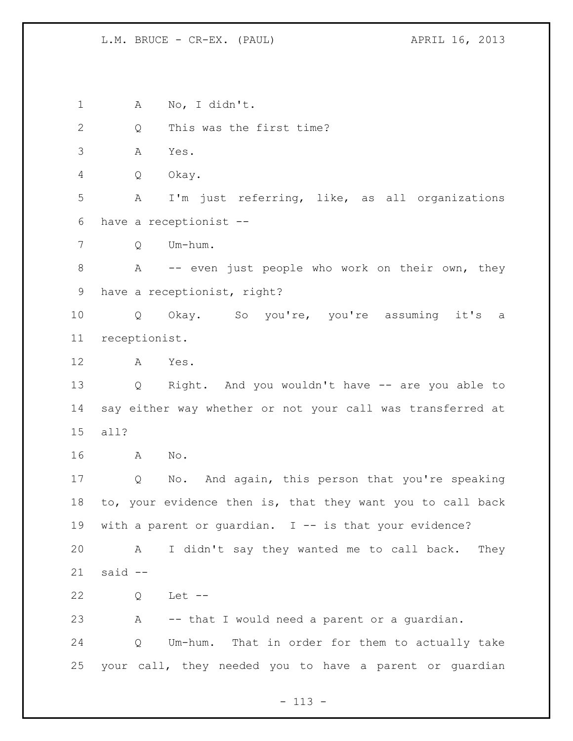## L.M. BRUCE - CR-EX. (PAUL) APRIL 16, 2013

 A No, I didn't. Q This was the first time? A Yes. Q Okay. A I'm just referring, like, as all organizations have a receptionist -- Q Um-hum. 8 A -- even just people who work on their own, they have a receptionist, right? Q Okay. So you're, you're assuming it's a receptionist. A Yes. Q Right. And you wouldn't have -- are you able to say either way whether or not your call was transferred at all? A No. Q No. And again, this person that you're speaking to, your evidence then is, that they want you to call back with a parent or guardian. I -- is that your evidence? A I didn't say they wanted me to call back. They said -- Q Let -- A -- that I would need a parent or a guardian. Q Um-hum. That in order for them to actually take your call, they needed you to have a parent or guardian

- 113 -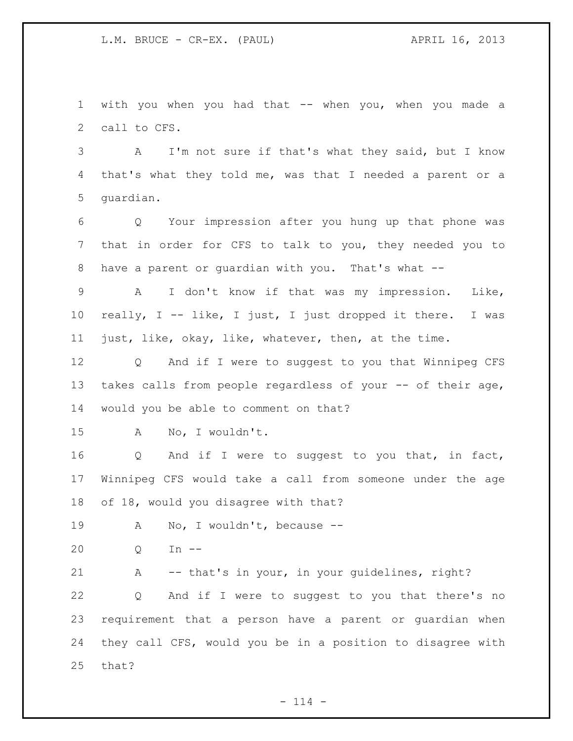with you when you had that -- when you, when you made a call to CFS.

 A I'm not sure if that's what they said, but I know that's what they told me, was that I needed a parent or a guardian.

 Q Your impression after you hung up that phone was that in order for CFS to talk to you, they needed you to have a parent or guardian with you. That's what --

 A I don't know if that was my impression. Like, really, I -- like, I just, I just dropped it there. I was just, like, okay, like, whatever, then, at the time.

 Q And if I were to suggest to you that Winnipeg CFS takes calls from people regardless of your -- of their age, would you be able to comment on that?

A No, I wouldn't.

16 Q And if I were to suggest to you that, in fact, Winnipeg CFS would take a call from someone under the age of 18, would you disagree with that?

19 A No, I wouldn't, because --

Q In --

A -- that's in your, in your guidelines, right?

 Q And if I were to suggest to you that there's no requirement that a person have a parent or guardian when they call CFS, would you be in a position to disagree with that?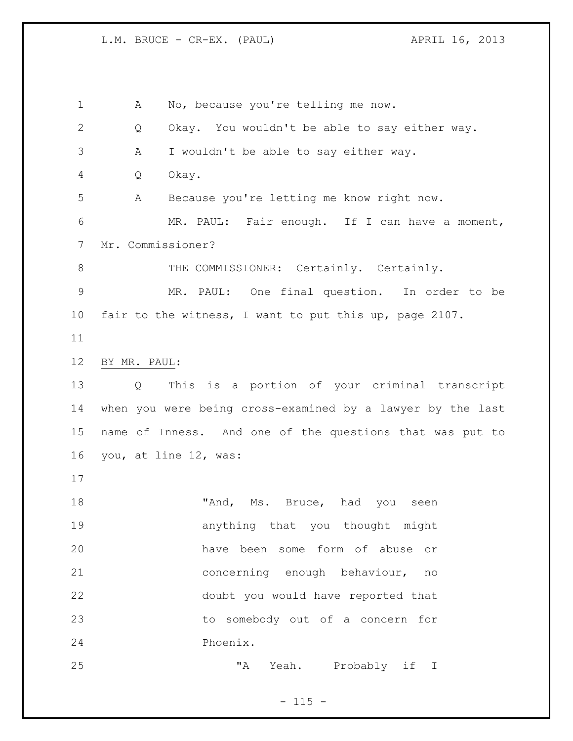L.M. BRUCE - CR-EX. (PAUL) APRIL 16, 2013

 A No, because you're telling me now. Q Okay. You wouldn't be able to say either way. A I wouldn't be able to say either way. Q Okay. A Because you're letting me know right now. MR. PAUL: Fair enough. If I can have a moment, Mr. Commissioner? 8 THE COMMISSIONER: Certainly. Certainly. MR. PAUL: One final question. In order to be fair to the witness, I want to put this up, page 2107. BY MR. PAUL: Q This is a portion of your criminal transcript when you were being cross-examined by a lawyer by the last name of Inness. And one of the questions that was put to you, at line 12, was: 18 TAnd, Ms. Bruce, had you seen anything that you thought might have been some form of abuse or concerning enough behaviour, no doubt you would have reported that to somebody out of a concern for Phoenix. "A Yeah. Probably if I

 $- 115 -$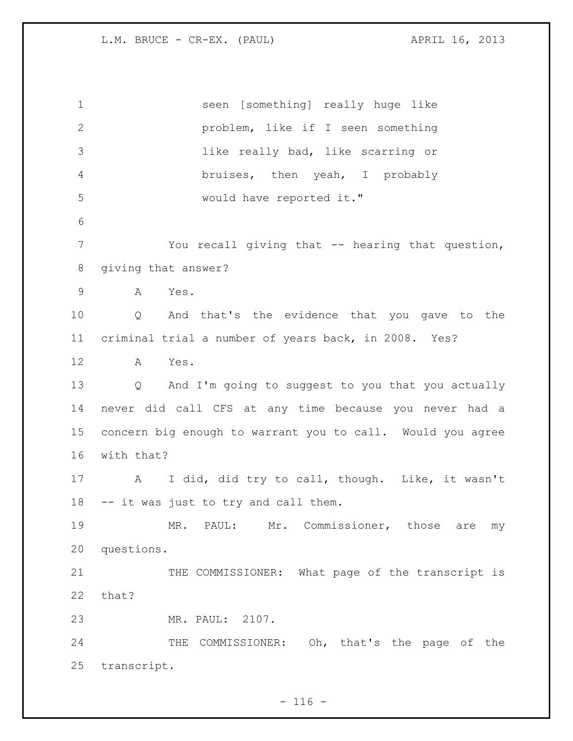seen [something] really huge like problem, like if I seen something like really bad, like scarring or bruises, then yeah, I probably would have reported it." You recall giving that -- hearing that question, giving that answer? A Yes. Q And that's the evidence that you gave to the criminal trial a number of years back, in 2008. Yes? A Yes. Q And I'm going to suggest to you that you actually never did call CFS at any time because you never had a concern big enough to warrant you to call. Would you agree with that? A I did, did try to call, though. Like, it wasn't -- it was just to try and call them. MR. PAUL: Mr. Commissioner, those are my questions. 21 THE COMMISSIONER: What page of the transcript is that? MR. PAUL: 2107. 24 THE COMMISSIONER: Oh, that's the page of the transcript.

 $- 116 -$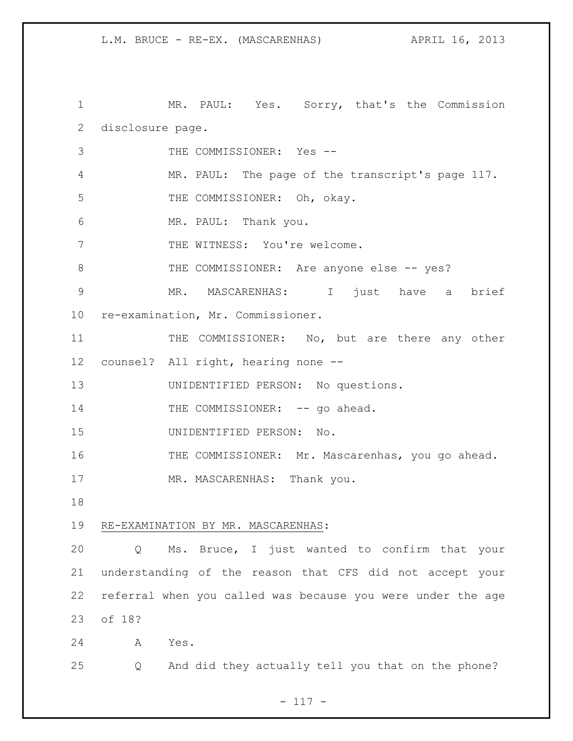1 MR. PAUL: Yes. Sorry, that's the Commission disclosure page. THE COMMISSIONER: Yes -- MR. PAUL: The page of the transcript's page 117. 5 THE COMMISSIONER: Oh, okay. MR. PAUL: Thank you. 7 THE WITNESS: You're welcome. 8 THE COMMISSIONER: Are anyone else -- yes? MR. MASCARENHAS: I just have a brief re-examination, Mr. Commissioner. 11 THE COMMISSIONER: No, but are there any other counsel? All right, hearing none -- UNIDENTIFIED PERSON: No questions. 14 THE COMMISSIONER: -- go ahead. UNIDENTIFIED PERSON: No. THE COMMISSIONER: Mr. Mascarenhas, you go ahead. 17 MR. MASCARENHAS: Thank you. RE-EXAMINATION BY MR. MASCARENHAS: Q Ms. Bruce, I just wanted to confirm that your understanding of the reason that CFS did not accept your referral when you called was because you were under the age of 18? A Yes. Q And did they actually tell you that on the phone?

# - 117 -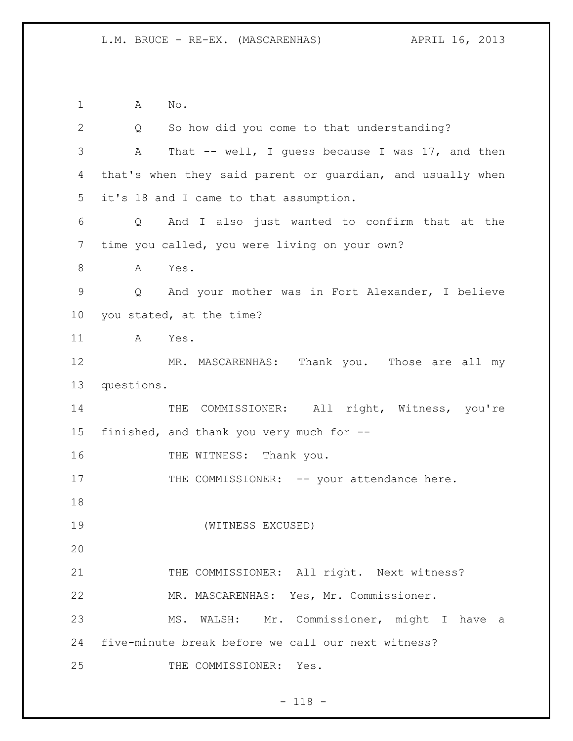A No. Q So how did you come to that understanding? A That -- well, I guess because I was 17, and then that's when they said parent or guardian, and usually when it's 18 and I came to that assumption. Q And I also just wanted to confirm that at the time you called, you were living on your own? A Yes. Q And your mother was in Fort Alexander, I believe you stated, at the time? A Yes. MR. MASCARENHAS: Thank you. Those are all my questions. 14 THE COMMISSIONER: All right, Witness, you're finished, and thank you very much for -- 16 THE WITNESS: Thank you. 17 THE COMMISSIONER: -- your attendance here. (WITNESS EXCUSED) 21 THE COMMISSIONER: All right. Next witness? MR. MASCARENHAS: Yes, Mr. Commissioner. MS. WALSH: Mr. Commissioner, might I have a five-minute break before we call our next witness? THE COMMISSIONER: Yes.

- 118 -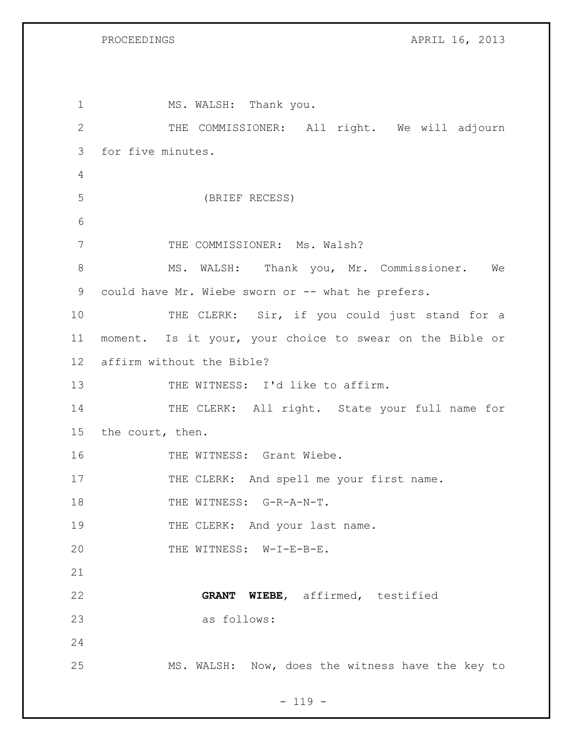PROCEEDINGS APRIL 16, 2013

1 MS. WALSH: Thank you. 2 THE COMMISSIONER: All right. We will adjourn 3 for five minutes. 4 5 (BRIEF RECESS) 6 7 THE COMMISSIONER: Ms. Walsh? 8 MS. WALSH: Thank you, Mr. Commissioner. We 9 could have Mr. Wiebe sworn or -- what he prefers. 10 THE CLERK: Sir, if you could just stand for a 11 moment. Is it your, your choice to swear on the Bible or 12 affirm without the Bible? 13 THE WITNESS: I'd like to affirm. 14 THE CLERK: All right. State your full name for 15 the court, then. 16 THE WITNESS: Grant Wiebe. 17 THE CLERK: And spell me your first name. 18 THE WITNESS: G-R-A-N-T. 19 THE CLERK: And your last name. 20 THE WITNESS: W-I-E-B-E. 21 22 **GRANT WIEBE**, affirmed, testified 23 as follows: 24 25 MS. WALSH: Now, does the witness have the key to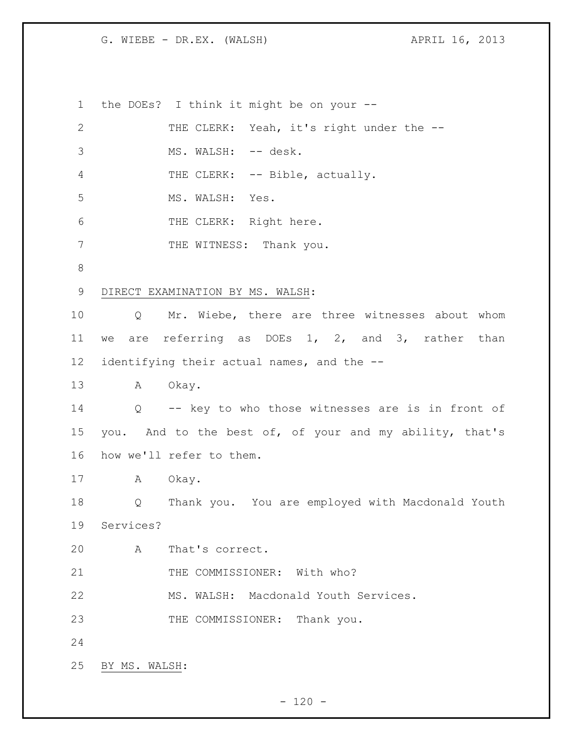the DOEs? I think it might be on your -- 2 THE CLERK: Yeah, it's right under the --3 MS. WALSH: -- desk. 4 THE CLERK: -- Bible, actually. MS. WALSH: Yes. 6 THE CLERK: Right here. 7 THE WITNESS: Thank you. DIRECT EXAMINATION BY MS. WALSH: Q Mr. Wiebe, there are three witnesses about whom we are referring as DOEs 1, 2, and 3, rather than identifying their actual names, and the -- A Okay. Q -- key to who those witnesses are is in front of you. And to the best of, of your and my ability, that's how we'll refer to them. A Okay. Q Thank you. You are employed with Macdonald Youth Services? A That's correct. 21 THE COMMISSIONER: With who? MS. WALSH: Macdonald Youth Services. 23 THE COMMISSIONER: Thank you. BY MS. WALSH: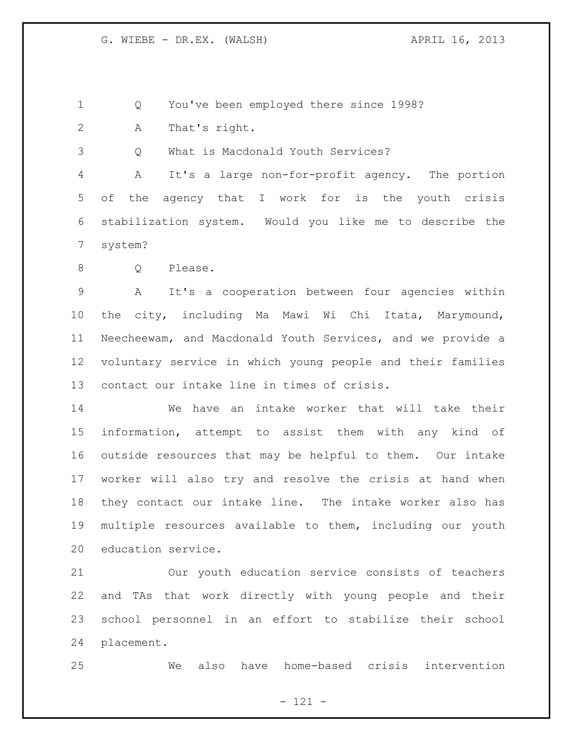Q You've been employed there since 1998?

A That's right.

Q What is Macdonald Youth Services?

 A It's a large non-for-profit agency. The portion of the agency that I work for is the youth crisis stabilization system. Would you like me to describe the system?

8 Q Please.

 A It's a cooperation between four agencies within the city, including Ma Mawi Wi Chi Itata, Marymound, Neecheewam, and Macdonald Youth Services, and we provide a voluntary service in which young people and their families contact our intake line in times of crisis.

 We have an intake worker that will take their information, attempt to assist them with any kind of outside resources that may be helpful to them. Our intake worker will also try and resolve the crisis at hand when they contact our intake line. The intake worker also has multiple resources available to them, including our youth education service.

 Our youth education service consists of teachers and TAs that work directly with young people and their school personnel in an effort to stabilize their school placement.

We also have home-based crisis intervention

- 121 -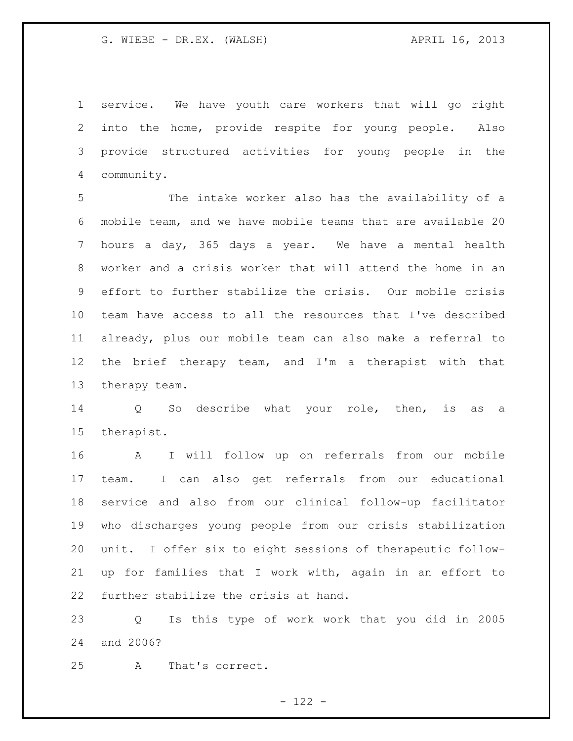service. We have youth care workers that will go right into the home, provide respite for young people. Also provide structured activities for young people in the community.

 The intake worker also has the availability of a mobile team, and we have mobile teams that are available 20 hours a day, 365 days a year. We have a mental health worker and a crisis worker that will attend the home in an effort to further stabilize the crisis. Our mobile crisis team have access to all the resources that I've described already, plus our mobile team can also make a referral to the brief therapy team, and I'm a therapist with that therapy team.

 Q So describe what your role, then, is as a therapist.

 A I will follow up on referrals from our mobile team. I can also get referrals from our educational service and also from our clinical follow-up facilitator who discharges young people from our crisis stabilization unit. I offer six to eight sessions of therapeutic follow- up for families that I work with, again in an effort to further stabilize the crisis at hand.

 Q Is this type of work work that you did in 2005 and 2006?

A That's correct.

- 122 -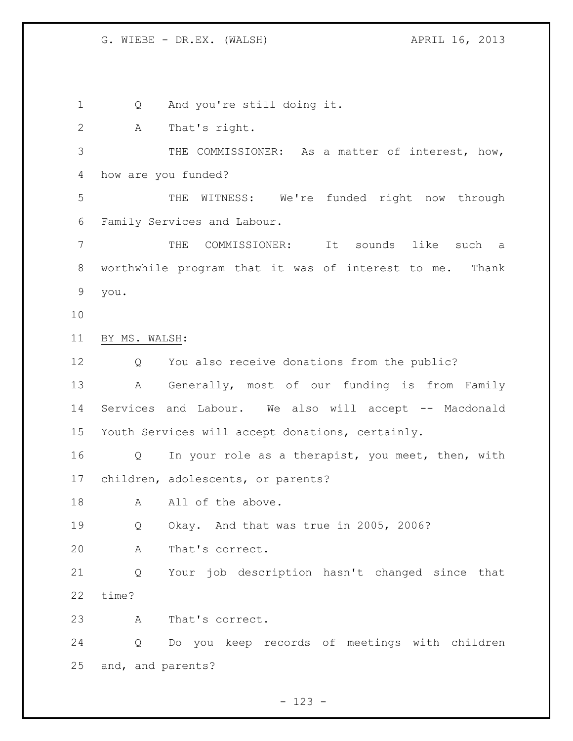1 Q And you're still doing it. A That's right. THE COMMISSIONER: As a matter of interest, how, how are you funded? THE WITNESS: We're funded right now through Family Services and Labour. THE COMMISSIONER: It sounds like such a worthwhile program that it was of interest to me. Thank you. BY MS. WALSH: Q You also receive donations from the public? A Generally, most of our funding is from Family Services and Labour. We also will accept -- Macdonald Youth Services will accept donations, certainly. 16 Q In your role as a therapist, you meet, then, with children, adolescents, or parents? 18 A All of the above. Q Okay. And that was true in 2005, 2006? A That's correct. Q Your job description hasn't changed since that time? A That's correct. Q Do you keep records of meetings with children and, and parents?

- 123 -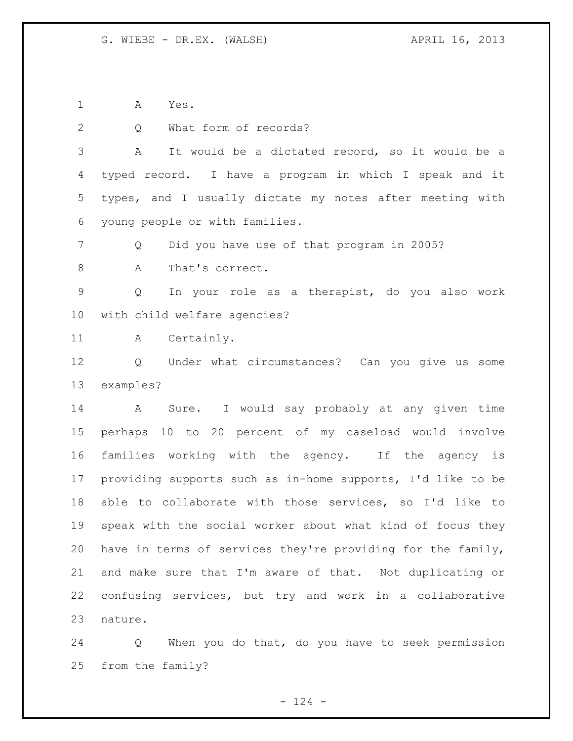A Yes.

2 Q What form of records? A It would be a dictated record, so it would be a typed record. I have a program in which I speak and it types, and I usually dictate my notes after meeting with young people or with families. Q Did you have use of that program in 2005? 8 A That's correct. Q In your role as a therapist, do you also work with child welfare agencies? A Certainly. Q Under what circumstances? Can you give us some examples? A Sure. I would say probably at any given time perhaps 10 to 20 percent of my caseload would involve families working with the agency. If the agency is providing supports such as in-home supports, I'd like to be able to collaborate with those services, so I'd like to speak with the social worker about what kind of focus they have in terms of services they're providing for the family, and make sure that I'm aware of that. Not duplicating or confusing services, but try and work in a collaborative nature.

 Q When you do that, do you have to seek permission from the family?

 $- 124 -$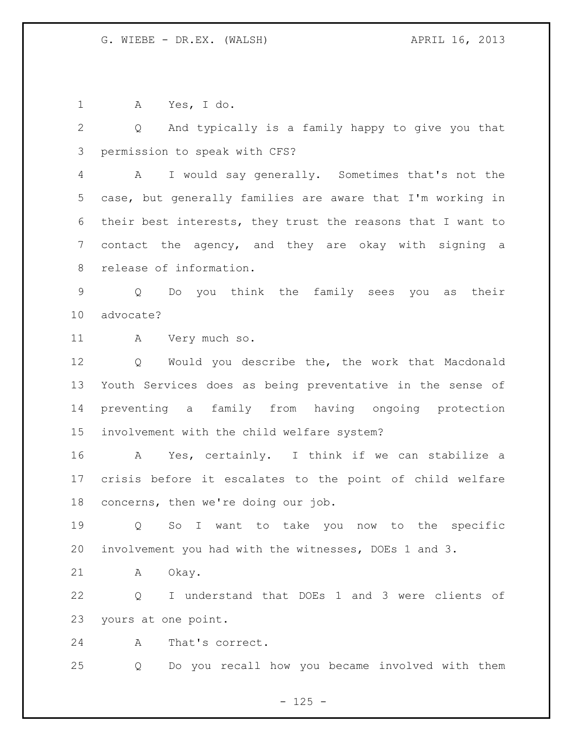A Yes, I do.

 Q And typically is a family happy to give you that permission to speak with CFS?

 A I would say generally. Sometimes that's not the case, but generally families are aware that I'm working in their best interests, they trust the reasons that I want to contact the agency, and they are okay with signing a release of information.

 Q Do you think the family sees you as their advocate?

A Very much so.

 Q Would you describe the, the work that Macdonald Youth Services does as being preventative in the sense of preventing a family from having ongoing protection involvement with the child welfare system?

 A Yes, certainly. I think if we can stabilize a crisis before it escalates to the point of child welfare concerns, then we're doing our job.

 Q So I want to take you now to the specific involvement you had with the witnesses, DOEs 1 and 3.

A Okay.

 Q I understand that DOEs 1 and 3 were clients of yours at one point.

A That's correct.

Q Do you recall how you became involved with them

 $- 125 -$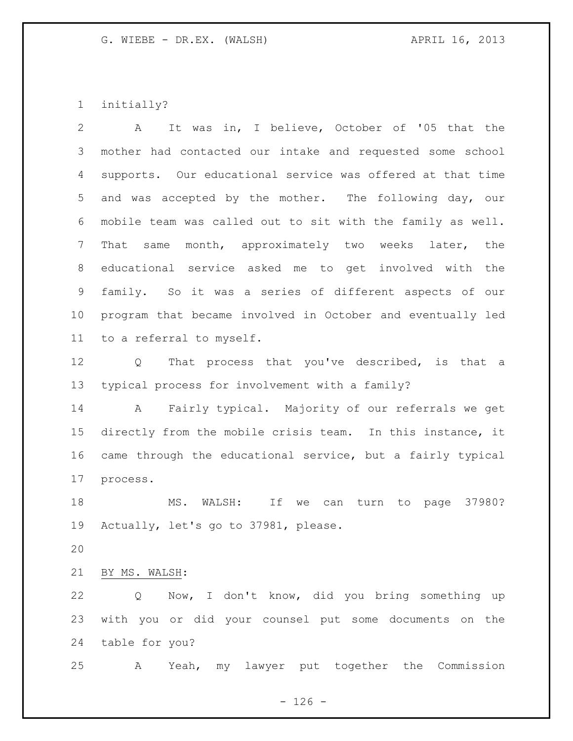initially?

 A It was in, I believe, October of '05 that the mother had contacted our intake and requested some school supports. Our educational service was offered at that time and was accepted by the mother. The following day, our mobile team was called out to sit with the family as well. That same month, approximately two weeks later, the educational service asked me to get involved with the family. So it was a series of different aspects of our program that became involved in October and eventually led to a referral to myself.

 Q That process that you've described, is that a typical process for involvement with a family?

 A Fairly typical. Majority of our referrals we get directly from the mobile crisis team. In this instance, it came through the educational service, but a fairly typical process.

 MS. WALSH: If we can turn to page 37980? Actually, let's go to 37981, please.

BY MS. WALSH:

 Q Now, I don't know, did you bring something up with you or did your counsel put some documents on the table for you?

A Yeah, my lawyer put together the Commission

 $- 126 -$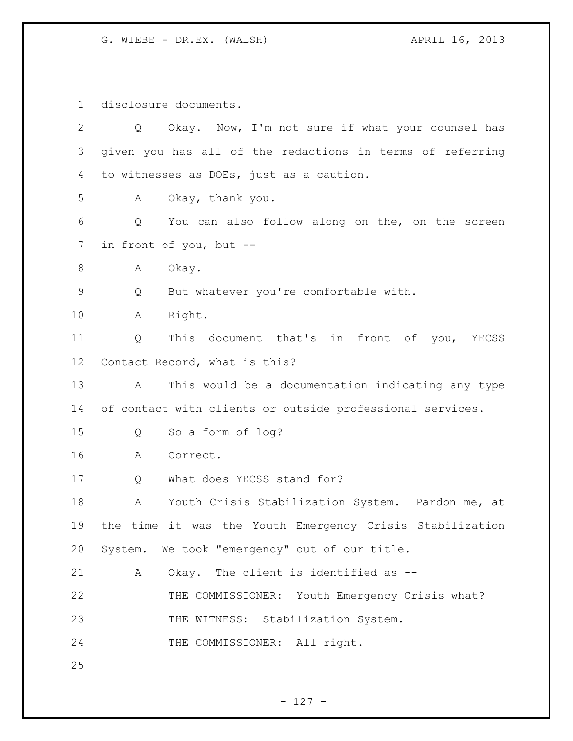disclosure documents.

| $\overline{2}$ | Okay. Now, I'm not sure if what your counsel has<br>Q     |
|----------------|-----------------------------------------------------------|
| 3              | given you has all of the redactions in terms of referring |
| 4              | to witnesses as DOEs, just as a caution.                  |
| 5              | Okay, thank you.<br>А                                     |
| 6              | You can also follow along on the, on the screen<br>Q      |
| 7              | in front of you, but --                                   |
| 8              | Okay.<br>А                                                |
| $\mathsf 9$    | But whatever you're comfortable with.<br>Q                |
| 10             | Right.<br>Α                                               |
| 11             | This document that's in front of you, YECSS<br>Q          |
| 12             | Contact Record, what is this?                             |
| 13             | This would be a documentation indicating any type<br>A    |
| 14             | of contact with clients or outside professional services. |
| 15             | So a form of log?<br>Q                                    |
| 16             | Correct.<br>А                                             |
| 17             | What does YECSS stand for?<br>Q                           |
| 18             | Youth Crisis Stabilization System. Pardon me, at<br>А     |
| 19             | the time it was the Youth Emergency Crisis Stabilization  |
| 20             |                                                           |
|                | System. We took "emergency" out of our title.             |
| 21             | Okay. The client is identified as --<br>Α                 |
| 22             | THE COMMISSIONER: Youth Emergency Crisis what?            |
| 23             | THE WITNESS: Stabilization System.                        |
| 24             | THE COMMISSIONER: All right.                              |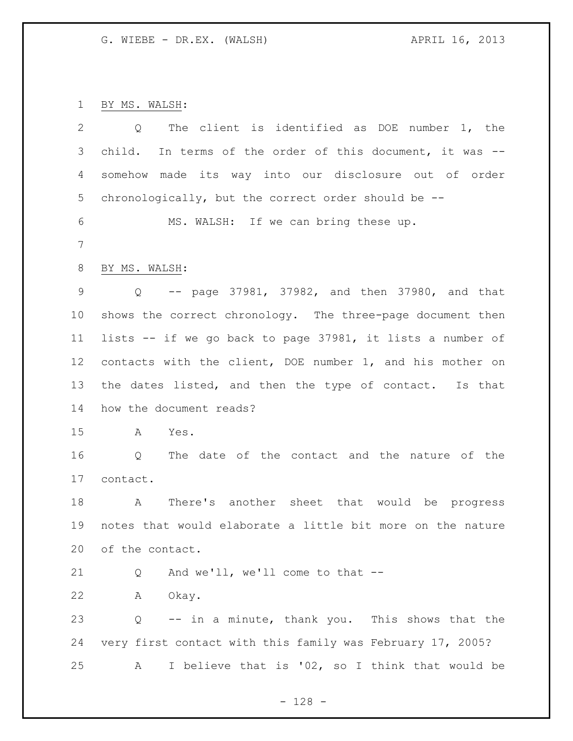BY MS. WALSH:

| $\overline{2}$  | The client is identified as DOE number 1, the<br>Q         |
|-----------------|------------------------------------------------------------|
| 3               | child. In terms of the order of this document, it was --   |
| 4               | somehow made its way into our disclosure out of order      |
| 5               | chronologically, but the correct order should be --        |
| 6               | MS. WALSH: If we can bring these up.                       |
| 7               |                                                            |
| 8               | BY MS. WALSH:                                              |
| 9               | Q -- page 37981, 37982, and then 37980, and that           |
| $10 \,$         | shows the correct chronology. The three-page document then |
| 11              | lists -- if we go back to page 37981, it lists a number of |
| 12 <sup>°</sup> | contacts with the client, DOE number 1, and his mother on  |
| 13              | the dates listed, and then the type of contact. Is that    |
| 14              | how the document reads?                                    |
| 15              | Yes.<br>A                                                  |
| 16              | The date of the contact and the nature of the<br>Q         |
| 17              | contact.                                                   |
| 18              | A There's another sheet that would be progress             |
| 19              | notes that would elaborate a little bit more on the nature |
| 20              | of the contact.                                            |
| 21              | And we'll, we'll come to that $-$ -<br>Q                   |
| 22              | Okay.<br>Α                                                 |
| 23              | -- in a minute, thank you. This shows that the<br>Q        |
| 24              | very first contact with this family was February 17, 2005? |
| 25              | I believe that is '02, so I think that would be<br>A       |

- 128 -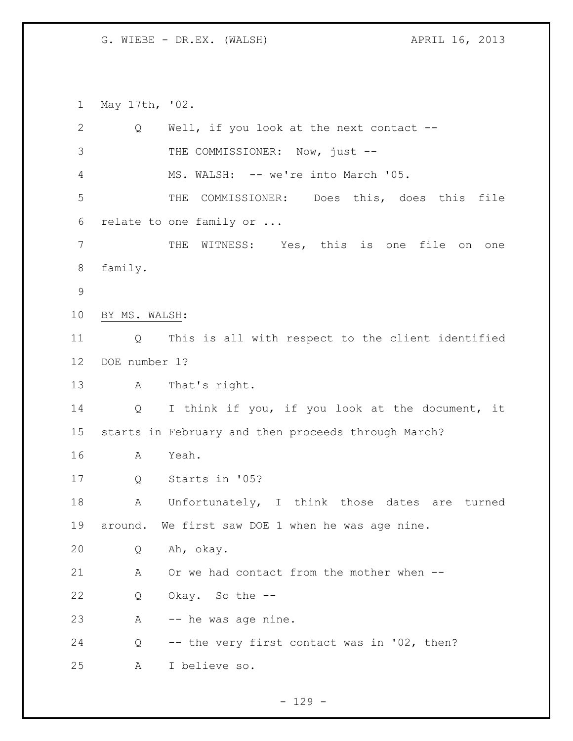May 17th, '02. 2 Q Well, if you look at the next contact --3 THE COMMISSIONER: Now, just --4 MS. WALSH: -- we're into March '05. THE COMMISSIONER: Does this, does this file relate to one family or ... THE WITNESS: Yes, this is one file on one family. BY MS. WALSH: Q This is all with respect to the client identified DOE number 1? A That's right. Q I think if you, if you look at the document, it starts in February and then proceeds through March? A Yeah. Q Starts in '05? 18 A Unfortunately, I think those dates are turned around. We first saw DOE 1 when he was age nine. Q Ah, okay. A Or we had contact from the mother when -- Q Okay. So the -- A -- he was age nine. Q -- the very first contact was in '02, then? A I believe so.

 $-129 -$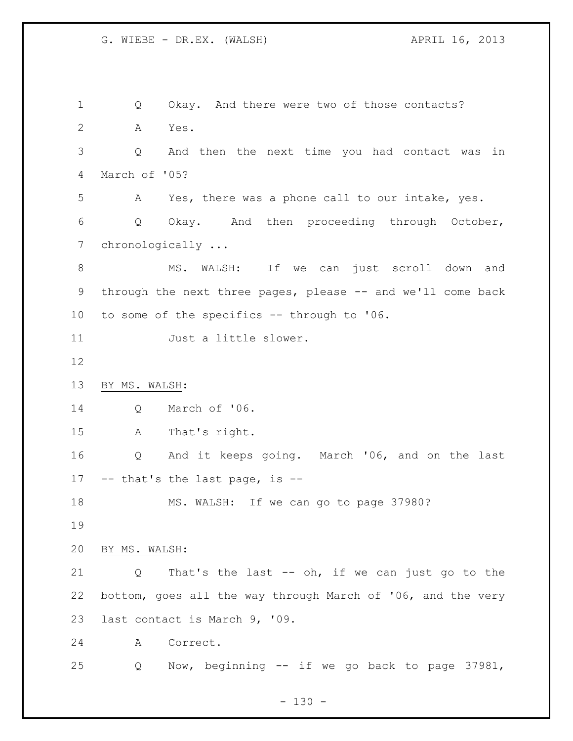Q Okay. And there were two of those contacts? A Yes. Q And then the next time you had contact was in March of '05? A Yes, there was a phone call to our intake, yes. Q Okay. And then proceeding through October, chronologically ... 8 MS. WALSH: If we can just scroll down and 9 through the next three pages, please -- and we'll come back to some of the specifics -- through to '06. Just a little slower. BY MS. WALSH: Q March of '06. A That's right. Q And it keeps going. March '06, and on the last -- that's the last page, is -- MS. WALSH: If we can go to page 37980? BY MS. WALSH: Q That's the last -- oh, if we can just go to the bottom, goes all the way through March of '06, and the very last contact is March 9, '09. A Correct. Q Now, beginning -- if we go back to page 37981,

 $- 130 -$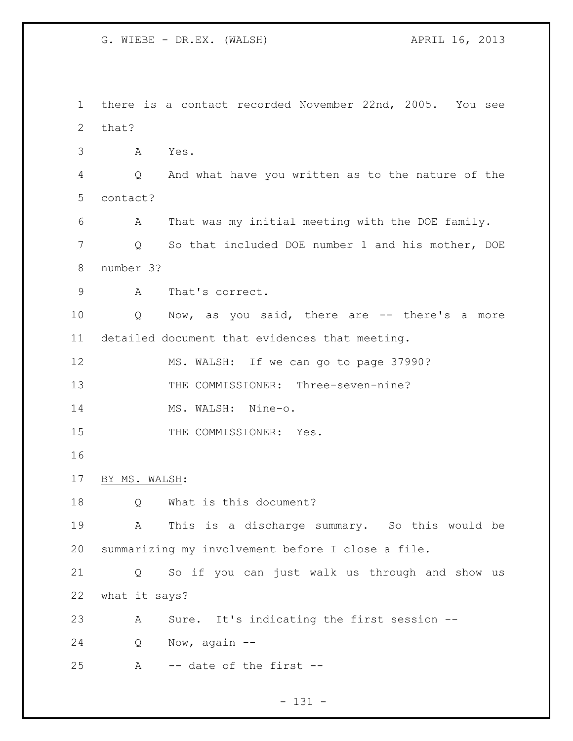there is a contact recorded November 22nd, 2005. You see that? A Yes. Q And what have you written as to the nature of the contact? A That was my initial meeting with the DOE family. Q So that included DOE number 1 and his mother, DOE number 3? A That's correct. Q Now, as you said, there are -- there's a more detailed document that evidences that meeting. MS. WALSH: If we can go to page 37990? 13 THE COMMISSIONER: Three-seven-nine? 14 MS. WALSH: Nine-o. 15 THE COMMISSIONER: Yes. BY MS. WALSH: Q What is this document? A This is a discharge summary. So this would be summarizing my involvement before I close a file. Q So if you can just walk us through and show us what it says? A Sure. It's indicating the first session -- Q Now, again -- A -- date of the first --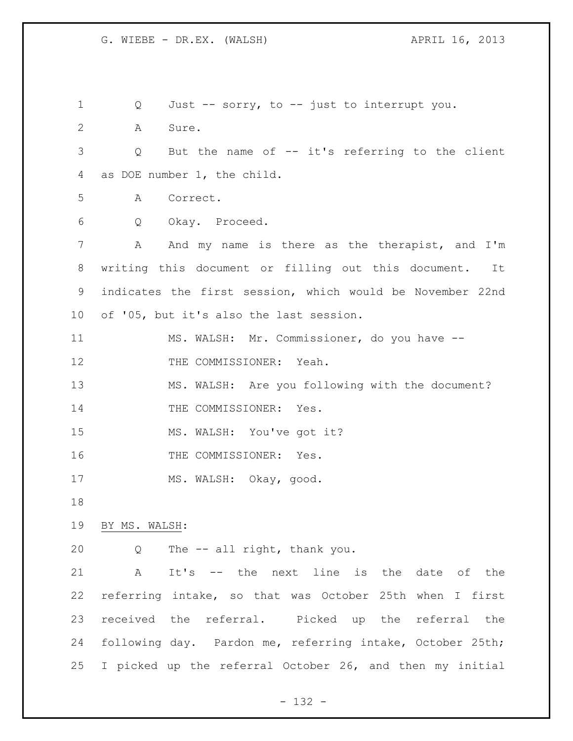Q Just -- sorry, to -- just to interrupt you. A Sure. Q But the name of -- it's referring to the client as DOE number 1, the child. A Correct. Q Okay. Proceed. 7 A And my name is there as the therapist, and I'm writing this document or filling out this document. It indicates the first session, which would be November 22nd of '05, but it's also the last session. MS. WALSH: Mr. Commissioner, do you have -- 12 THE COMMISSIONER: Yeah. MS. WALSH: Are you following with the document? 14 THE COMMISSIONER: Yes. MS. WALSH: You've got it? 16 THE COMMISSIONER: Yes. MS. WALSH: Okay, good. BY MS. WALSH: Q The -- all right, thank you. A It's -- the next line is the date of the referring intake, so that was October 25th when I first received the referral. Picked up the referral the following day. Pardon me, referring intake, October 25th; I picked up the referral October 26, and then my initial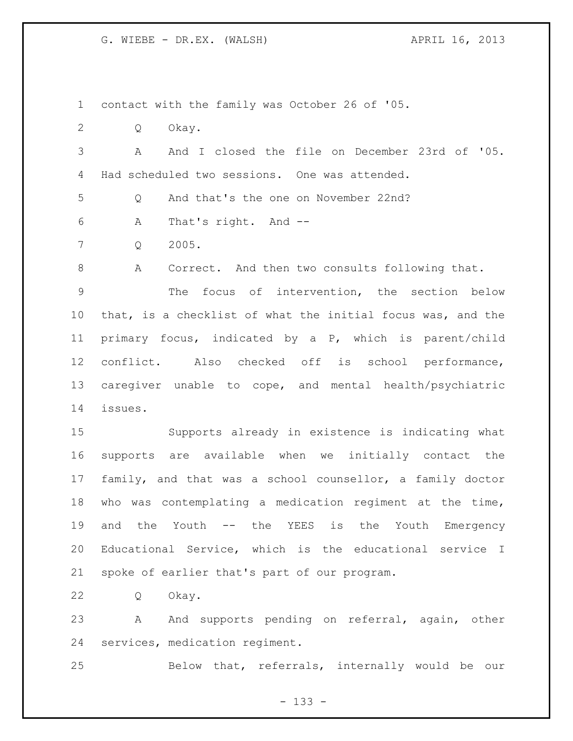contact with the family was October 26 of '05.

Q Okay.

 A And I closed the file on December 23rd of '05. Had scheduled two sessions. One was attended.

Q And that's the one on November 22nd?

A That's right. And --

Q 2005.

A Correct. And then two consults following that.

 The focus of intervention, the section below that, is a checklist of what the initial focus was, and the primary focus, indicated by a P, which is parent/child conflict. Also checked off is school performance, caregiver unable to cope, and mental health/psychiatric issues.

 Supports already in existence is indicating what supports are available when we initially contact the family, and that was a school counsellor, a family doctor who was contemplating a medication regiment at the time, and the Youth -- the YEES is the Youth Emergency Educational Service, which is the educational service I spoke of earlier that's part of our program.

Q Okay.

23 A And supports pending on referral, again, other services, medication regiment.

Below that, referrals, internally would be our

- 133 -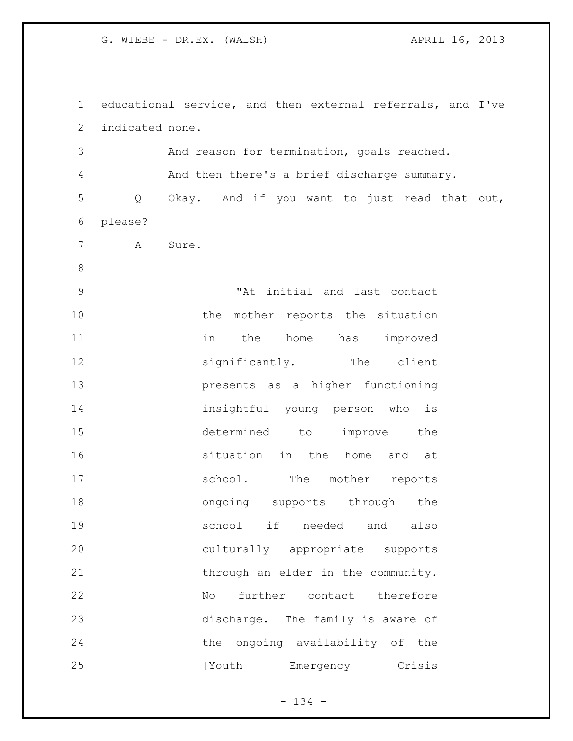educational service, and then external referrals, and I've indicated none. And reason for termination, goals reached. And then there's a brief discharge summary. Q Okay. And if you want to just read that out, please? A Sure. "At initial and last contact 10 the mother reports the situation 11 in the home has improved 12 significantly. The client presents as a higher functioning insightful young person who is determined to improve the **16** situation in the home and at 17 school. The mother reports 18 ongoing supports through the school if needed and also culturally appropriate supports 21 through an elder in the community. No further contact therefore discharge. The family is aware of the ongoing availability of the 25 [Youth Emergency Crisis

- 134 -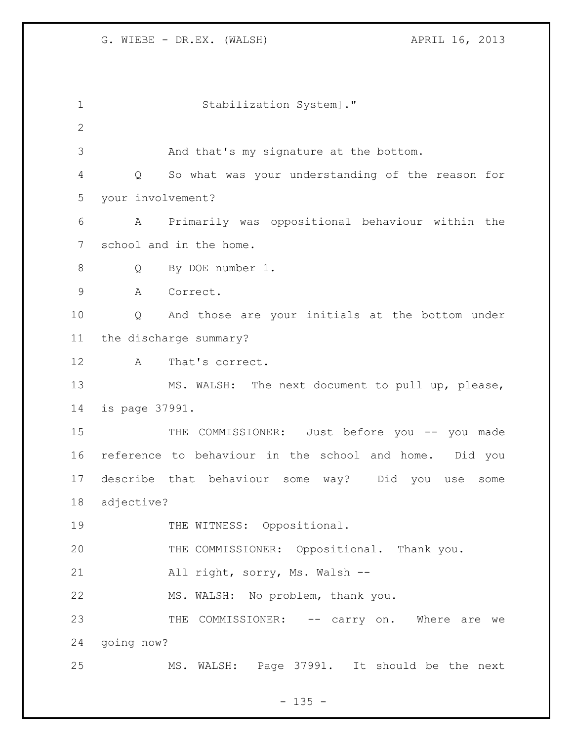| 1            |                   | Stabilization System]."                                  |  |
|--------------|-------------------|----------------------------------------------------------|--|
| $\mathbf{2}$ |                   |                                                          |  |
| 3            |                   | And that's my signature at the bottom.                   |  |
| 4            | Q                 | So what was your understanding of the reason for         |  |
| 5            | your involvement? |                                                          |  |
| 6            | A                 | Primarily was oppositional behaviour within the          |  |
| 7            |                   | school and in the home.                                  |  |
| $8\,$        | Q                 | By DOE number 1.                                         |  |
| 9            | Α                 | Correct.                                                 |  |
| 10           | Q                 | And those are your initials at the bottom under          |  |
| 11           |                   | the discharge summary?                                   |  |
| 12           | A                 | That's correct.                                          |  |
| 13           |                   | MS. WALSH: The next document to pull up, please,         |  |
| 14           | is page 37991.    |                                                          |  |
| 15           |                   | COMMISSIONER: Just before you -- you made<br>THE         |  |
| 16           |                   | reference to behaviour in the school and home. Did you   |  |
| 17           |                   | describe that behaviour some way? Did<br>you use<br>some |  |
| 18           | adjective?        |                                                          |  |
| 19           |                   | THE WITNESS: Oppositional.                               |  |
| 20           |                   | THE COMMISSIONER: Oppositional. Thank you.               |  |
| 21           |                   | All right, sorry, Ms. Walsh --                           |  |
| 22           |                   | MS. WALSH: No problem, thank you.                        |  |
| 23           |                   | THE<br>COMMISSIONER: -- carry on. Where are we           |  |
| 24           | going now?        |                                                          |  |
| 25           |                   | MS. WALSH: Page 37991. It should be the next             |  |

- 135 -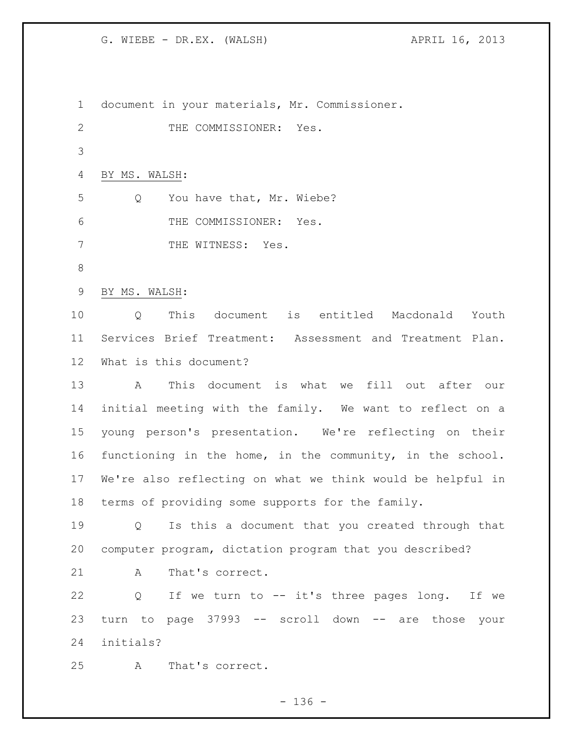document in your materials, Mr. Commissioner. 2 THE COMMISSIONER: Yes. BY MS. WALSH: 5 Q You have that, Mr. Wiebe? THE COMMISSIONER: Yes. 7 THE WITNESS: Yes. BY MS. WALSH: Q This document is entitled Macdonald Youth Services Brief Treatment: Assessment and Treatment Plan. What is this document? A This document is what we fill out after our initial meeting with the family. We want to reflect on a young person's presentation. We're reflecting on their functioning in the home, in the community, in the school. We're also reflecting on what we think would be helpful in terms of providing some supports for the family. Q Is this a document that you created through that computer program, dictation program that you described? 21 A That's correct. Q If we turn to -- it's three pages long. If we turn to page 37993 -- scroll down -- are those your initials? A That's correct.

- 136 -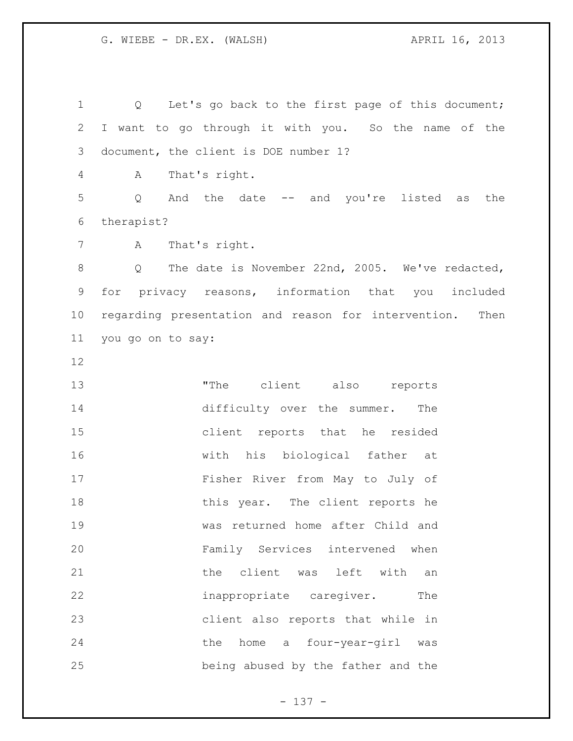Q Let's go back to the first page of this document; I want to go through it with you. So the name of the document, the client is DOE number 1? A That's right. Q And the date -- and you're listed as the therapist? A That's right. 8 O The date is November 22nd, 2005. We've redacted, for privacy reasons, information that you included regarding presentation and reason for intervention. Then you go on to say: 13 The client also reports difficulty over the summer. The client reports that he resided with his biological father at Fisher River from May to July of 18 this year. The client reports he was returned home after Child and Family Services intervened when **blue client** was left with an 22 inappropriate caregiver. The client also reports that while in the home a four-year-girl was being abused by the father and the

- 137 -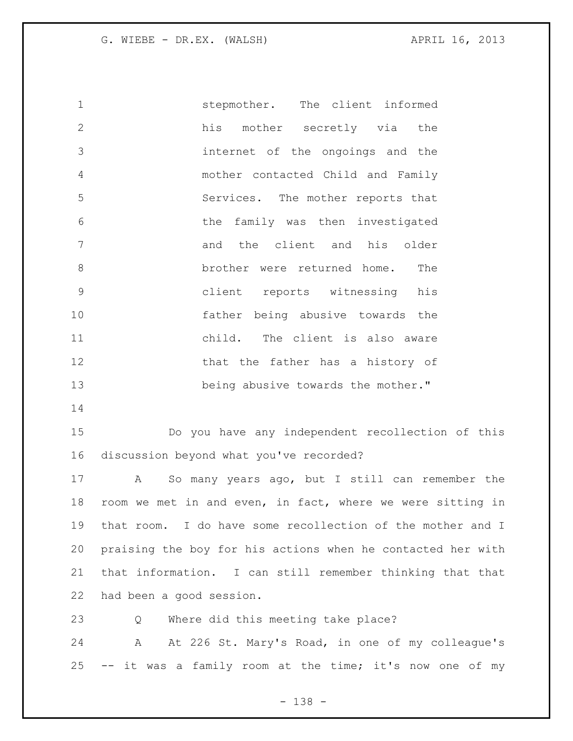stepmother. The client informed his mother secretly via the internet of the ongoings and the mother contacted Child and Family Services. The mother reports that the family was then investigated 7 and the client and his older 8 brother were returned home. The client reports witnessing his father being abusive towards the child. The client is also aware 12 that the father has a history of 13 being abusive towards the mother."

 Do you have any independent recollection of this discussion beyond what you've recorded?

 A So many years ago, but I still can remember the room we met in and even, in fact, where we were sitting in that room. I do have some recollection of the mother and I praising the boy for his actions when he contacted her with that information. I can still remember thinking that that had been a good session.

Q Where did this meeting take place?

 A At 226 St. Mary's Road, in one of my colleague's -- it was a family room at the time; it's now one of my

- 138 -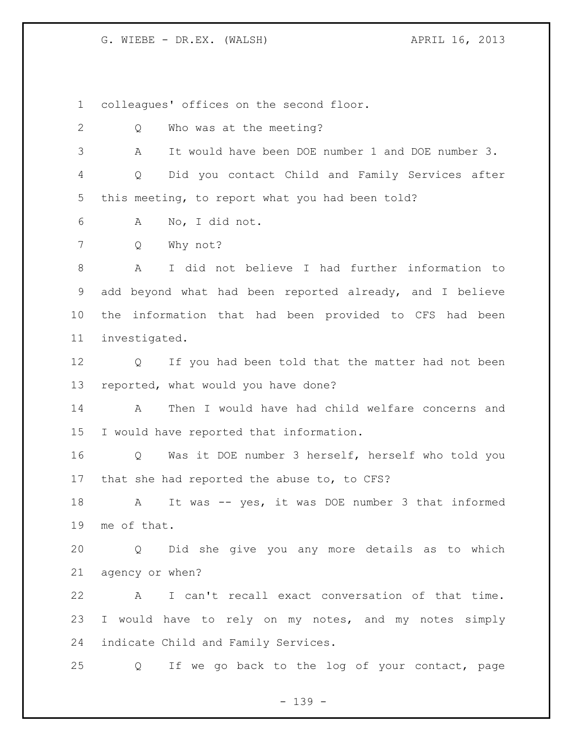colleagues' offices on the second floor.

 Q Who was at the meeting? A It would have been DOE number 1 and DOE number 3. Q Did you contact Child and Family Services after this meeting, to report what you had been told? A No, I did not. Q Why not? A I did not believe I had further information to add beyond what had been reported already, and I believe the information that had been provided to CFS had been investigated. Q If you had been told that the matter had not been reported, what would you have done? A Then I would have had child welfare concerns and I would have reported that information. Q Was it DOE number 3 herself, herself who told you that she had reported the abuse to, to CFS? 18 A It was -- yes, it was DOE number 3 that informed me of that. Q Did she give you any more details as to which agency or when? A I can't recall exact conversation of that time. 23 I would have to rely on my notes, and my notes simply indicate Child and Family Services. Q If we go back to the log of your contact, page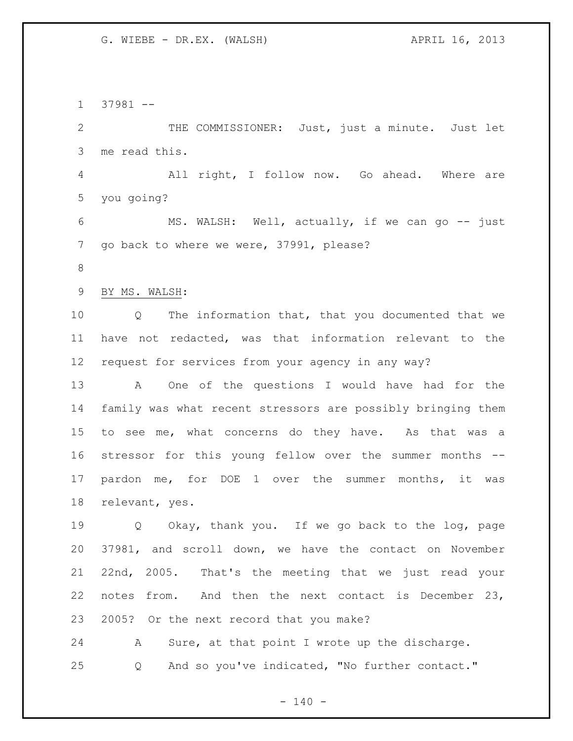37981 -- 2 THE COMMISSIONER: Just, just a minute. Just let me read this. All right, I follow now. Go ahead. Where are you going? 6 MS. WALSH: Well, actually, if we can go -- just go back to where we were, 37991, please? BY MS. WALSH: Q The information that, that you documented that we have not redacted, was that information relevant to the request for services from your agency in any way? A One of the questions I would have had for the family was what recent stressors are possibly bringing them to see me, what concerns do they have. As that was a stressor for this young fellow over the summer months -- pardon me, for DOE 1 over the summer months, it was relevant, yes. 19 O Okay, thank you. If we go back to the log, page 37981, and scroll down, we have the contact on November 22nd, 2005. That's the meeting that we just read your notes from. And then the next contact is December 23, 2005? Or the next record that you make? A Sure, at that point I wrote up the discharge. Q And so you've indicated, "No further contact."

 $- 140 -$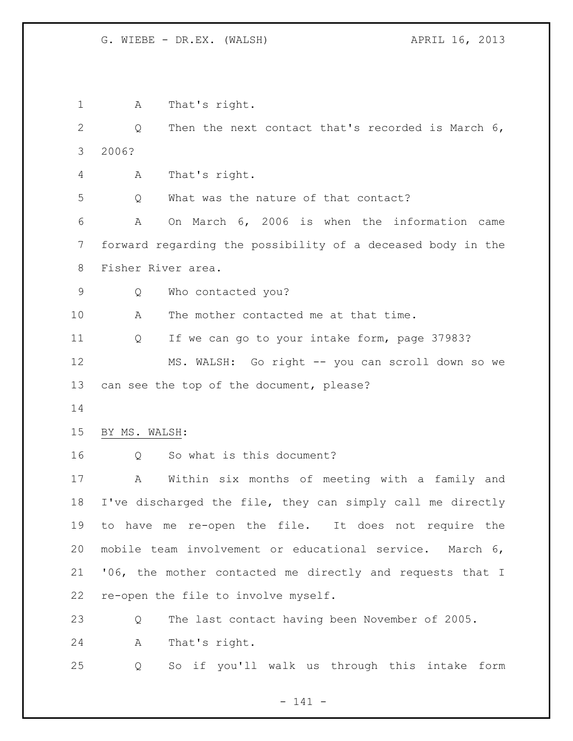A That's right. Q Then the next contact that's recorded is March 6, 2006? A That's right. Q What was the nature of that contact? A On March 6, 2006 is when the information came forward regarding the possibility of a deceased body in the Fisher River area. Q Who contacted you? A The mother contacted me at that time. Q If we can go to your intake form, page 37983? MS. WALSH: Go right -- you can scroll down so we can see the top of the document, please? BY MS. WALSH: Q So what is this document? A Within six months of meeting with a family and I've discharged the file, they can simply call me directly to have me re-open the file. It does not require the mobile team involvement or educational service. March 6, '06, the mother contacted me directly and requests that I re-open the file to involve myself. Q The last contact having been November of 2005. A That's right. Q So if you'll walk us through this intake form

- 141 -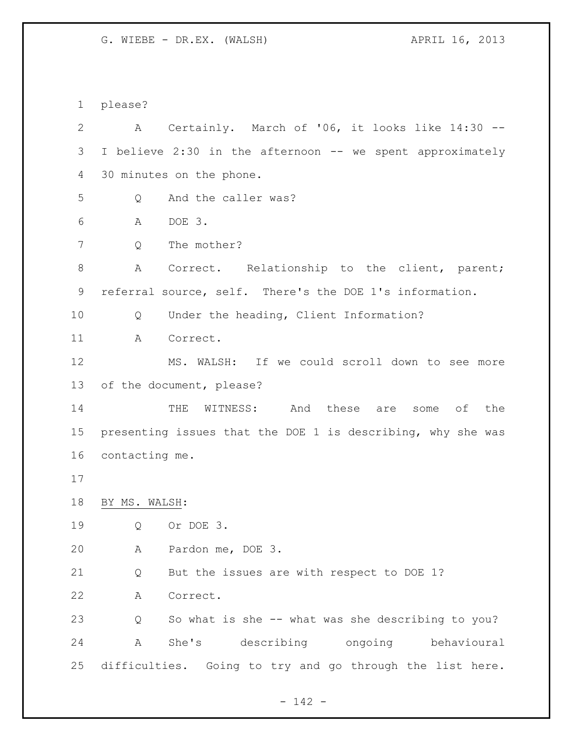please? A Certainly. March of '06, it looks like 14:30 -- I believe 2:30 in the afternoon -- we spent approximately 30 minutes on the phone. Q And the caller was? A DOE 3. Q The mother? A Correct. Relationship to the client, parent; referral source, self. There's the DOE 1's information. Q Under the heading, Client Information? A Correct. MS. WALSH: If we could scroll down to see more of the document, please? THE WITNESS: And these are some of the presenting issues that the DOE 1 is describing, why she was contacting me. BY MS. WALSH: Q Or DOE 3. A Pardon me, DOE 3. Q But the issues are with respect to DOE 1? A Correct. Q So what is she -- what was she describing to you? A She's describing ongoing behavioural difficulties. Going to try and go through the list here.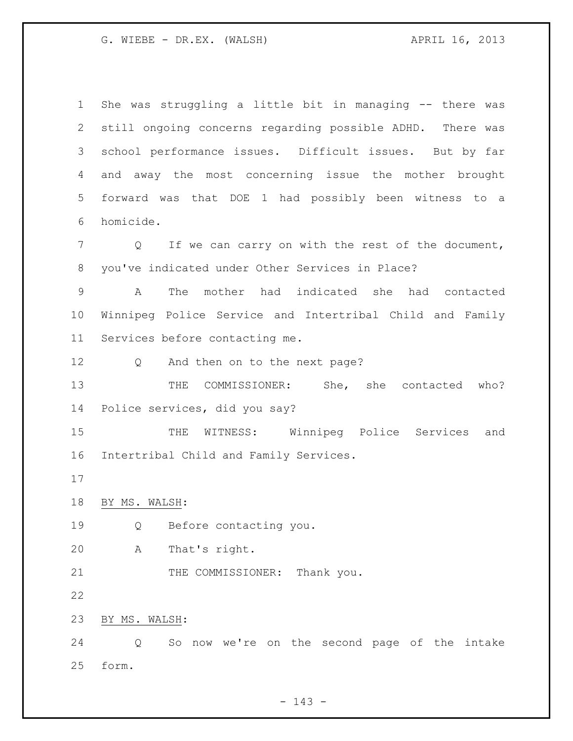G. WIEBE - DR.EX. (WALSH) APRIL 16, 2013

 She was struggling a little bit in managing -- there was still ongoing concerns regarding possible ADHD. There was school performance issues. Difficult issues. But by far and away the most concerning issue the mother brought forward was that DOE 1 had possibly been witness to a homicide. Q If we can carry on with the rest of the document, you've indicated under Other Services in Place? A The mother had indicated she had contacted Winnipeg Police Service and Intertribal Child and Family Services before contacting me. 12 Q And then on to the next page? 13 THE COMMISSIONER: She, she contacted who? Police services, did you say? THE WITNESS: Winnipeg Police Services and Intertribal Child and Family Services. BY MS. WALSH: Q Before contacting you. A That's right. 21 THE COMMISSIONER: Thank you. BY MS. WALSH: Q So now we're on the second page of the intake form.

 $- 143 -$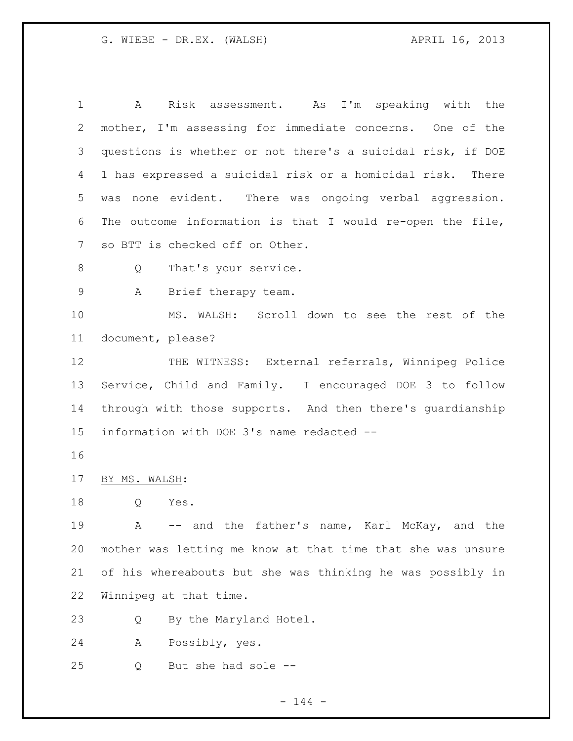A Risk assessment. As I'm speaking with the mother, I'm assessing for immediate concerns. One of the questions is whether or not there's a suicidal risk, if DOE 1 has expressed a suicidal risk or a homicidal risk. There was none evident. There was ongoing verbal aggression. The outcome information is that I would re-open the file, so BTT is checked off on Other. 8 Q That's your service. A Brief therapy team. MS. WALSH: Scroll down to see the rest of the document, please? 12 THE WITNESS: External referrals, Winnipeg Police Service, Child and Family. I encouraged DOE 3 to follow through with those supports. And then there's guardianship information with DOE 3's name redacted -- BY MS. WALSH: Q Yes. A -- and the father's name, Karl McKay, and the

 mother was letting me know at that time that she was unsure of his whereabouts but she was thinking he was possibly in Winnipeg at that time.

Q By the Maryland Hotel.

A Possibly, yes.

Q But she had sole --

 $- 144 -$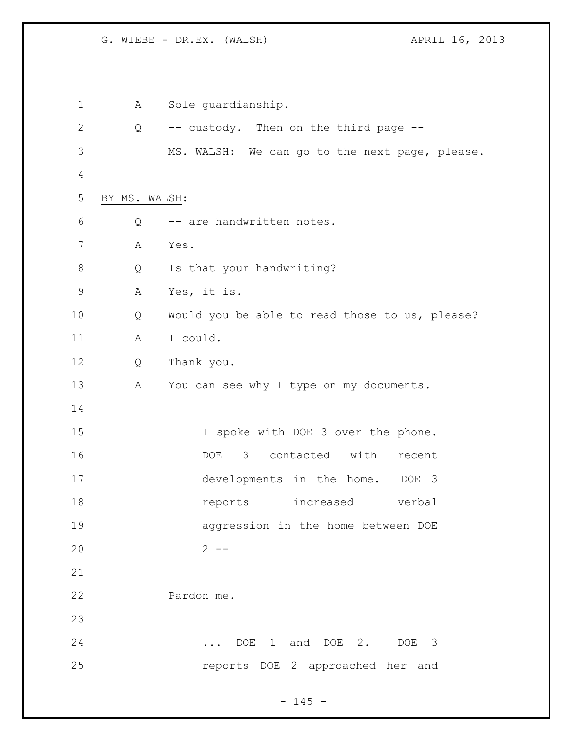G. WIEBE - DR.EX. (WALSH)  $APRIL 16$ , 2013

 A Sole guardianship. Q -- custody. Then on the third page -- MS. WALSH: We can go to the next page, please. BY MS. WALSH: Q -- are handwritten notes. A Yes. 8 Q Is that your handwriting? A Yes, it is. Q Would you be able to read those to us, please? 11 A I could. Q Thank you. 13 A You can see why I type on my documents. 15 15 I spoke with DOE 3 over the phone. DOE 3 contacted with recent developments in the home. DOE 3 **18** reports increased verbal aggression in the home between DOE 2 -- Pardon me. ... DOE 1 and DOE 2. DOE 3 reports DOE 2 approached her and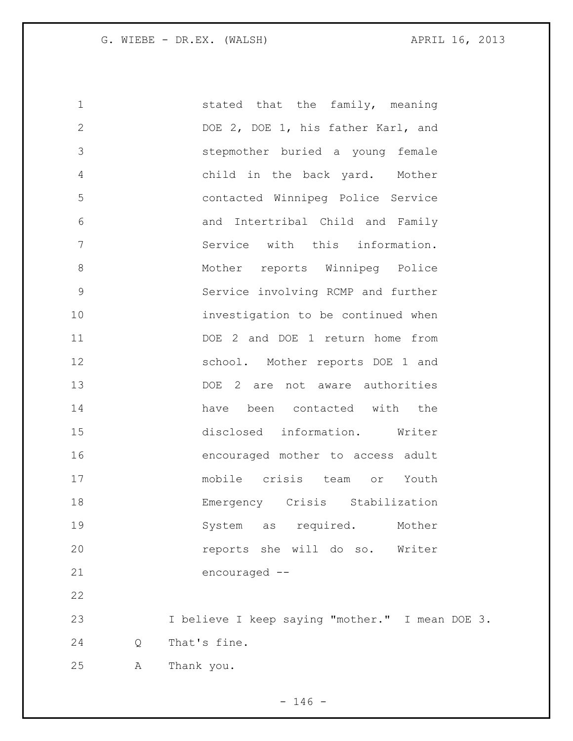1 stated that the family, meaning 2 DOE 2, DOE 1, his father Karl, and stepmother buried a young female child in the back yard. Mother contacted Winnipeg Police Service and Intertribal Child and Family Service with this information. 8 Mother reports Winnipeg Police Service involving RCMP and further investigation to be continued when DOE 2 and DOE 1 return home from school. Mother reports DOE 1 and DOE 2 are not aware authorities have been contacted with the disclosed information. Writer encouraged mother to access adult mobile crisis team or Youth Emergency Crisis Stabilization 19 System as required. Mother reports she will do so. Writer encouraged -- I believe I keep saying "mother." I mean DOE 3. Q That's fine. A Thank you.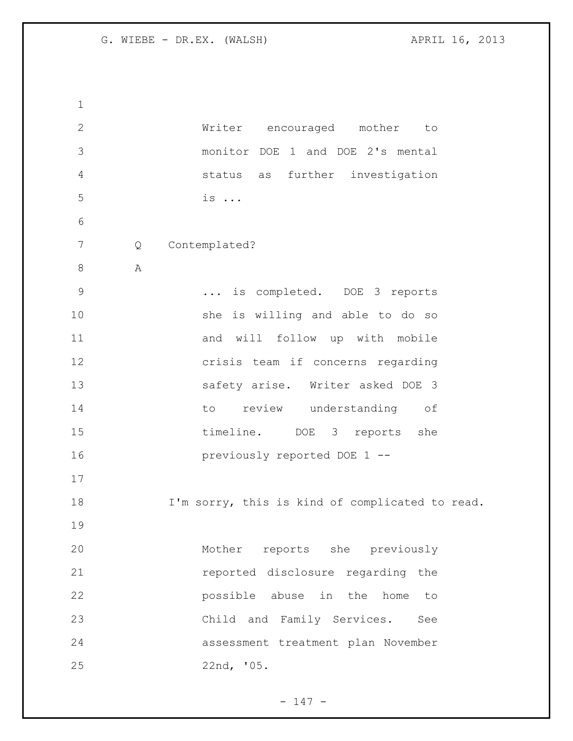Writer encouraged mother to monitor DOE 1 and DOE 2's mental status as further investigation is ... Q Contemplated? A ... is completed. DOE 3 reports she is willing and able to do so 11 and will follow up with mobile crisis team if concerns regarding safety arise. Writer asked DOE 3 14 to review understanding of 15 timeline. DOE 3 reports she previously reported DOE 1 -- I'm sorry, this is kind of complicated to read. Mother reports she previously reported disclosure regarding the possible abuse in the home to Child and Family Services. See assessment treatment plan November 22nd, '05.

- 147 -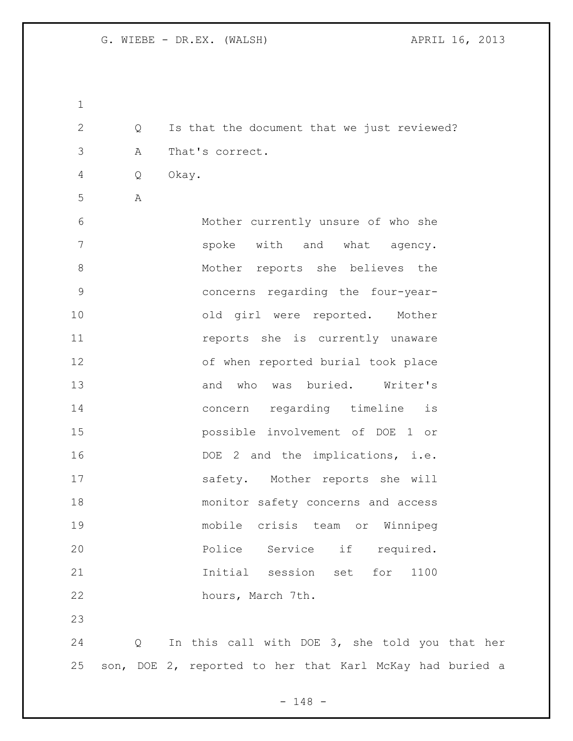| $\mathbf 1$  |   |                                                          |
|--------------|---|----------------------------------------------------------|
| $\mathbf{2}$ | Q | Is that the document that we just reviewed?              |
| 3            | Α | That's correct.                                          |
| 4            | Q | Okay.                                                    |
| 5            | Α |                                                          |
| 6            |   | Mother currently unsure of who she                       |
| 7            |   | spoke with and what agency.                              |
| 8            |   | Mother reports she believes the                          |
| $\mathsf{S}$ |   | concerns regarding the four-year-                        |
| 10           |   | old girl were reported. Mother                           |
| 11           |   | reports she is currently unaware                         |
| 12           |   | of when reported burial took place                       |
| 13           |   | and who was buried. Writer's                             |
| 14           |   | concern regarding timeline<br>is                         |
| 15           |   | possible involvement of DOE 1 or                         |
| 16           |   | DOE 2 and the implications, i.e.                         |
| 17           |   | safety. Mother reports she will                          |
| 18           |   | monitor safety concerns and access                       |
| 19           |   | mobile crisis team or Winnipeg                           |
| 20           |   | Police Service if required.                              |
| 21           |   | Initial session set for<br>1100                          |
| 22           |   | hours, March 7th.                                        |
| 23           |   |                                                          |
| 24           | Q | In this call with DOE 3, she told you that her           |
| 25           |   | son, DOE 2, reported to her that Karl McKay had buried a |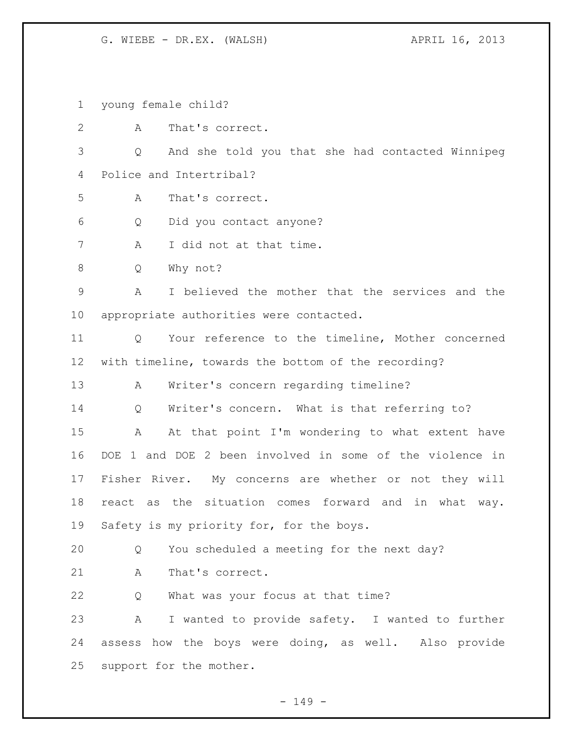G. WIEBE - DR.EX. (WALSH) APRIL 16, 2013

young female child?

 A That's correct. Q And she told you that she had contacted Winnipeg Police and Intertribal? A That's correct. Q Did you contact anyone? 7 A I did not at that time. Q Why not? A I believed the mother that the services and the appropriate authorities were contacted. Q Your reference to the timeline, Mother concerned with timeline, towards the bottom of the recording? A Writer's concern regarding timeline? Q Writer's concern. What is that referring to? A At that point I'm wondering to what extent have DOE 1 and DOE 2 been involved in some of the violence in Fisher River. My concerns are whether or not they will react as the situation comes forward and in what way. 19 Safety is my priority for, for the boys. Q You scheduled a meeting for the next day? 21 A That's correct. Q What was your focus at that time? A I wanted to provide safety. I wanted to further assess how the boys were doing, as well. Also provide support for the mother.

 $- 149 -$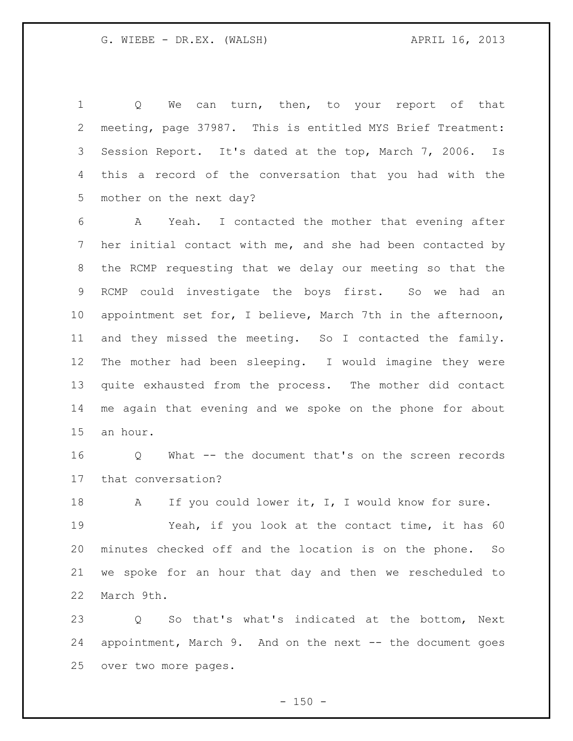1 Q We can turn, then, to your report of that meeting, page 37987. This is entitled MYS Brief Treatment: Session Report. It's dated at the top, March 7, 2006. Is this a record of the conversation that you had with the mother on the next day?

 A Yeah. I contacted the mother that evening after her initial contact with me, and she had been contacted by the RCMP requesting that we delay our meeting so that the RCMP could investigate the boys first. So we had an appointment set for, I believe, March 7th in the afternoon, and they missed the meeting. So I contacted the family. The mother had been sleeping. I would imagine they were quite exhausted from the process. The mother did contact me again that evening and we spoke on the phone for about an hour.

 Q What -- the document that's on the screen records that conversation?

18 A If you could lower it, I, I would know for sure.

 Yeah, if you look at the contact time, it has 60 minutes checked off and the location is on the phone. So we spoke for an hour that day and then we rescheduled to March 9th.

 Q So that's what's indicated at the bottom, Next appointment, March 9. And on the next -- the document goes over two more pages.

 $- 150 -$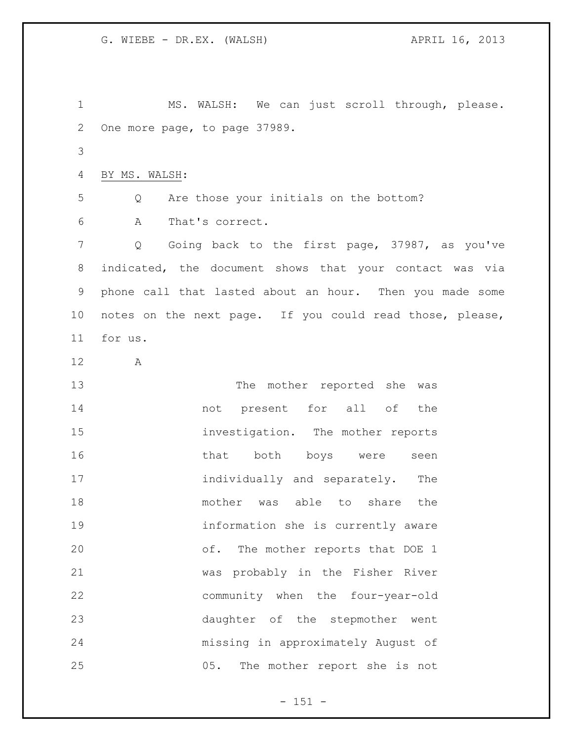MS. WALSH: We can just scroll through, please. One more page, to page 37989. BY MS. WALSH: Q Are those your initials on the bottom? A That's correct. Q Going back to the first page, 37987, as you've indicated, the document shows that your contact was via phone call that lasted about an hour. Then you made some notes on the next page. If you could read those, please, for us. A The mother reported she was not present for all of the investigation. The mother reports 16 that both boys were seen 17 individually and separately. The 18 mother was able to share the information she is currently aware of. The mother reports that DOE 1 was probably in the Fisher River community when the four-year-old daughter of the stepmother went missing in approximately August of 05. The mother report she is not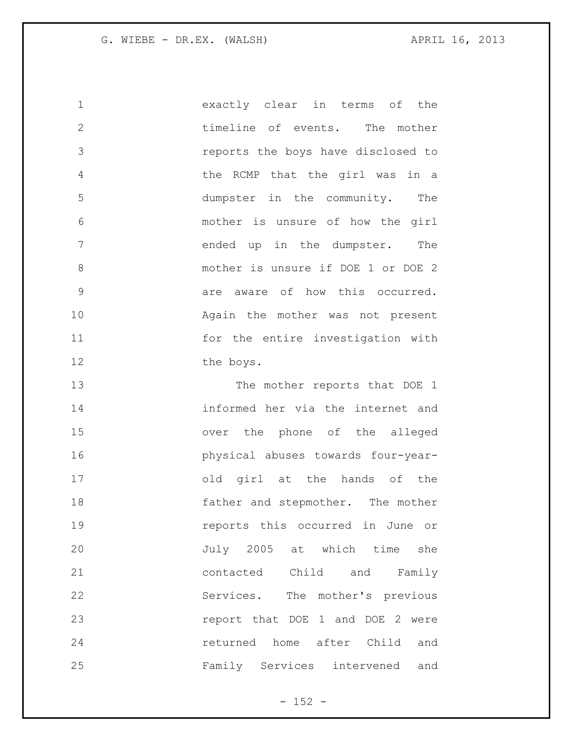exactly clear in terms of the 2 timeline of events. The mother reports the boys have disclosed to the RCMP that the girl was in a dumpster in the community. The mother is unsure of how the girl 7 ended up in the dumpster. The mother is unsure if DOE 1 or DOE 2 9 are aware of how this occurred. Again the mother was not present for the entire investigation with 12 the boys.

13 The mother reports that DOE 1 informed her via the internet and over the phone of the alleged physical abuses towards four-year- old girl at the hands of the 18 father and stepmother. The mother reports this occurred in June or July 2005 at which time she contacted Child and Family Services. The mother's previous report that DOE 1 and DOE 2 were returned home after Child and Family Services intervened and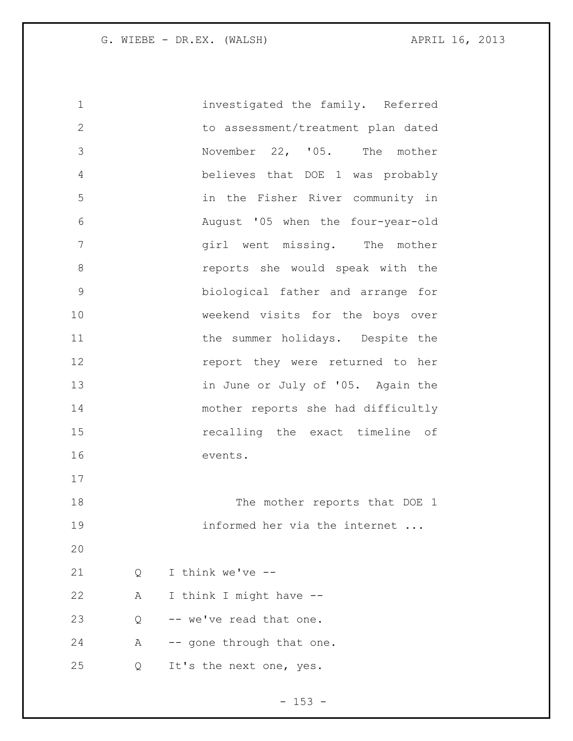investigated the family. Referred to assessment/treatment plan dated November 22, '05. The mother believes that DOE 1 was probably in the Fisher River community in August '05 when the four-year-old 7 girl went missing. The mother reports she would speak with the biological father and arrange for weekend visits for the boys over 11 the summer holidays. Despite the **report** they were returned to her 13 in June or July of '05. Again the mother reports she had difficultly recalling the exact timeline of events. 18 The mother reports that DOE 1 informed her via the internet ... Q I think we've -- A I think I might have -- Q -- we've read that one. 24 A -- gone through that one. Q It's the next one, yes.

 $- 153 -$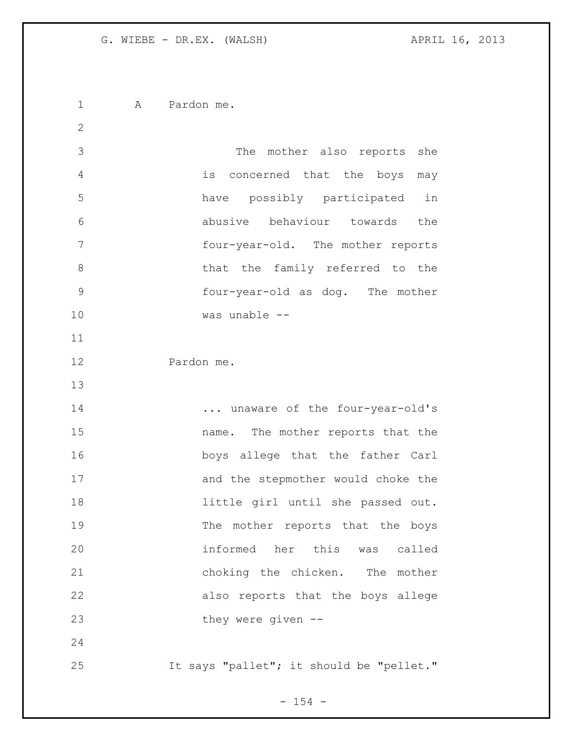A Pardon me. The mother also reports she is concerned that the boys may have possibly participated in abusive behaviour towards the four-year-old. The mother reports 8 bhat the family referred to the four-year-old as dog. The mother was unable -- Pardon me. 14 ... unaware of the four-year-old's name. The mother reports that the boys allege that the father Carl and the stepmother would choke the little girl until she passed out. 19 The mother reports that the boys informed her this was called choking the chicken. The mother also reports that the boys allege they were given -- It says "pallet"; it should be "pellet."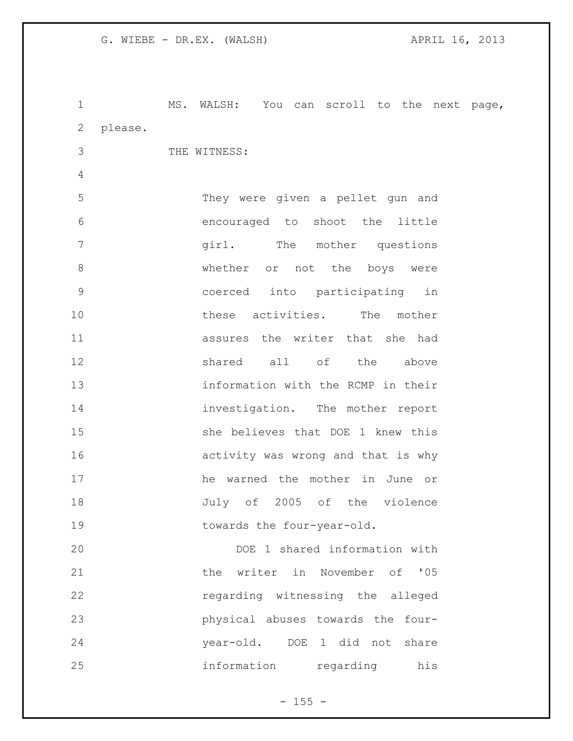MS. WALSH: You can scroll to the next page, please. THE WITNESS: They were given a pellet gun and encouraged to shoot the little girl. The mother questions 8 whether or not the boys were coerced into participating in these activities. The mother assures the writer that she had shared all of the above information with the RCMP in their 14 investigation. The mother report she believes that DOE 1 knew this activity was wrong and that is why he warned the mother in June or July of 2005 of the violence 19 towards the four-year-old. DOE 1 shared information with **blue the writer in November of '05**  regarding witnessing the alleged physical abuses towards the four-

information regarding his

year-old. DOE 1 did not share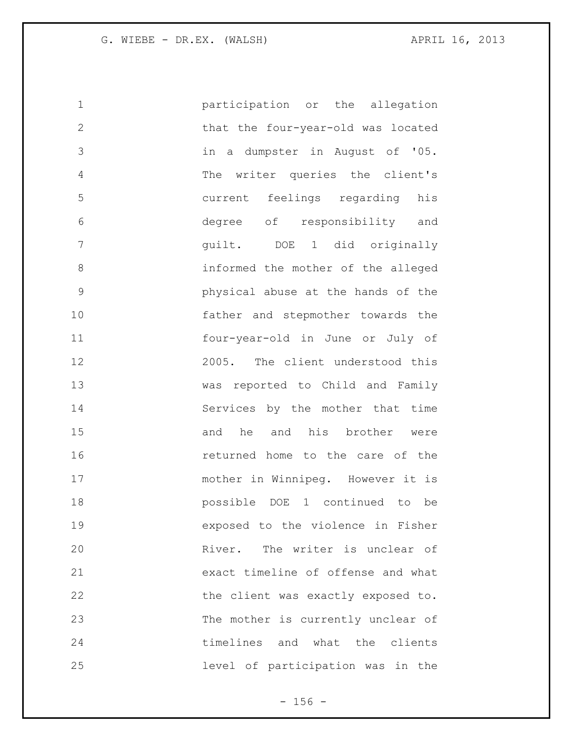participation or the allegation that the four-year-old was located in a dumpster in August of '05. The writer queries the client's current feelings regarding his degree of responsibility and guilt. DOE 1 did originally informed the mother of the alleged physical abuse at the hands of the father and stepmother towards the four-year-old in June or July of 2005. The client understood this was reported to Child and Family Services by the mother that time and he and his brother were returned home to the care of the mother in Winnipeg. However it is possible DOE 1 continued to be exposed to the violence in Fisher River. The writer is unclear of exact timeline of offense and what 22 the client was exactly exposed to. The mother is currently unclear of timelines and what the clients level of participation was in the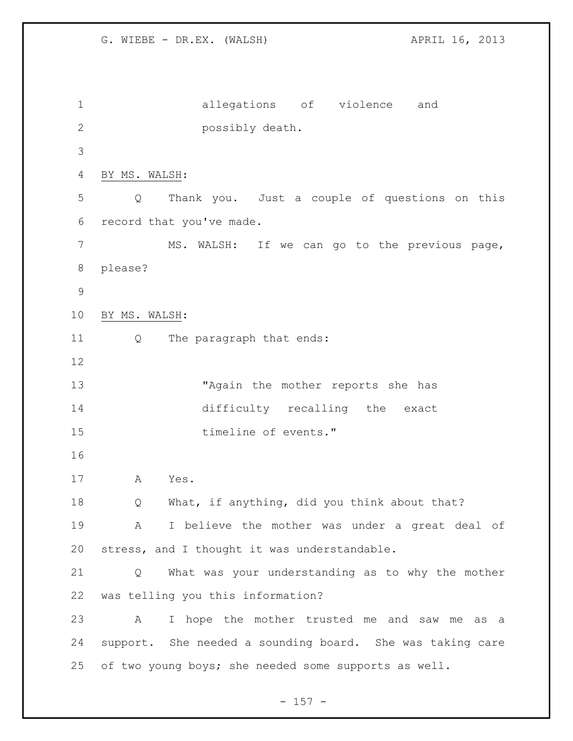G. WIEBE - DR.EX. (WALSH) APRIL 16, 2013 allegations of violence and possibly death. BY MS. WALSH: Q Thank you. Just a couple of questions on this record that you've made. MS. WALSH: If we can go to the previous page, please? BY MS. WALSH: Q The paragraph that ends: "Again the mother reports she has difficulty recalling the exact 15 timeline of events." A Yes. 18 Q What, if anything, did you think about that? A I believe the mother was under a great deal of stress, and I thought it was understandable. Q What was your understanding as to why the mother was telling you this information? A I hope the mother trusted me and saw me as a support. She needed a sounding board. She was taking care of two young boys; she needed some supports as well.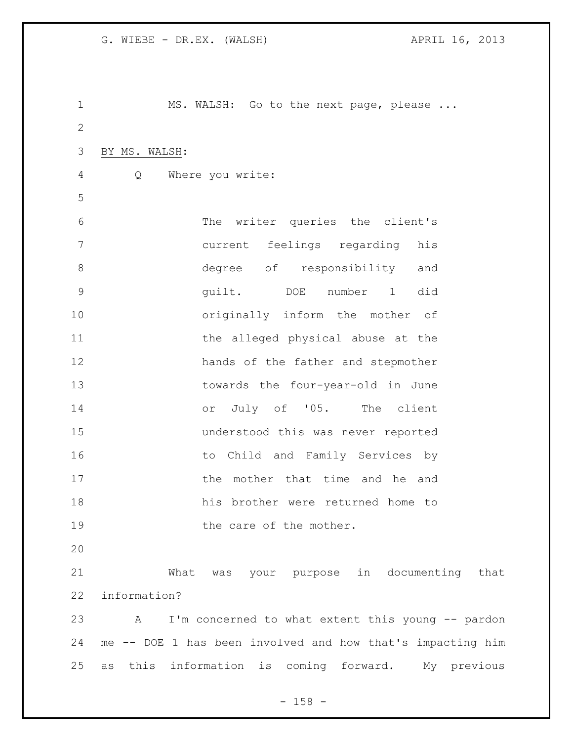MS. WALSH: Go to the next page, please ... BY MS. WALSH: Q Where you write: The writer queries the client's current feelings regarding his 8 degree of responsibility and guilt. DOE number 1 did originally inform the mother of 11 the alleged physical abuse at the hands of the father and stepmother towards the four-year-old in June or July of '05. The client understood this was never reported to Child and Family Services by 17 the mother that time and he and his brother were returned home to 19 the care of the mother. What was your purpose in documenting that information? A I'm concerned to what extent this young -- pardon me -- DOE 1 has been involved and how that's impacting him as this information is coming forward. My previous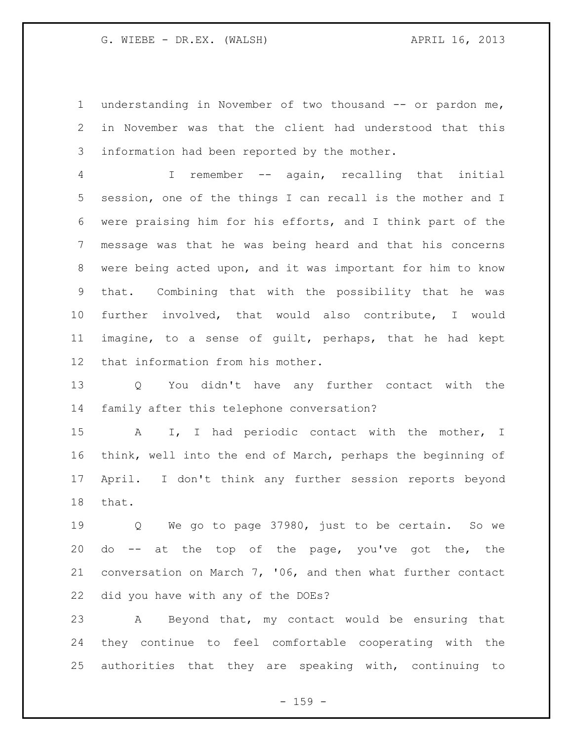G. WIEBE - DR.EX. (WALSH) APRIL 16, 2013

 understanding in November of two thousand -- or pardon me, in November was that the client had understood that this information had been reported by the mother.

 I remember -- again, recalling that initial session, one of the things I can recall is the mother and I were praising him for his efforts, and I think part of the message was that he was being heard and that his concerns were being acted upon, and it was important for him to know that. Combining that with the possibility that he was further involved, that would also contribute, I would imagine, to a sense of guilt, perhaps, that he had kept that information from his mother.

 Q You didn't have any further contact with the family after this telephone conversation?

 A I, I had periodic contact with the mother, I think, well into the end of March, perhaps the beginning of April. I don't think any further session reports beyond that.

 Q We go to page 37980, just to be certain. So we do -- at the top of the page, you've got the, the conversation on March 7, '06, and then what further contact did you have with any of the DOEs?

 A Beyond that, my contact would be ensuring that they continue to feel comfortable cooperating with the authorities that they are speaking with, continuing to

 $- 159 -$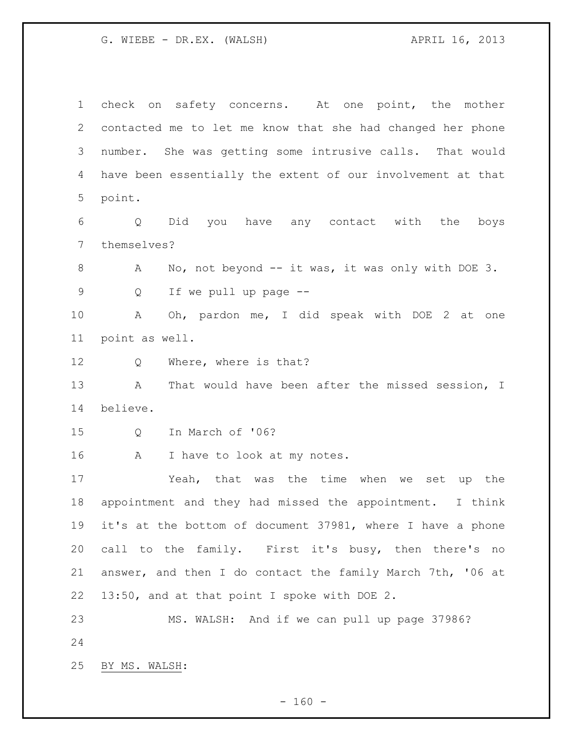G. WIEBE - DR.EX. (WALSH) APRIL 16, 2013

 check on safety concerns. At one point, the mother contacted me to let me know that she had changed her phone number. She was getting some intrusive calls. That would have been essentially the extent of our involvement at that point.

 Q Did you have any contact with the boys themselves?

8 A No, not beyond -- it was, it was only with DOE 3. Q If we pull up page --

 A Oh, pardon me, I did speak with DOE 2 at one point as well.

Q Where, where is that?

13 A That would have been after the missed session, I believe.

Q In March of '06?

16 A I have to look at my notes.

 Yeah, that was the time when we set up the appointment and they had missed the appointment. I think it's at the bottom of document 37981, where I have a phone call to the family. First it's busy, then there's no answer, and then I do contact the family March 7th, '06 at 13:50, and at that point I spoke with DOE 2.

 MS. WALSH: And if we can pull up page 37986? 

BY MS. WALSH:

 $- 160 -$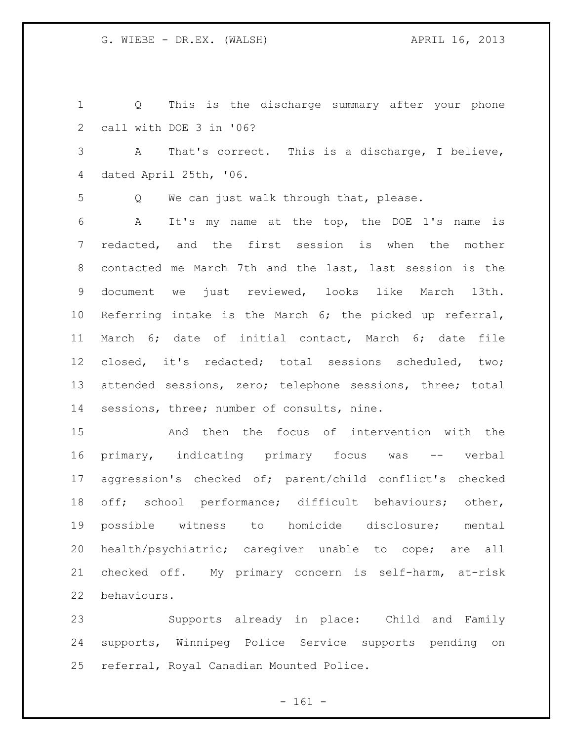Q This is the discharge summary after your phone call with DOE 3 in '06? A That's correct. This is a discharge, I believe, dated April 25th, '06. Q We can just walk through that, please. A It's my name at the top, the DOE 1's name is redacted, and the first session is when the mother contacted me March 7th and the last, last session is the document we just reviewed, looks like March 13th. Referring intake is the March 6; the picked up referral, March 6; date of initial contact, March 6; date file closed, it's redacted; total sessions scheduled, two; attended sessions, zero; telephone sessions, three; total sessions, three; number of consults, nine. And then the focus of intervention with the primary, indicating primary focus was -- verbal

 aggression's checked of; parent/child conflict's checked off; school performance; difficult behaviours; other, possible witness to homicide disclosure; mental health/psychiatric; caregiver unable to cope; are all checked off. My primary concern is self-harm, at-risk behaviours.

 Supports already in place: Child and Family supports, Winnipeg Police Service supports pending on referral, Royal Canadian Mounted Police.

 $- 161 -$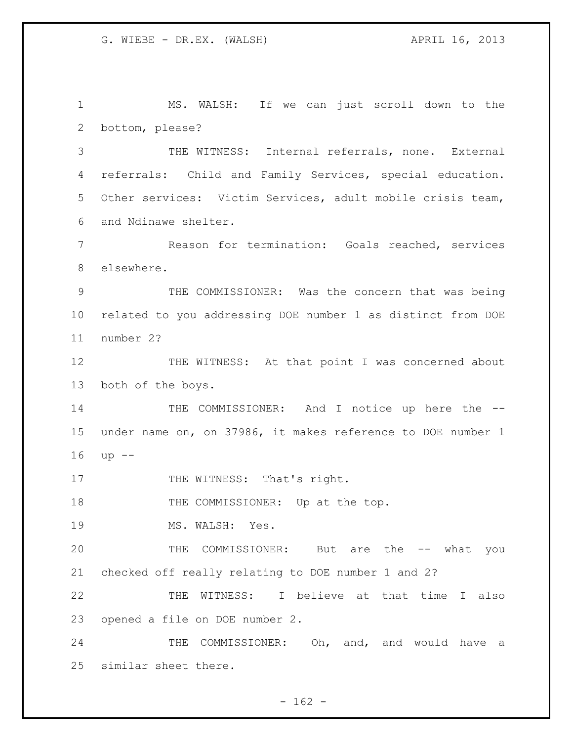MS. WALSH: If we can just scroll down to the bottom, please? THE WITNESS: Internal referrals, none. External referrals: Child and Family Services, special education. Other services: Victim Services, adult mobile crisis team, and Ndinawe shelter. Reason for termination: Goals reached, services elsewhere. THE COMMISSIONER: Was the concern that was being related to you addressing DOE number 1 as distinct from DOE number 2? 12 THE WITNESS: At that point I was concerned about both of the boys. 14 THE COMMISSIONER: And I notice up here the -- under name on, on 37986, it makes reference to DOE number 1 up -- 17 THE WITNESS: That's right. 18 THE COMMISSIONER: Up at the top. 19 MS. WALSH: Yes. THE COMMISSIONER: But are the -- what you checked off really relating to DOE number 1 and 2? THE WITNESS: I believe at that time I also opened a file on DOE number 2. 24 THE COMMISSIONER: Oh, and, and would have a similar sheet there.

 $- 162 -$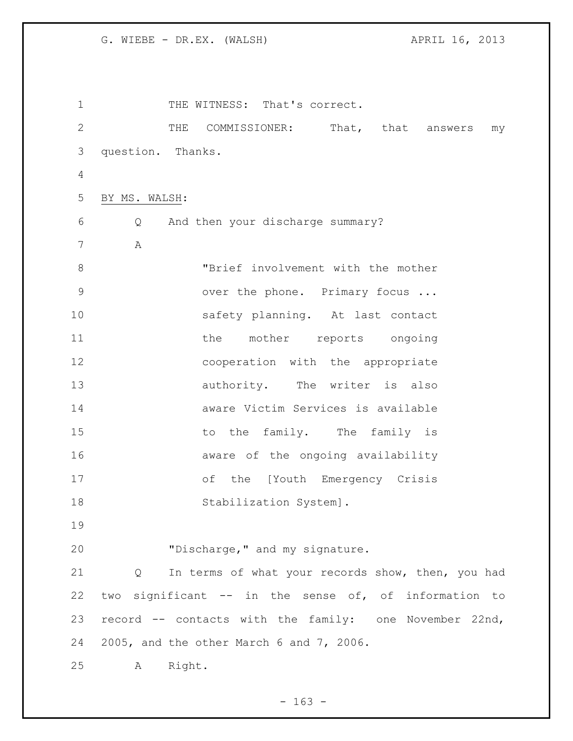1 THE WITNESS: That's correct. THE COMMISSIONER: That, that answers my question. Thanks. BY MS. WALSH: Q And then your discharge summary? A **"Brief involvement with the mother** 9 over the phone. Primary focus ... safety planning. At last contact 11 the mother reports ongoing cooperation with the appropriate 13 authority. The writer is also aware Victim Services is available 15 to the family. The family is **aware of the ongoing availability**  of the [Youth Emergency Crisis 18 Stabilization System]. "Discharge," and my signature. Q In terms of what your records show, then, you had two significant -- in the sense of, of information to record -- contacts with the family: one November 22nd, 2005, and the other March 6 and 7, 2006. A Right.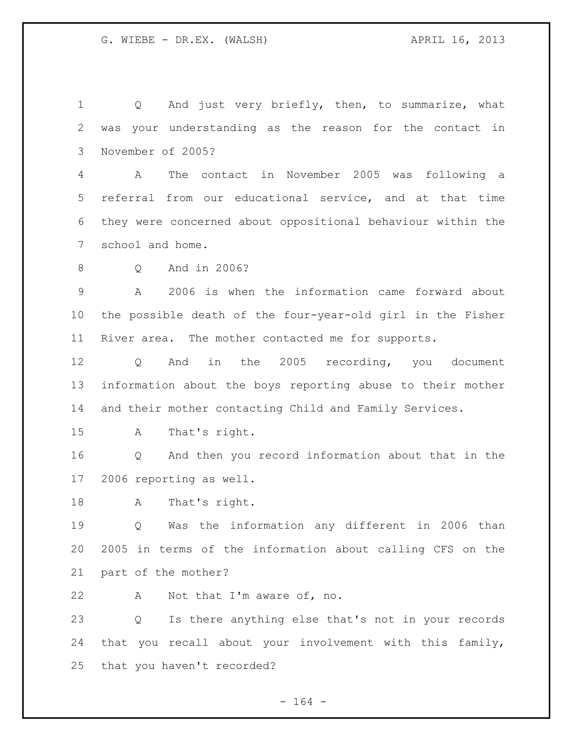1 Q And just very briefly, then, to summarize, what was your understanding as the reason for the contact in November of 2005? A The contact in November 2005 was following a referral from our educational service, and at that time they were concerned about oppositional behaviour within the school and home. Q And in 2006? A 2006 is when the information came forward about the possible death of the four-year-old girl in the Fisher River area. The mother contacted me for supports. Q And in the 2005 recording, you document information about the boys reporting abuse to their mother and their mother contacting Child and Family Services. A That's right. Q And then you record information about that in the 2006 reporting as well. A That's right. Q Was the information any different in 2006 than 2005 in terms of the information about calling CFS on the part of the mother? A Not that I'm aware of, no. Q Is there anything else that's not in your records that you recall about your involvement with this family, that you haven't recorded?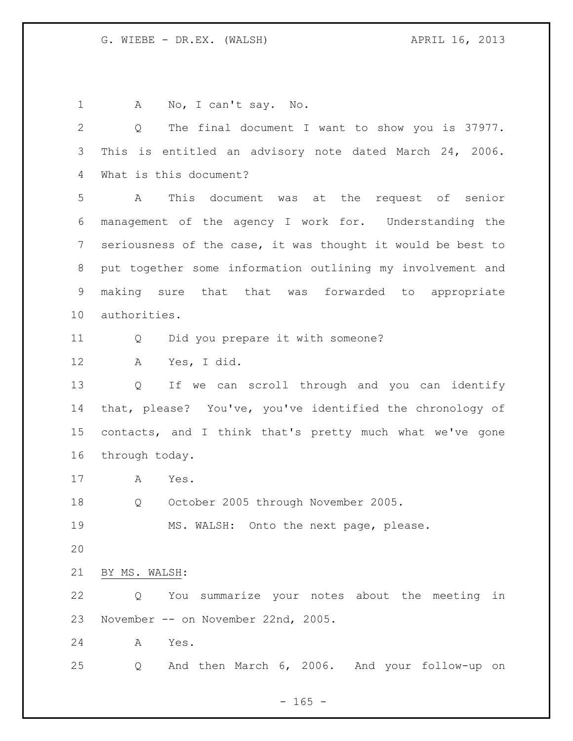1 A No, I can't say. No. Q The final document I want to show you is 37977. This is entitled an advisory note dated March 24, 2006. What is this document? A This document was at the request of senior management of the agency I work for. Understanding the seriousness of the case, it was thought it would be best to put together some information outlining my involvement and making sure that that was forwarded to appropriate authorities. Q Did you prepare it with someone? A Yes, I did. Q If we can scroll through and you can identify that, please? You've, you've identified the chronology of contacts, and I think that's pretty much what we've gone through today. A Yes. Q October 2005 through November 2005. MS. WALSH: Onto the next page, please. BY MS. WALSH: Q You summarize your notes about the meeting in November -- on November 22nd, 2005. A Yes. Q And then March 6, 2006. And your follow-up on

 $- 165 -$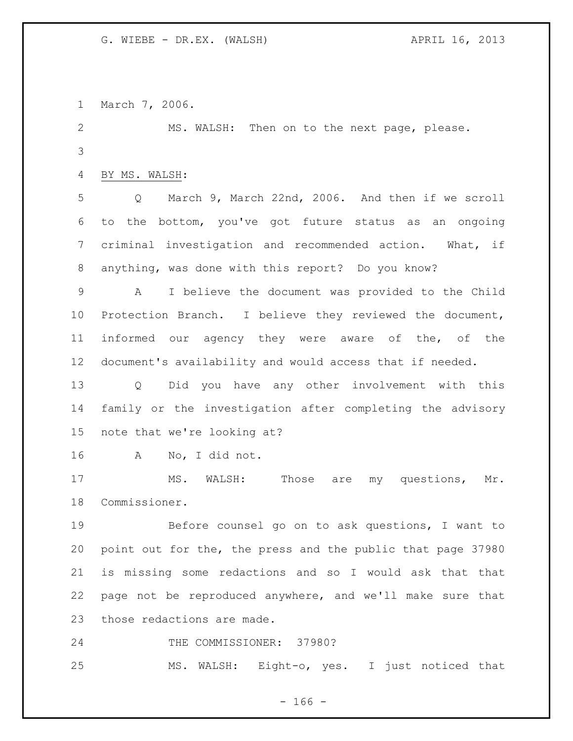March 7, 2006.

 MS. WALSH: Then on to the next page, please. 

BY MS. WALSH:

 Q March 9, March 22nd, 2006. And then if we scroll to the bottom, you've got future status as an ongoing criminal investigation and recommended action. What, if anything, was done with this report? Do you know?

 A I believe the document was provided to the Child Protection Branch. I believe they reviewed the document, informed our agency they were aware of the, of the document's availability and would access that if needed.

 Q Did you have any other involvement with this family or the investigation after completing the advisory note that we're looking at?

A No, I did not.

17 MS. WALSH: Those are my questions, Mr. Commissioner.

 Before counsel go on to ask questions, I want to point out for the, the press and the public that page 37980 is missing some redactions and so I would ask that that page not be reproduced anywhere, and we'll make sure that those redactions are made.

THE COMMISSIONER: 37980?

MS. WALSH: Eight-o, yes. I just noticed that

 $- 166 -$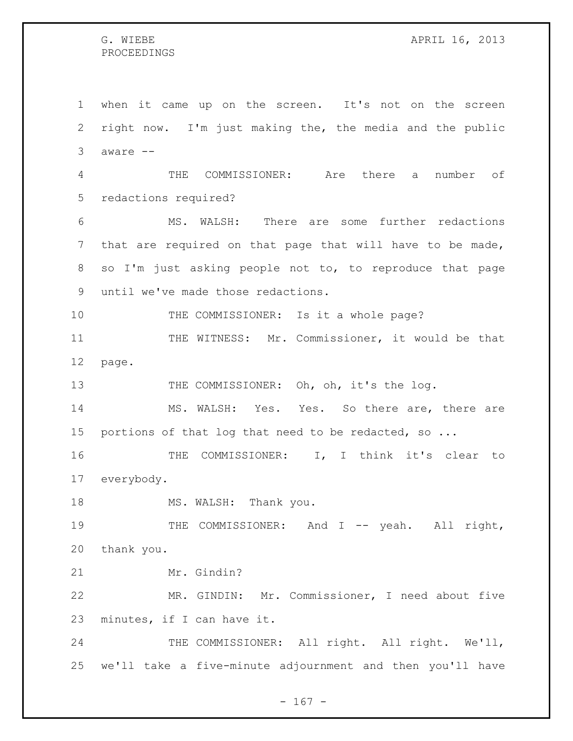## PROCEEDINGS

 when it came up on the screen. It's not on the screen right now. I'm just making the, the media and the public aware -- THE COMMISSIONER: Are there a number of redactions required? MS. WALSH: There are some further redactions that are required on that page that will have to be made, so I'm just asking people not to, to reproduce that page until we've made those redactions. 10 THE COMMISSIONER: Is it a whole page? THE WITNESS: Mr. Commissioner, it would be that page. 13 THE COMMISSIONER: Oh, oh, it's the log. MS. WALSH: Yes. Yes. So there are, there are portions of that log that need to be redacted, so ... THE COMMISSIONER: I, I think it's clear to everybody. 18 MS. WALSH: Thank you. 19 THE COMMISSIONER: And I -- yeah. All right, thank you. Mr. Gindin? MR. GINDIN: Mr. Commissioner, I need about five minutes, if I can have it. 24 THE COMMISSIONER: All right. All right. We'll, we'll take a five-minute adjournment and then you'll have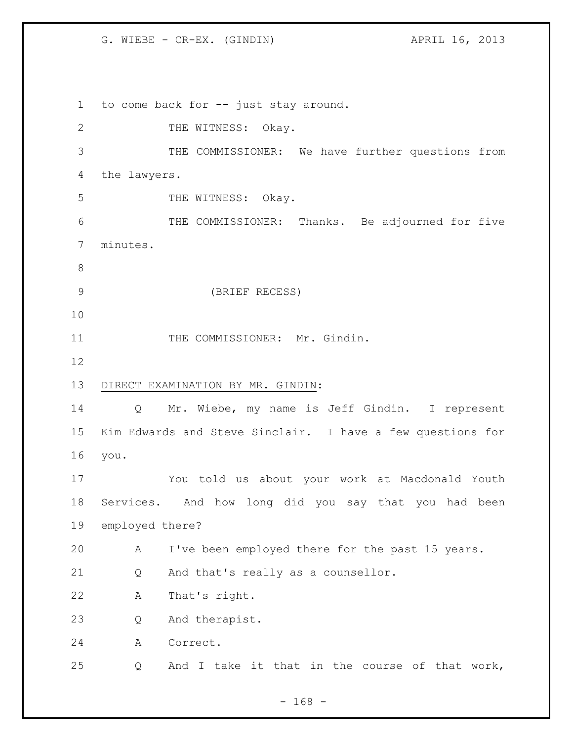G. WIEBE - CR-EX. (GINDIN)  $APRIL 16, 2013$ 

 to come back for -- just stay around. 2 THE WITNESS: Okay. THE COMMISSIONER: We have further questions from the lawyers. 5 THE WITNESS: Okay. THE COMMISSIONER: Thanks. Be adjourned for five minutes. (BRIEF RECESS) 11 THE COMMISSIONER: Mr. Gindin. DIRECT EXAMINATION BY MR. GINDIN: Q Mr. Wiebe, my name is Jeff Gindin. I represent Kim Edwards and Steve Sinclair. I have a few questions for you. You told us about your work at Macdonald Youth Services. And how long did you say that you had been employed there? A I've been employed there for the past 15 years. Q And that's really as a counsellor. A That's right. Q And therapist. A Correct. Q And I take it that in the course of that work,

- 168 -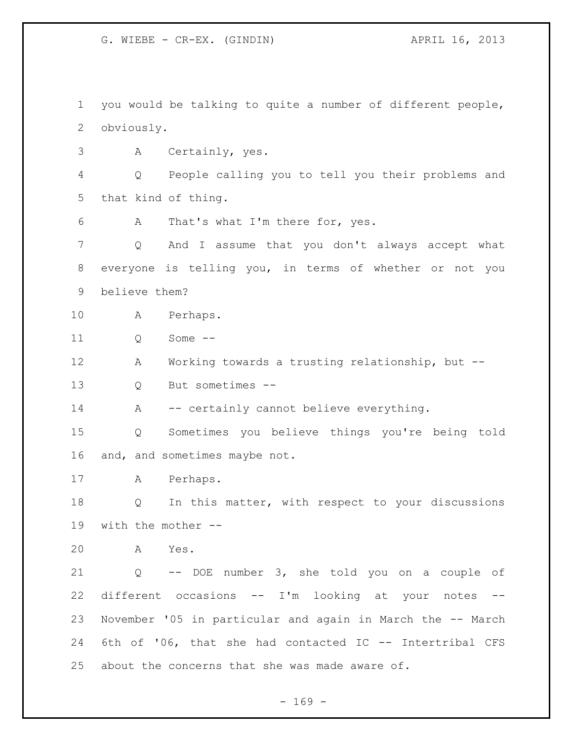G. WIEBE - CR-EX. (GINDIN)  $APRIL 16, 2013$ 

 you would be talking to quite a number of different people, obviously.

A Certainly, yes.

 Q People calling you to tell you their problems and that kind of thing.

A That's what I'm there for, yes.

 Q And I assume that you don't always accept what everyone is telling you, in terms of whether or not you believe them?

A Perhaps.

11 0 Some --

A Working towards a trusting relationship, but --

Q But sometimes --

14 A -- certainly cannot believe everything.

 Q Sometimes you believe things you're being told and, and sometimes maybe not.

A Perhaps.

 Q In this matter, with respect to your discussions with the mother --

A Yes.

 Q -- DOE number 3, she told you on a couple of different occasions -- I'm looking at your notes -- November '05 in particular and again in March the -- March 6th of '06, that she had contacted IC -- Intertribal CFS about the concerns that she was made aware of.

- 169 -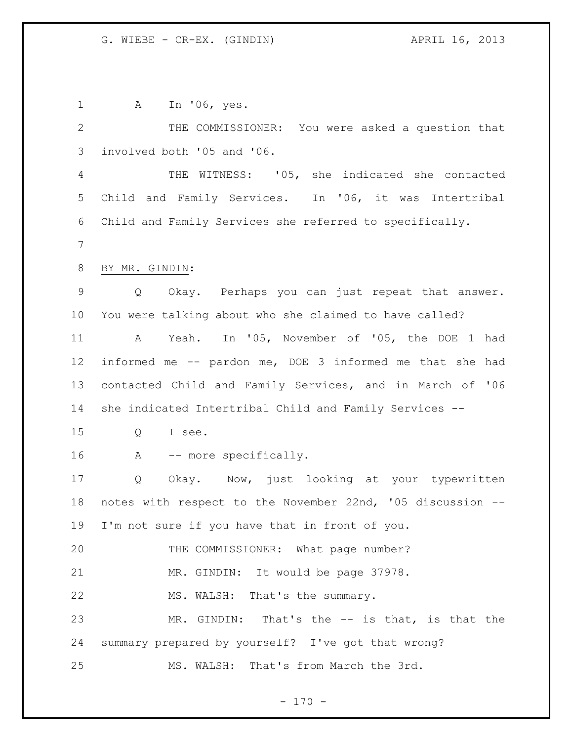A In '06, yes. THE COMMISSIONER: You were asked a question that involved both '05 and '06. THE WITNESS: '05, she indicated she contacted Child and Family Services. In '06, it was Intertribal Child and Family Services she referred to specifically. BY MR. GINDIN: Q Okay. Perhaps you can just repeat that answer. You were talking about who she claimed to have called? A Yeah. In '05, November of '05, the DOE 1 had informed me -- pardon me, DOE 3 informed me that she had contacted Child and Family Services, and in March of '06 she indicated Intertribal Child and Family Services -- Q I see. A -- more specifically. Q Okay. Now, just looking at your typewritten notes with respect to the November 22nd, '05 discussion -- I'm not sure if you have that in front of you. 20 THE COMMISSIONER: What page number? MR. GINDIN: It would be page 37978. MS. WALSH: That's the summary. MR. GINDIN: That's the -- is that, is that the summary prepared by yourself? I've got that wrong? MS. WALSH: That's from March the 3rd.

 $- 170 -$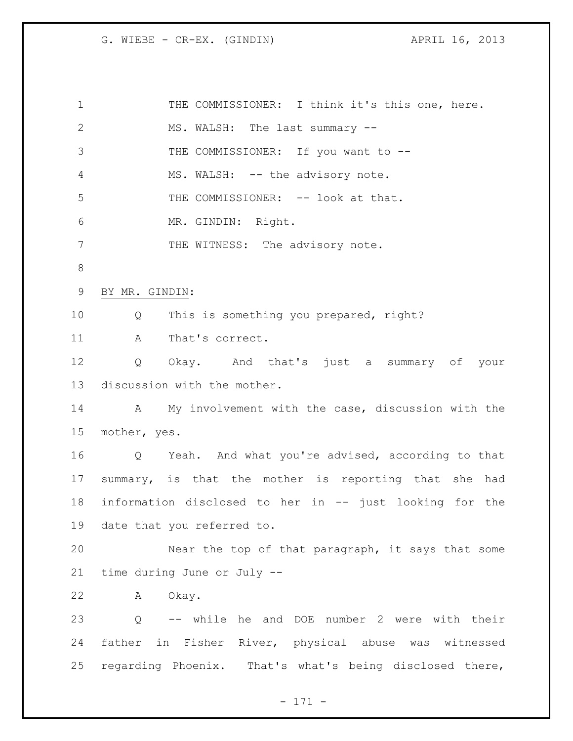G. WIEBE - CR-EX. (GINDIN)  $APRIL 16$ , 2013

| $\mathbf{1}$   |                   | THE COMMISSIONER: I think it's this one, here.          |
|----------------|-------------------|---------------------------------------------------------|
| 2              |                   | MS. WALSH: The last summary --                          |
| 3              |                   | THE COMMISSIONER: If you want to --                     |
| $\overline{4}$ |                   | MS. WALSH: -- the advisory note.                        |
| 5              |                   | THE COMMISSIONER: -- look at that.                      |
| 6              |                   | MR. GINDIN: Right.                                      |
| 7              |                   | THE WITNESS: The advisory note.                         |
| 8              |                   |                                                         |
| 9              | BY MR. GINDIN:    |                                                         |
| 10             | Q                 | This is something you prepared, right?                  |
| 11             | A                 | That's correct.                                         |
| 12             | Q                 | Okay. And that's just a summary of your                 |
| 13             |                   | discussion with the mother.                             |
| 14             |                   | A My involvement with the case, discussion with the     |
| 15             | mother, yes.      |                                                         |
| 16             |                   | Q Yeah. And what you're advised, according to that      |
| 17             |                   | summary, is that the mother is reporting that she had   |
| 18             |                   | information disclosed to her in -- just looking for the |
|                |                   | 19 date that you referred to.                           |
| 20             |                   | Near the top of that paragraph, it says that some       |
| 21             |                   | time during June or July --                             |
| 22             |                   | A Okay.                                                 |
| 23             | $Q \qquad \qquad$ | -- while he and DOE number 2 were with their            |
| 24             |                   | father in Fisher River, physical abuse was witnessed    |
| 25             |                   | regarding Phoenix. That's what's being disclosed there, |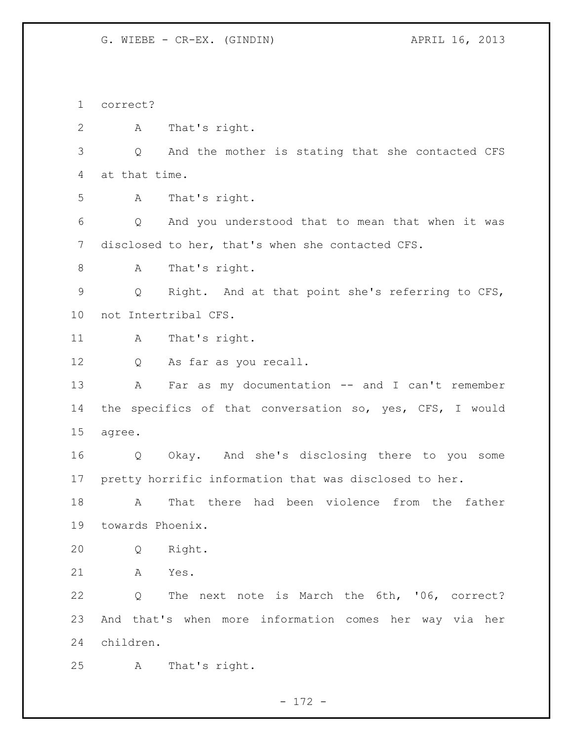G. WIEBE - CR-EX. (GINDIN)  $APRIL 16, 2013$ 

 correct? A That's right. Q And the mother is stating that she contacted CFS at that time. A That's right. Q And you understood that to mean that when it was disclosed to her, that's when she contacted CFS. A That's right. Q Right. And at that point she's referring to CFS, not Intertribal CFS. 11 A That's right. Q As far as you recall. 13 A Far as my documentation -- and I can't remember the specifics of that conversation so, yes, CFS, I would agree. Q Okay. And she's disclosing there to you some pretty horrific information that was disclosed to her. A That there had been violence from the father towards Phoenix. Q Right. A Yes. Q The next note is March the 6th, '06, correct? And that's when more information comes her way via her children. A That's right.

- 172 -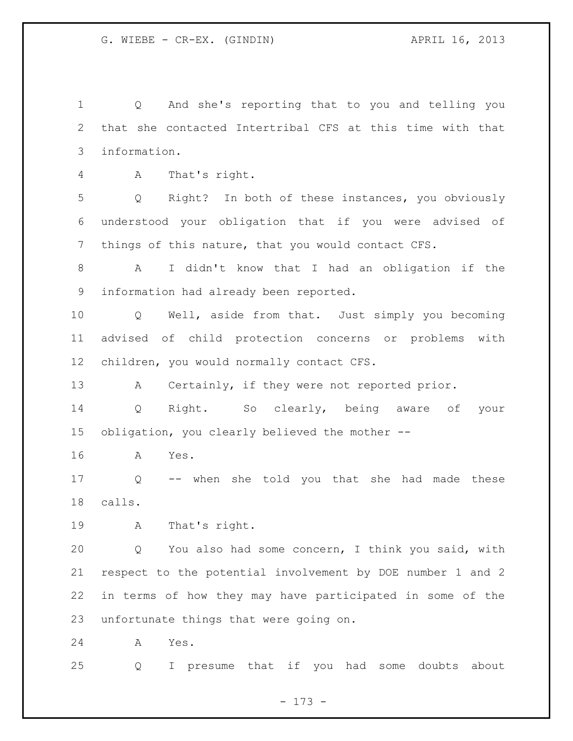Q And she's reporting that to you and telling you that she contacted Intertribal CFS at this time with that information.

A That's right.

 Q Right? In both of these instances, you obviously understood your obligation that if you were advised of things of this nature, that you would contact CFS.

 A I didn't know that I had an obligation if the information had already been reported.

 Q Well, aside from that. Just simply you becoming advised of child protection concerns or problems with children, you would normally contact CFS.

A Certainly, if they were not reported prior.

 Q Right. So clearly, being aware of your obligation, you clearly believed the mother --

A Yes.

 Q -- when she told you that she had made these calls.

A That's right.

 Q You also had some concern, I think you said, with respect to the potential involvement by DOE number 1 and 2 in terms of how they may have participated in some of the unfortunate things that were going on.

A Yes.

Q I presume that if you had some doubts about

- 173 -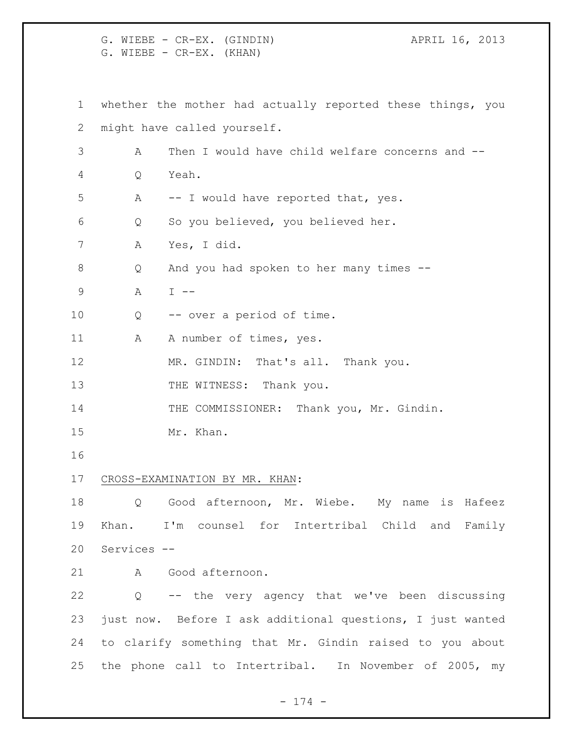G. WIEBE - CR-EX. (GINDIN)  $APRIL 16, 2013$ G. WIEBE - CR-EX. (KHAN) whether the mother had actually reported these things, you might have called yourself. A Then I would have child welfare concerns and -- Q Yeah. A -- I would have reported that, yes. Q So you believed, you believed her. A Yes, I did. Q And you had spoken to her many times -- A I -- Q -- over a period of time. 11 A A number of times, yes. 12 MR. GINDIN: That's all. Thank you. 13 THE WITNESS: Thank you. 14 THE COMMISSIONER: Thank you, Mr. Gindin. Mr. Khan. CROSS-EXAMINATION BY MR. KHAN: Q Good afternoon, Mr. Wiebe. My name is Hafeez Khan. I'm counsel for Intertribal Child and Family Services -- A Good afternoon. Q -- the very agency that we've been discussing just now. Before I ask additional questions, I just wanted to clarify something that Mr. Gindin raised to you about the phone call to Intertribal. In November of 2005, my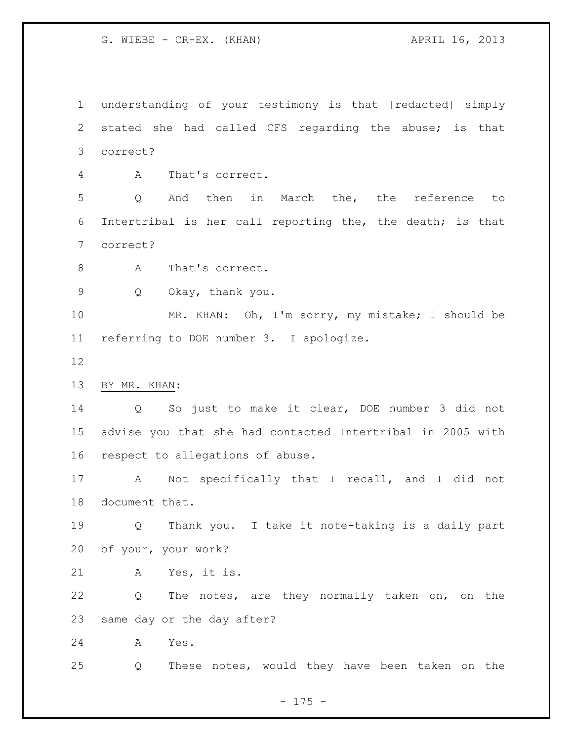G. WIEBE - CR-EX. (KHAN)  $APRIL 16$ , 2013

 understanding of your testimony is that [redacted] simply stated she had called CFS regarding the abuse; is that correct?

A That's correct.

 Q And then in March the, the reference to Intertribal is her call reporting the, the death; is that correct?

- 8 A That's correct.
- Q Okay, thank you.

 MR. KHAN: Oh, I'm sorry, my mistake; I should be referring to DOE number 3. I apologize.

- 
- BY MR. KHAN:

 Q So just to make it clear, DOE number 3 did not advise you that she had contacted Intertribal in 2005 with respect to allegations of abuse.

 A Not specifically that I recall, and I did not document that.

 Q Thank you. I take it note-taking is a daily part of your, your work?

A Yes, it is.

 Q The notes, are they normally taken on, on the same day or the day after?

A Yes.

Q These notes, would they have been taken on the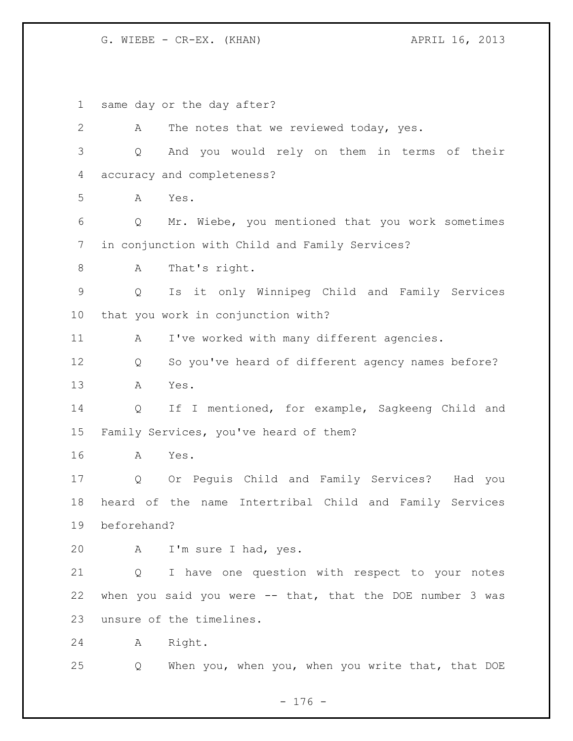G. WIEBE - CR-EX. (KHAN) APRIL 16, 2013

 same day or the day after? 2 A The notes that we reviewed today, yes. Q And you would rely on them in terms of their accuracy and completeness? A Yes. Q Mr. Wiebe, you mentioned that you work sometimes in conjunction with Child and Family Services? A That's right. Q Is it only Winnipeg Child and Family Services that you work in conjunction with? 11 A I've worked with many different agencies. Q So you've heard of different agency names before? A Yes. Q If I mentioned, for example, Sagkeeng Child and Family Services, you've heard of them? A Yes. Q Or Peguis Child and Family Services? Had you heard of the name Intertribal Child and Family Services beforehand? A I'm sure I had, yes. Q I have one question with respect to your notes when you said you were -- that, that the DOE number 3 was unsure of the timelines. A Right. Q When you, when you, when you write that, that DOE

- 176 -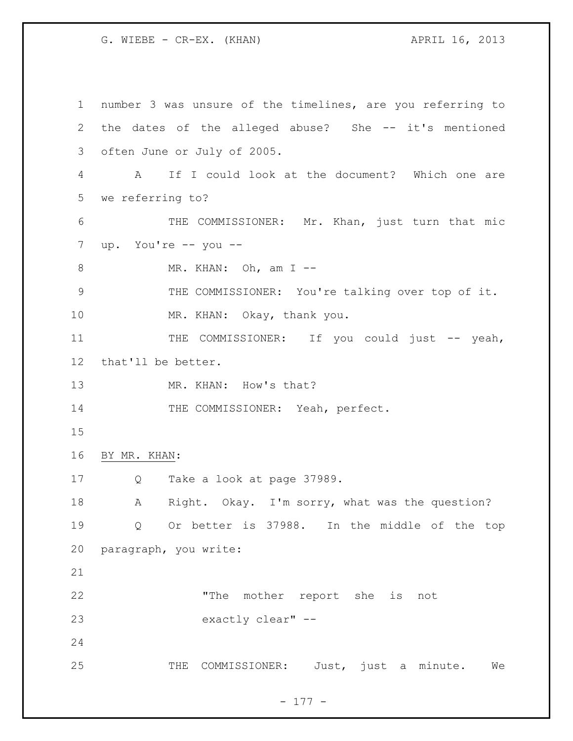G. WIEBE - CR-EX. (KHAN)  $APRIL 16$ , 2013

 number 3 was unsure of the timelines, are you referring to the dates of the alleged abuse? She -- it's mentioned often June or July of 2005. A If I could look at the document? Which one are we referring to? 6 THE COMMISSIONER: Mr. Khan, just turn that mic up. You're -- you -- 8 MR. KHAN: Oh, am I -- THE COMMISSIONER: You're talking over top of it. MR. KHAN: Okay, thank you. 11 THE COMMISSIONER: If you could just -- yeah, that'll be better. 13 MR. KHAN: How's that? 14 THE COMMISSIONER: Yeah, perfect. BY MR. KHAN: Q Take a look at page 37989. A Right. Okay. I'm sorry, what was the question? Q Or better is 37988. In the middle of the top paragraph, you write: "The mother report she is not exactly clear" -- THE COMMISSIONER: Just, just a minute. We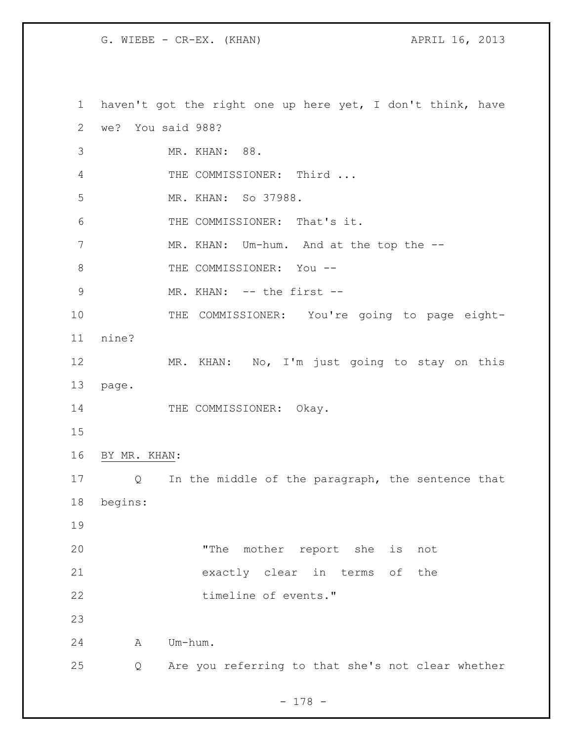haven't got the right one up here yet, I don't think, have we? You said 988? MR. KHAN: 88. 4 THE COMMISSIONER: Third ... MR. KHAN: So 37988. THE COMMISSIONER: That's it. 7 MR. KHAN: Um-hum. And at the top the --8 THE COMMISSIONER: You -- MR. KHAN: -- the first -- 10 THE COMMISSIONER: You're going to page eight- nine? MR. KHAN: No, I'm just going to stay on this page. 14 THE COMMISSIONER: Okay. BY MR. KHAN: Q In the middle of the paragraph, the sentence that begins: "The mother report she is not exactly clear in terms of the 22 timeline of events." A Um-hum. Q Are you referring to that she's not clear whether

- 178 -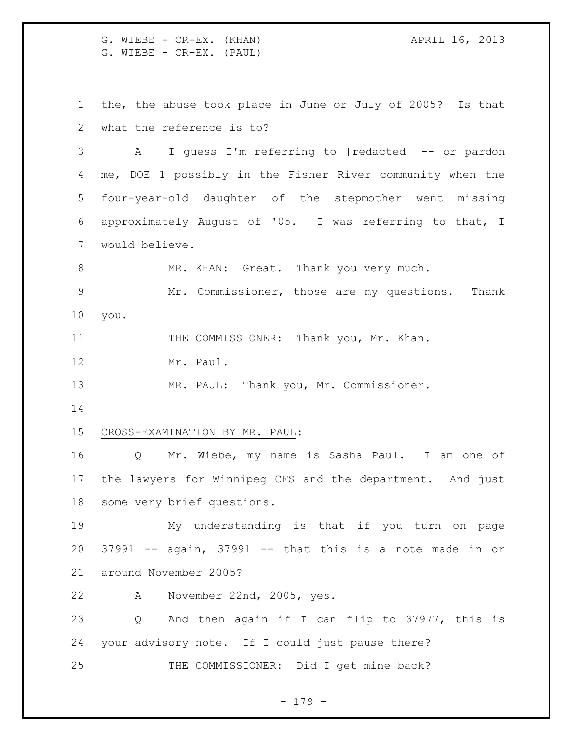G. WIEBE - CR-EX. (KHAN) APRIL 16, 2013 G. WIEBE - CR-EX. (PAUL)

 the, the abuse took place in June or July of 2005? Is that what the reference is to?

 A I guess I'm referring to [redacted] -- or pardon me, DOE 1 possibly in the Fisher River community when the four-year-old daughter of the stepmother went missing approximately August of '05. I was referring to that, I would believe.

8 MR. KHAN: Great. Thank you very much.

 Mr. Commissioner, those are my questions. Thank you.

11 THE COMMISSIONER: Thank you, Mr. Khan.

Mr. Paul.

MR. PAUL: Thank you, Mr. Commissioner.

## CROSS-EXAMINATION BY MR. PAUL:

 Q Mr. Wiebe, my name is Sasha Paul. I am one of the lawyers for Winnipeg CFS and the department. And just some very brief questions.

 My understanding is that if you turn on page 37991 -- again, 37991 -- that this is a note made in or around November 2005?

A November 22nd, 2005, yes.

 Q And then again if I can flip to 37977, this is your advisory note. If I could just pause there? THE COMMISSIONER: Did I get mine back?

- 179 -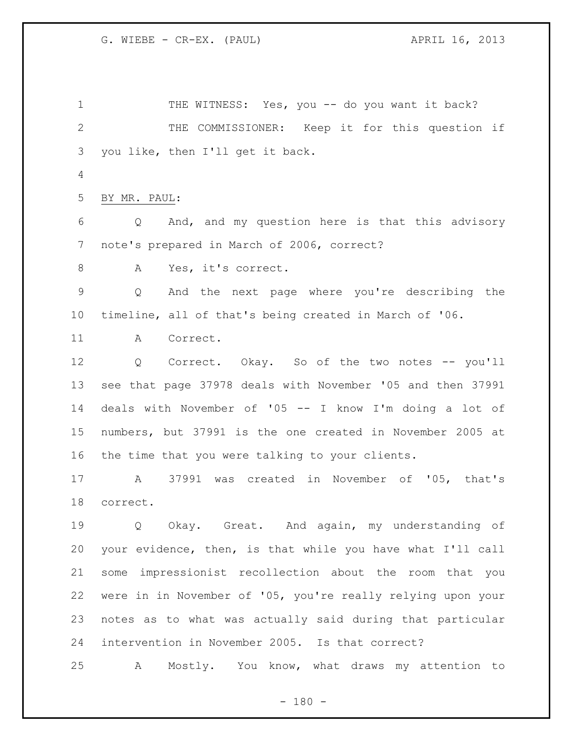1 THE WITNESS: Yes, you -- do you want it back? THE COMMISSIONER: Keep it for this question if you like, then I'll get it back. BY MR. PAUL: Q And, and my question here is that this advisory note's prepared in March of 2006, correct? A Yes, it's correct. Q And the next page where you're describing the timeline, all of that's being created in March of '06. A Correct. Q Correct. Okay. So of the two notes -- you'll see that page 37978 deals with November '05 and then 37991 deals with November of '05 -- I know I'm doing a lot of numbers, but 37991 is the one created in November 2005 at the time that you were talking to your clients. A 37991 was created in November of '05, that's correct. 19 0 Okay. Great. And again, my understanding of your evidence, then, is that while you have what I'll call some impressionist recollection about the room that you were in in November of '05, you're really relying upon your notes as to what was actually said during that particular intervention in November 2005. Is that correct? A Mostly. You know, what draws my attention to

 $- 180 -$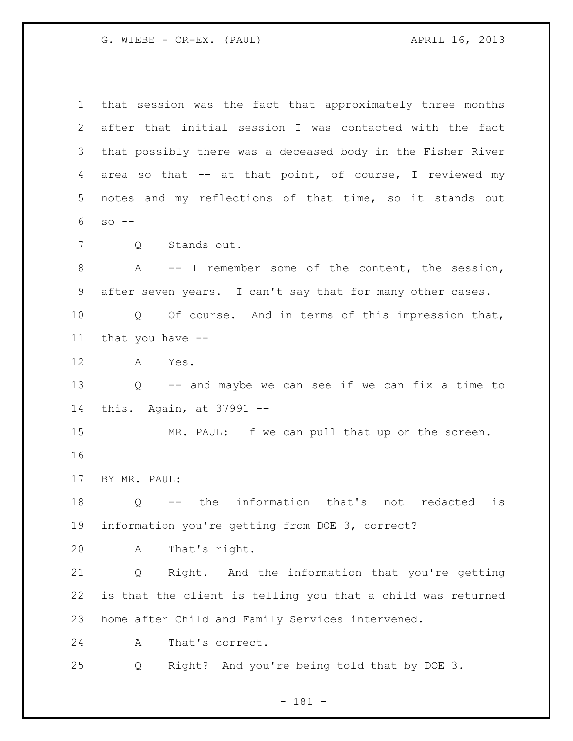G. WIEBE - CR-EX. (PAUL) APRIL 16, 2013

 that session was the fact that approximately three months after that initial session I was contacted with the fact that possibly there was a deceased body in the Fisher River area so that -- at that point, of course, I reviewed my notes and my reflections of that time, so it stands out so -- Q Stands out. A -- I remember some of the content, the session, after seven years. I can't say that for many other cases. Q Of course. And in terms of this impression that, that you have -- A Yes. Q -- and maybe we can see if we can fix a time to this. Again, at 37991 -- 15 MR. PAUL: If we can pull that up on the screen. BY MR. PAUL: Q -- the information that's not redacted is information you're getting from DOE 3, correct? A That's right. Q Right. And the information that you're getting is that the client is telling you that a child was returned home after Child and Family Services intervened. A That's correct. Q Right? And you're being told that by DOE 3.

- 181 -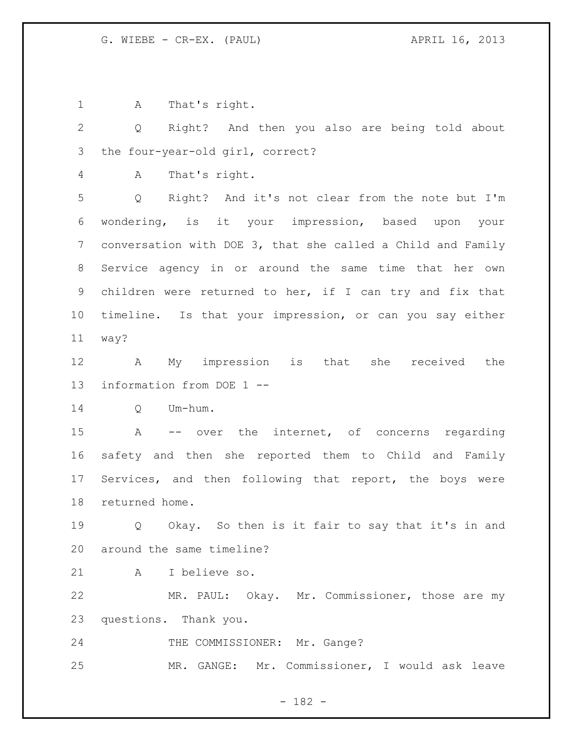A That's right.

 Q Right? And then you also are being told about the four-year-old girl, correct?

A That's right.

 Q Right? And it's not clear from the note but I'm wondering, is it your impression, based upon your conversation with DOE 3, that she called a Child and Family Service agency in or around the same time that her own children were returned to her, if I can try and fix that timeline. Is that your impression, or can you say either way?

 A My impression is that she received the information from DOE 1 --

Q Um-hum.

 A -- over the internet, of concerns regarding safety and then she reported them to Child and Family Services, and then following that report, the boys were returned home.

 Q Okay. So then is it fair to say that it's in and around the same timeline?

A I believe so.

 MR. PAUL: Okay. Mr. Commissioner, those are my questions. Thank you.

24 THE COMMISSIONER: Mr. Gange?

MR. GANGE: Mr. Commissioner, I would ask leave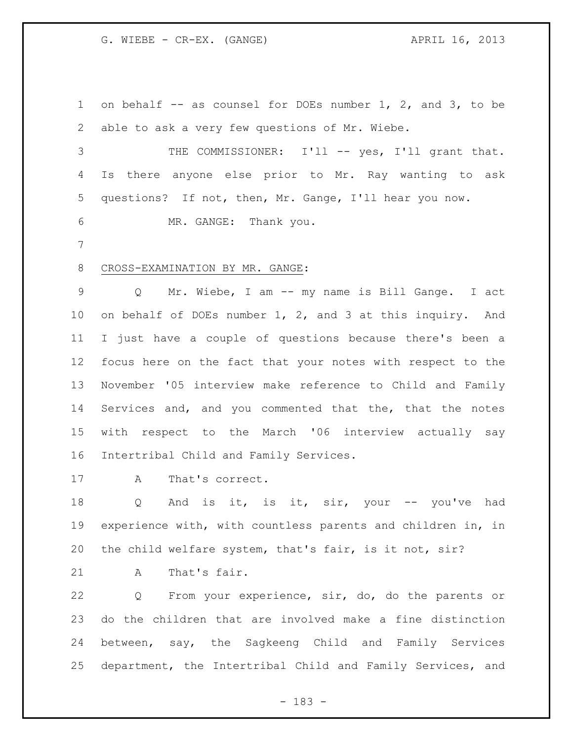on behalf -- as counsel for DOEs number 1, 2, and 3, to be able to ask a very few questions of Mr. Wiebe.

3 THE COMMISSIONER: I'll -- yes, I'll grant that. Is there anyone else prior to Mr. Ray wanting to ask questions? If not, then, Mr. Gange, I'll hear you now.

MR. GANGE: Thank you.

## CROSS-EXAMINATION BY MR. GANGE:

 Q Mr. Wiebe, I am -- my name is Bill Gange. I act on behalf of DOEs number 1, 2, and 3 at this inquiry. And I just have a couple of questions because there's been a focus here on the fact that your notes with respect to the November '05 interview make reference to Child and Family Services and, and you commented that the, that the notes with respect to the March '06 interview actually say Intertribal Child and Family Services.

17 A That's correct.

18 Q And is it, is it, sir, your -- you've had experience with, with countless parents and children in, in the child welfare system, that's fair, is it not, sir?

A That's fair.

 Q From your experience, sir, do, do the parents or do the children that are involved make a fine distinction between, say, the Sagkeeng Child and Family Services department, the Intertribal Child and Family Services, and

- 183 -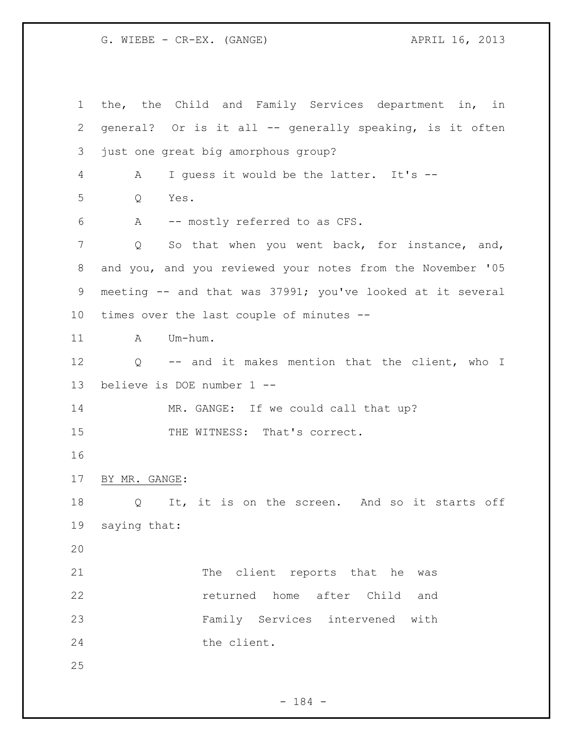the, the Child and Family Services department in, in general? Or is it all -- generally speaking, is it often just one great big amorphous group? A I guess it would be the latter. It's -- Q Yes. A -- mostly referred to as CFS. Q So that when you went back, for instance, and, and you, and you reviewed your notes from the November '05 meeting -- and that was 37991; you've looked at it several times over the last couple of minutes -- 11 A Um-hum. Q -- and it makes mention that the client, who I believe is DOE number 1 -- 14 MR. GANGE: If we could call that up? 15 THE WITNESS: That's correct. BY MR. GANGE: 18 Q It, it is on the screen. And so it starts off saying that: 21 The client reports that he was returned home after Child and Family Services intervened with 24 the client. 

- 184 -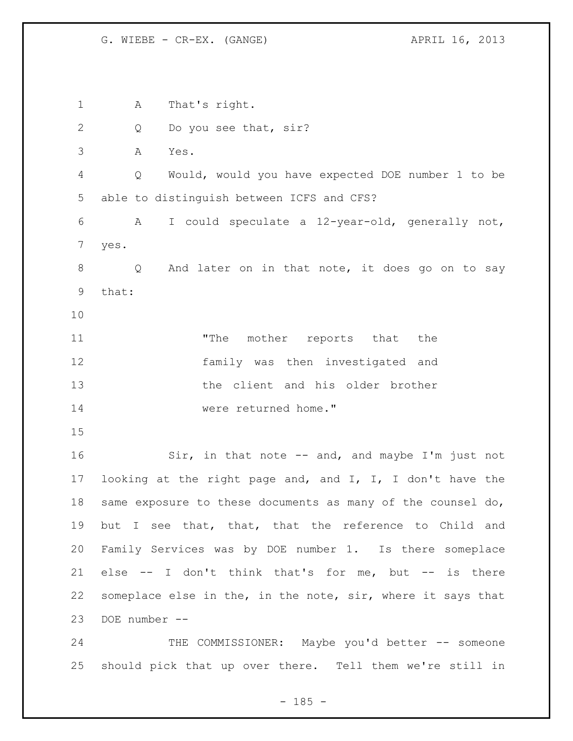A That's right. 2 Q Do you see that, sir? A Yes. Q Would, would you have expected DOE number 1 to be able to distinguish between ICFS and CFS? A I could speculate a 12-year-old, generally not, yes. Q And later on in that note, it does go on to say that: 11 The mother reports that the family was then investigated and the client and his older brother were returned home." Sir, in that note -- and, and maybe I'm just not looking at the right page and, and I, I, I don't have the same exposure to these documents as many of the counsel do, but I see that, that, that the reference to Child and Family Services was by DOE number 1. Is there someplace else -- I don't think that's for me, but -- is there someplace else in the, in the note, sir, where it says that DOE number -- 24 THE COMMISSIONER: Maybe you'd better -- someone

 $- 185 -$ 

should pick that up over there. Tell them we're still in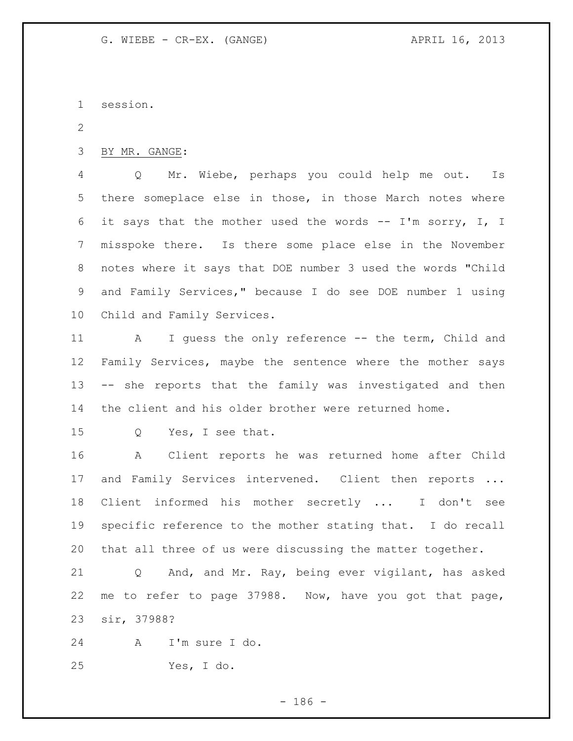session.

BY MR. GANGE:

 Q Mr. Wiebe, perhaps you could help me out. Is there someplace else in those, in those March notes where 6 it says that the mother used the words  $--$  I'm sorry, I, I misspoke there. Is there some place else in the November notes where it says that DOE number 3 used the words "Child and Family Services," because I do see DOE number 1 using Child and Family Services.

 A I guess the only reference -- the term, Child and 12 Family Services, maybe the sentence where the mother says -- she reports that the family was investigated and then the client and his older brother were returned home.

Q Yes, I see that.

 A Client reports he was returned home after Child 17 and Family Services intervened. Client then reports ... Client informed his mother secretly ... I don't see specific reference to the mother stating that. I do recall that all three of us were discussing the matter together.

 Q And, and Mr. Ray, being ever vigilant, has asked me to refer to page 37988. Now, have you got that page, sir, 37988?

A I'm sure I do.

Yes, I do.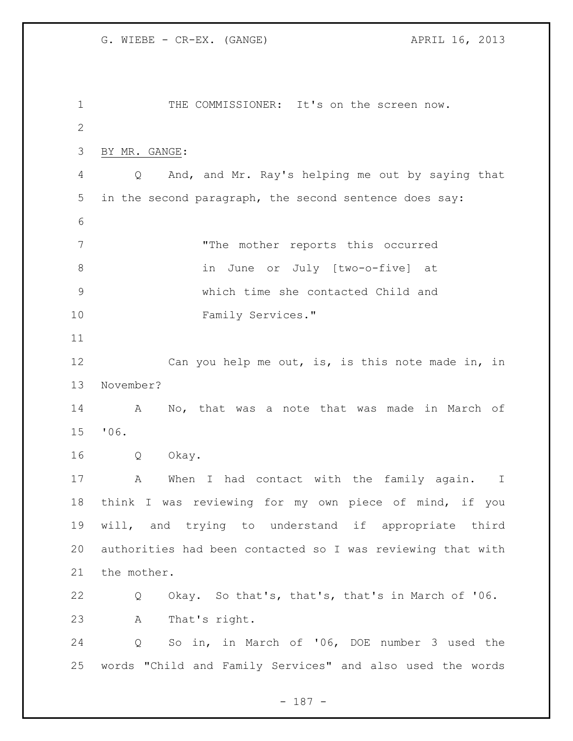1 THE COMMISSIONER: It's on the screen now. BY MR. GANGE: Q And, and Mr. Ray's helping me out by saying that in the second paragraph, the second sentence does say: "The mother reports this occurred in June or July [two-o-five] at which time she contacted Child and 10 Family Services." Can you help me out, is, is this note made in, in November? A No, that was a note that was made in March of '06. Q Okay. 17 A When I had contact with the family again. I think I was reviewing for my own piece of mind, if you will, and trying to understand if appropriate third authorities had been contacted so I was reviewing that with the mother. Q Okay. So that's, that's, that's in March of '06. A That's right. Q So in, in March of '06, DOE number 3 used the words "Child and Family Services" and also used the words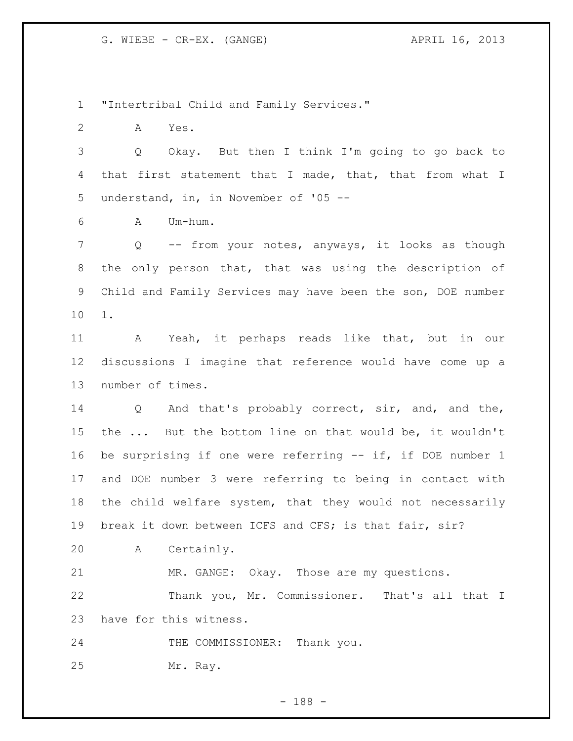"Intertribal Child and Family Services."

A Yes.

 Q Okay. But then I think I'm going to go back to that first statement that I made, that, that from what I understand, in, in November of '05 --

A Um-hum.

 Q -- from your notes, anyways, it looks as though the only person that, that was using the description of Child and Family Services may have been the son, DOE number 1.

 A Yeah, it perhaps reads like that, but in our discussions I imagine that reference would have come up a number of times.

 Q And that's probably correct, sir, and, and the, the ... But the bottom line on that would be, it wouldn't be surprising if one were referring -- if, if DOE number 1 and DOE number 3 were referring to being in contact with the child welfare system, that they would not necessarily break it down between ICFS and CFS; is that fair, sir?

A Certainly.

 MR. GANGE: Okay. Those are my questions. Thank you, Mr. Commissioner. That's all that I have for this witness.

24 THE COMMISSIONER: Thank you. Mr. Ray.

- 188 -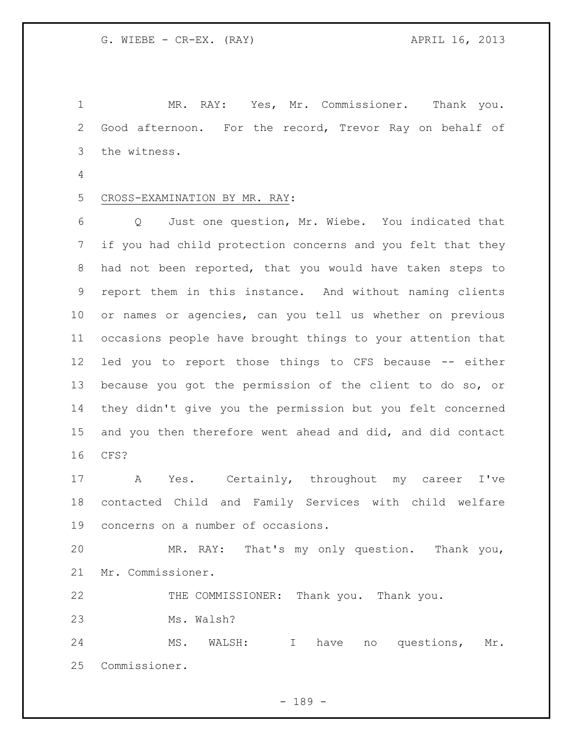MR. RAY: Yes, Mr. Commissioner. Thank you. Good afternoon. For the record, Trevor Ray on behalf of the witness.

## CROSS-EXAMINATION BY MR. RAY:

 Q Just one question, Mr. Wiebe. You indicated that if you had child protection concerns and you felt that they had not been reported, that you would have taken steps to report them in this instance. And without naming clients or names or agencies, can you tell us whether on previous occasions people have brought things to your attention that led you to report those things to CFS because -- either because you got the permission of the client to do so, or they didn't give you the permission but you felt concerned and you then therefore went ahead and did, and did contact CFS?

 A Yes. Certainly, throughout my career I've contacted Child and Family Services with child welfare concerns on a number of occasions.

 MR. RAY: That's my only question. Thank you, Mr. Commissioner.

THE COMMISSIONER: Thank you. Thank you.

Ms. Walsh?

 MS. WALSH: I have no questions, Mr. Commissioner.

- 189 -